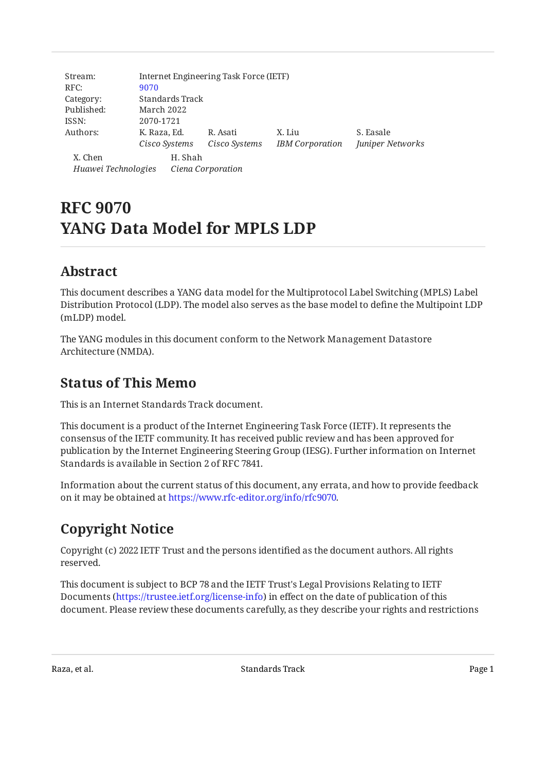| Stream:<br>RFC:     | Internet Engineering Task Force (IETF)<br>9070 |                   |               |                        |                  |  |
|---------------------|------------------------------------------------|-------------------|---------------|------------------------|------------------|--|
| Category:           | Standards Track                                |                   |               |                        |                  |  |
|                     |                                                |                   |               |                        |                  |  |
| Published:          | March 2022                                     |                   |               |                        |                  |  |
| ISSN:               | 2070-1721                                      |                   |               |                        |                  |  |
| Authors:            | K. Raza, Ed.                                   |                   | R. Asati      | X. Liu                 | S. Easale        |  |
|                     | Cisco Systems                                  |                   | Cisco Systems | <b>IBM</b> Corporation | Juniper Networks |  |
| X. Chen             |                                                | H. Shah           |               |                        |                  |  |
| Huawei Technologies |                                                | Ciena Corporation |               |                        |                  |  |

# **RFC 9070 YANG Data Model for MPLS LDP**

# <span id="page-0-0"></span>**[Abstract](#page-0-0)**

This document describes a YANG data model for the Multiprotocol Label Switching (MPLS) Label Distribution Protocol (LDP). The model also serves as the base model to define the Multipoint LDP (mLDP) model.

The YANG modules in this document conform to the Network Management Datastore Architecture (NMDA).

# <span id="page-0-1"></span>**[Status of This Memo](#page-0-1)**

This is an Internet Standards Track document.

This document is a product of the Internet Engineering Task Force (IETF). It represents the consensus of the IETF community. It has received public review and has been approved for publication by the Internet Engineering Steering Group (IESG). Further information on Internet Standards is available in Section 2 of RFC 7841.

Information about the current status of this document, any errata, and how to provide feedback on it may be obtained at [https://www.rfc-editor.org/info/rfc9070.](https://www.rfc-editor.org/info/rfc9070)

# <span id="page-0-2"></span>**[Copyright Notice](#page-0-2)**

Copyright (c) 2022 IETF Trust and the persons identified as the document authors. All rights reserved.

This document is subject to BCP 78 and the IETF Trust's Legal Provisions Relating to IETF Documents (<https://trustee.ietf.org/license-info>) in effect on the date of publication of this document. Please review these documents carefully, as they describe your rights and restrictions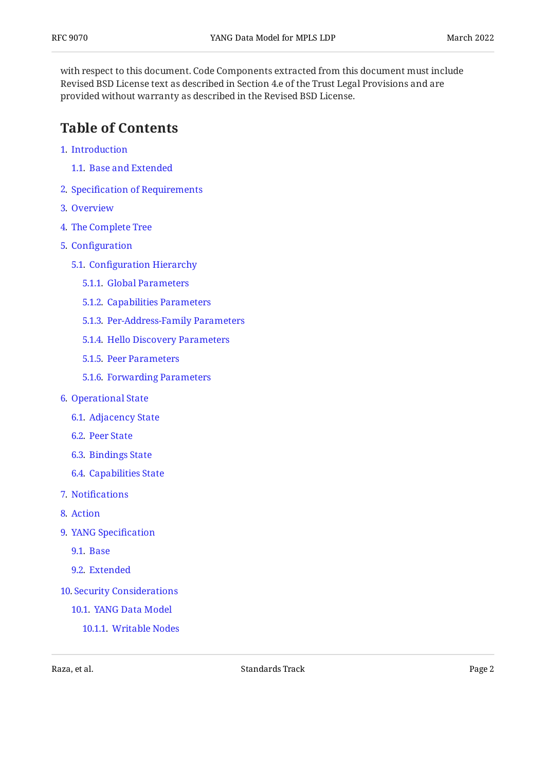with respect to this document. Code Components extracted from this document must include Revised BSD License text as described in Section 4.e of the Trust Legal Provisions and are provided without warranty as described in the Revised BSD License.

## <span id="page-1-0"></span>**[Table of Contents](#page-1-0)**

- [1](#page-2-0). [Introduction](#page-2-0)
	- [1.1.](#page-2-1) [Base and Extended](#page-2-1)
- [2](#page-3-0). Specifi[cation of Requirements](#page-3-0)
- [3](#page-3-1). [Overview](#page-3-1)
- [4](#page-5-0). [The Complete Tree](#page-5-0)
- [5](#page-13-0). Confi[guration](#page-13-0)
	- [5.1.](#page-16-0) Confi[guration Hierarchy](#page-16-0)
		- [5.1.1](#page-16-1). [Global Parameters](#page-16-1)
		- [5.1.2](#page-17-0). [Capabilities Parameters](#page-17-0)
		- [5.1.3](#page-17-1). [Per-Address-Family Parameters](#page-17-1)
		- [5.1.4](#page-17-2). [Hello Discovery Parameters](#page-17-2)
		- [5.1.5](#page-17-3). [Peer Parameters](#page-17-3)
		- [5.1.6](#page-18-0). [Forwarding Parameters](#page-18-0)
- [6](#page-18-1). [Operational State](#page-18-1)
	- [6.1.](#page-18-2) [Adjacency State](#page-18-2)
	- [6.2.](#page-19-0) [Peer State](#page-19-0)
	- [6.3.](#page-20-0) [Bindings State](#page-20-0)
	- [6.4.](#page-22-0) [Capabilities State](#page-22-0)
- [7](#page-22-1). Notifi[cations](#page-22-1)
- [8](#page-23-0). [Action](#page-23-0)
- [9](#page-23-1). [YANG Speci](#page-23-1)fication
	- [9.1.](#page-23-2) [Base](#page-23-2)
	- [9.2.](#page-49-0) [Extended](#page-49-0)
- [10](#page-67-0). [Security Considerations](#page-67-0)
	- [10.1.](#page-67-1) [YANG Data Model](#page-67-1)
		- [10.1.1.](#page-67-2) [Writable Nodes](#page-67-2)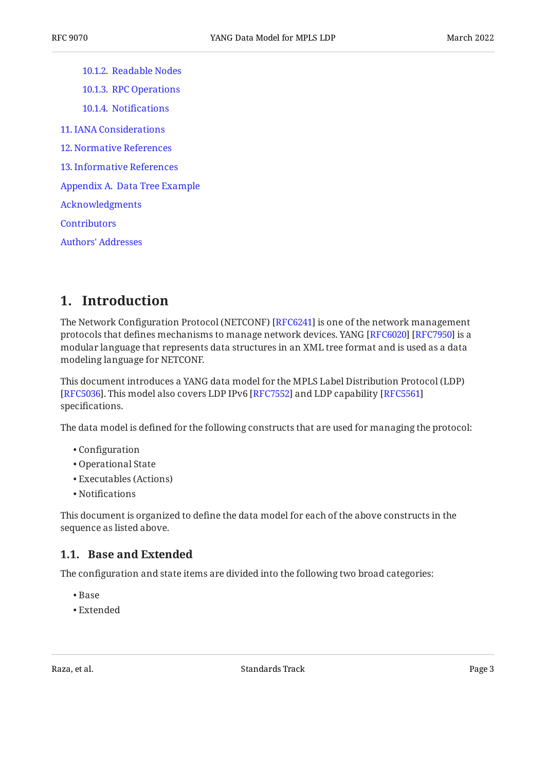[10.1.2.](#page-68-0) [Readable Nodes](#page-68-0) [10.1.3.](#page-69-0) [RPC Operations](#page-69-0) [10.1.4.](#page-69-1) Notifi[cations](#page-69-1) [11](#page-69-2). [IANA Considerations](#page-69-2) [12](#page-69-3). [Normative References](#page-69-3) [13](#page-72-0). [Informative References](#page-72-0) [Appendix A.](#page-72-1) [Data Tree Example](#page-72-1) [Acknowledgments](#page-77-0) **[Contributors](#page-77-1)** [Authors' Addresses](#page-78-0)

### <span id="page-2-0"></span>**[1. Introduction](#page-2-0)**

The Network Configuration Protocol (NETCONF) [RFC6241] is one of the network management protocols that defines mechanisms to manage network devices. YANG [RFC6020] [RFC7950] is a modular language that represents data structures in an XML tree format and is used as a data modeling language for NETCONF.

This document introduces a YANG data model for the MPLS Label Distribution Protocol (LDP) [[RFC5036\]](#page-70-2). This model also covers LDP IPv6 [RFC7552] and LDP capability [\[RFC5561](#page-70-3)] specifications.

The data model is defined for the following constructs that are used for managing the protocol:

- Configuration •
- Operational State •
- Executables (Actions) •
- Notifications •

This document is organized to define the data model for each of the above constructs in the sequence as listed above.

### <span id="page-2-1"></span>**[1.1. Base and Extended](#page-2-1)**

The configuration and state items are divided into the following two broad categories:

- Base •
- Extended •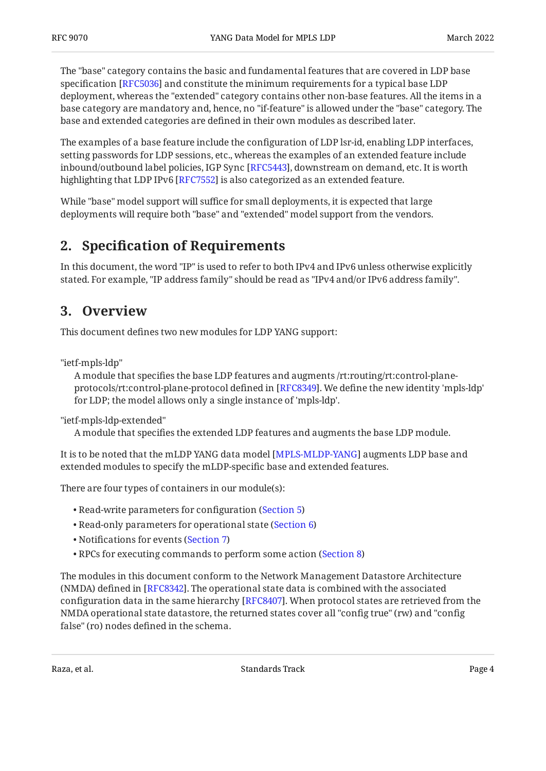The "base" category contains the basic and fundamental features that are covered in LDP base specification [RFC5036] and constitute the minimum requirements for a typical base LDP  $\,$ deployment, whereas the "extended" category contains other non-base features. All the items in a base category are mandatory and, hence, no "if-feature" is allowed under the "base" category. The base and extended categories are defined in their own modules as described later.

The examples of a base feature include the configuration of LDP lsr-id, enabling LDP interfaces, setting passwords for LDP sessions, etc., whereas the examples of an extended feature include inbound/outbound label policies, IGP Sync [RFC5443], downstream on demand, etc. It is worth highlighting that LDP IPv6 [RFC7552] is also categorized as an extended feature.

While "base" model support will suffice for small deployments, it is expected that large deployments will require both "base" and "extended" model support from the vendors.

### <span id="page-3-0"></span>**[2. S](#page-3-0)pecifi[cation of Requirements](#page-3-0)**

<span id="page-3-1"></span>In this document, the word "IP" is used to refer to both IPv4 and IPv6 unless otherwise explicitly stated. For example, "IP address family" should be read as "IPv4 and/or IPv6 address family".

### **[3. Overview](#page-3-1)**

This document defines two new modules for LDP YANG support:

"ietf-mpls-ldp"

A module that specifies the base LDP features and augments /rt:routing/rt:control-plane-protocols/rt:control-plane-protocol defined in [\[RFC8349\]](#page-71-2). We define the new identity 'mpls-ldp' for LDP; the model allows only a single instance of 'mpls-ldp'.

"ietf-mpls-ldp-extended"

A module that specifies the extended LDP features and augments the base LDP module.

It is to be noted that the mLDP YANG data model [MPLS-MLDP-YANG] augments LDP base and extended modules to specify the mLDP-specific base and extended features.

There are four types of containers in our module(s):

- Read-write parameters for configuration ([Section 5\)](#page-13-0)
- Read-only parameters for operational state ([Section 6\)](#page-18-1)
- Notifications for events [\(Section 7](#page-22-1))
- RPCs for executing commands to perform some action [\(Section 8](#page-23-0)) •

The modules in this document conform to the Network Management Datastore Architecture  $(NMDA)$  defined in  $[RFC8342]$ . The operational state data is combined with the associated configuration data in the same hierarchy [[RFC8407\]](#page-71-4). When protocol states are retrieved from the NMDA operational state datastore, the returned states cover all "config true" (rw) and "config false" (ro) nodes defined in the schema.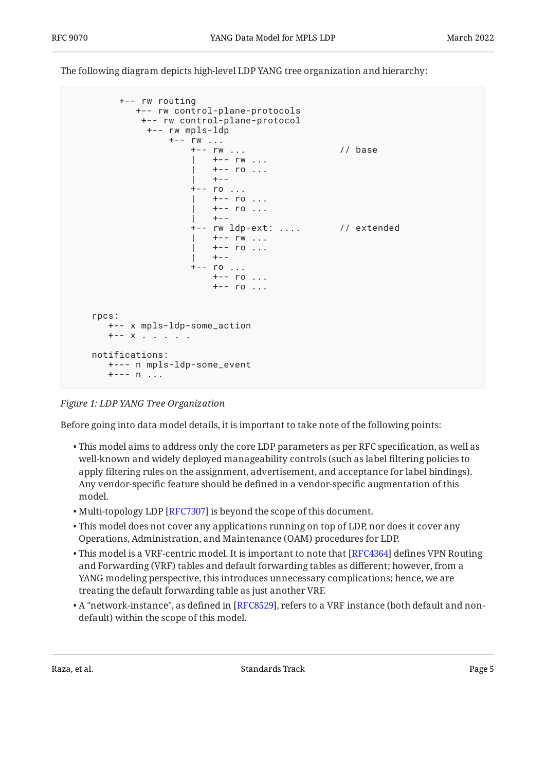The following diagram depicts high-level LDP YANG tree organization and hierarchy:

<span id="page-4-0"></span>

#### *[Figure 1: LDP YANG Tree Organization](#page-4-0)*

Before going into data model details, it is important to take note of the following points:

- $\bullet$  This model aims to address only the core LDP parameters as per RFC specification, as well as well-known and widely deployed manageability controls (such as label filtering policies to apply filtering rules on the assignment, advertisement, and acceptance for label bindings). Any vendor-specific feature should be defined in a vendor-specific augmentation of this model.
- $\bullet$  Multi-topology LDP [\[RFC7307\]](#page-72-3) is beyond the scope of this document.
- This model does not cover any applications running on top of LDP, nor does it cover any Operations, Administration, and Maintenance (OAM) procedures for LDP.
- $\bullet$  This model is a VRF-centric model. It is important to note that [[RFC4364\]](#page-72-4) defines VPN Routing and Forwarding (VRF) tables and default forwarding tables as different; however, from a YANG modeling perspective, this introduces unnecessary complications; hence, we are treating the default forwarding table as just another VRF.
- $\bullet$  A "network-instance", as defined in [\[RFC8529](#page-71-5)], refers to a VRF instance (both default and nondefault) within the scope of this model.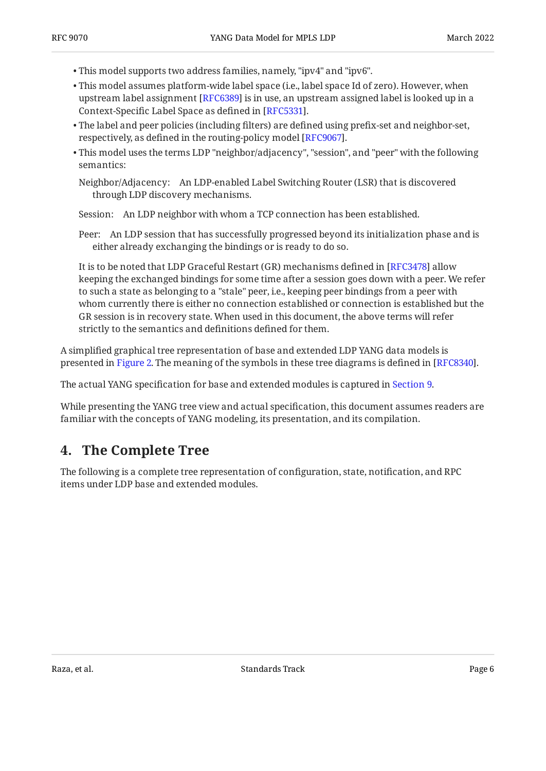- This model supports two address families, namely, "ipv4" and "ipv6". •
- This model assumes platform-wide label space (i.e., label space Id of zero). However, when upstream label assignment [RFC6389] is in use, an upstream assigned label is looked up in a Context-Specific Label Space as defined in [RFC5331].
- The label and peer policies (including filters) are defined using prefix-set and neighbor-set, respectively, as defined in the routing-policy model [RFC9067].  $\,$
- This model uses the terms LDP "neighbor/adjacency", "session", and "peer" with the following semantics:

Neighbor/Adjacency: An LDP-enabled Label Switching Router (LSR) that is discovered through LDP discovery mechanisms.

Session: An LDP neighbor with whom a TCP connection has been established.

Peer: An LDP session that has successfully progressed beyond its initialization phase and is either already exchanging the bindings or is ready to do so.

It is to be noted that LDP Graceful Restart (GR) mechanisms defined in [RFC3478] allow keeping the exchanged bindings for some time after a session goes down with a peer. We refer to such a state as belonging to a "stale" peer, i.e., keeping peer bindings from a peer with whom currently there is either no connection established or connection is established but the GR session is in recovery state. When used in this document, the above terms will refer strictly to the semantics and definitions defined for them.

A simplified graphical tree representation of base and extended LDP YANG data models is presented in [Figure 2.](#page-6-0) The meaning of the symbols in these tree diagrams is defined in [\[RFC8340\]](#page-72-5).

The actual YANG specification for base and extended modules is captured in [Section 9.](#page-23-1)

While presenting the YANG tree view and actual specification, this document assumes readers are familiar with the concepts of YANG modeling, its presentation, and its compilation.

# <span id="page-5-0"></span>**[4. The Complete Tree](#page-5-0)**

<span id="page-5-1"></span>The following is a complete tree representation of configuration, state, notification, and RPC items under LDP base and extended modules.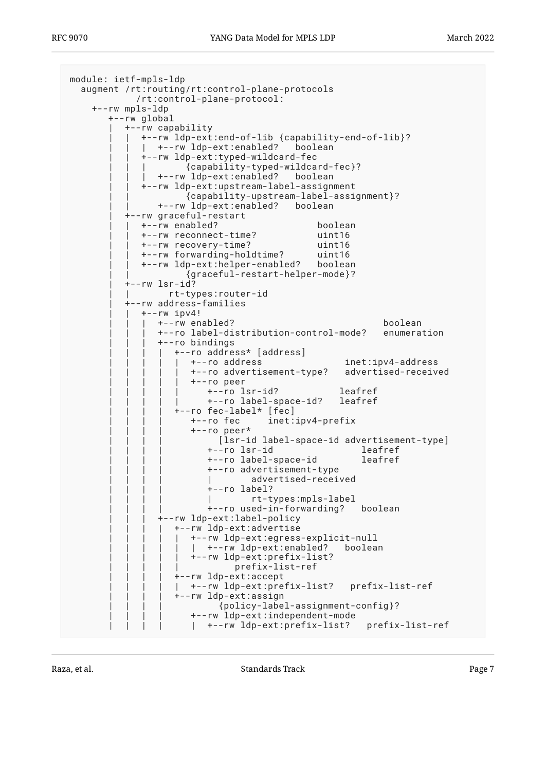```
module: ietf-mpls-ldp
   augment /rt:routing/rt:control-plane-protocols
              /rt:control-plane-protocol:
     +--rw mpls-ldp
         +--rw global
            | +--rw capability
 | | +--rw ldp-ext:end-of-lib {capability-end-of-lib}?
 | | | +--rw ldp-ext:enabled? boolean
               | | +--rw ldp-ext:typed-wildcard-fec
                        | | | {capability-typed-wildcard-fec}?
                  | | | +--rw ldp-ext:enabled? boolean
               | | +--rw ldp-ext:upstream-label-assignment
                        | | {capability-upstream-label-assignment}?
                   | | +--rw ldp-ext:enabled? boolean
            | +--rw graceful-restart
               | | +--rw enabled? boolean
               | | +--rw reconnect-time? uint16
               | | +--rw recovery-time? uint16
               | | +--rw forwarding-holdtime? uint16
               | | +--rw ldp-ext:helper-enabled? boolean
                        | | {graceful-restart-helper-mode}?
           +--rw lsr-id? | | rt-types:router-id
            | +--rw address-families
              +--rw ipv4!
                   | | | +--rw enabled? boolean
                   | | | +--ro label-distribution-control-mode? enumeration
                   | | | +--ro bindings
                      | | | | +--ro address* [address]
                        | | | | | +--ro address inet:ipv4-address
                         | | | | | +--ro advertisement-type? advertised-received
                         | | | | | +--ro peer
                             | | | | | +--ro lsr-id? leafref
                            +--ro label-space-id?
                     +--ro fec-label* [fec]
                         | | | | +--ro fec inet:ipv4-prefix
                         | | | | +--ro peer*
                             [lsr-id label-space-id advertisement-type]<br>--ro lsr-id        leafref
                            +--ro lsr-id
                             | | | | +--ro label-space-id leafref
                             | | | | +--ro advertisement-type
                                     advertised-received
                            +--ro label?
                                      | | | | | rt-types:mpls-label
                            +--ro used-in-forwarding? boolean
                   | | | +--rw ldp-ext:label-policy
                      | | | | +--rw ldp-ext:advertise
                         | | | | | +--rw ldp-ext:egress-explicit-null
                        | +--rw ldp-ext:enabled? boolean
                         | | | | | +--rw ldp-ext:prefix-list?
                                  | | | | | prefix-list-ref
                      | | | | +--rw ldp-ext:accept
                        | | | | | +--rw ldp-ext:prefix-list? prefix-list-ref
                      | | | | +--rw ldp-ext:assign
                               | | | | {policy-label-assignment-config}?
                         | | | | +--rw ldp-ext:independent-mode
                         | +--rw ldp-ext:prefix-list? prefix-list-ref
```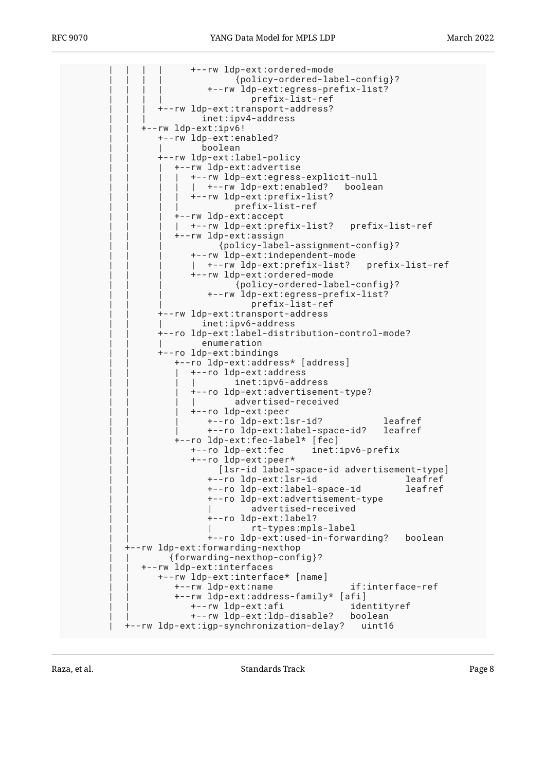| | | | +--rw ldp-ext:ordered-mode | | | | {policy-ordered-label-config}? | | | | +--rw ldp-ext:egress-prefix-list? | | | | prefix-list-ref | | | +--rw ldp-ext:transport-address? inet:ipv4-address | | +--rw ldp-ext:ipv6! | | +--rw ldp-ext:enabled? | | | boolean | | +--rw ldp-ext:label-policy | | | +--rw ldp-ext:advertise | | | | +--rw ldp-ext:egress-explicit-null |  $+-rw$  ldp-ext:enabled? boolean | | | | +--rw ldp-ext:prefix-list? | | | | prefix-list-ref | | | +--rw ldp-ext:accept | | | | +--rw ldp-ext:prefix-list? prefix-list-ref | | | +--rw ldp-ext:assign | | | {policy-label-assignment-config}? | | | +--rw ldp-ext:independent-mode | | | | +--rw ldp-ext:prefix-list? prefix-list-ref | | | +--rw ldp-ext:ordered-mode | | | {policy-ordered-label-config}? | | | +--rw ldp-ext:egress-prefix-list? prefix-list-ref | | +--rw ldp-ext:transport-address inet:ipv6-address | | +--ro ldp-ext:label-distribution-control-mode? enumeration | | +--ro ldp-ext:bindings | | +--ro ldp-ext:address\* [address] | | | +--ro ldp-ext:address inet:ipv6-address | | | +--ro ldp-ext:advertisement-type? advertised-received | | | +--ro ldp-ext:peer | | | +--ro ldp-ext:lsr-id? leafref | | | +--ro ldp-ext:label-space-id? leafref  $+--$ ro ldp-ext: $\overline{f}$ ec-label\* [ $\overline{f}$ ec] | | +--ro ldp-ext:fec inet:ipv6-prefix | | +--ro ldp-ext:peer\* | | [lsr-id label-space-id advertisement-type] | | +--ro ldp-ext:lsr-id leafref +--ro ldp-ext:label-space-id | | +--ro ldp-ext:advertisement-type advertised-received +--ro ldp-ext:label? | | | rt-types:mpls-label | | +--ro ldp-ext:used-in-forwarding? boolean | +--rw ldp-ext:forwarding-nexthop | | {forwarding-nexthop-config}? | | +--rw ldp-ext:interfaces | | +--rw ldp-ext:interface\* [name] | | +--rw ldp-ext:name if:interface-ref | | +--rw ldp-ext:address-family\* [afi] | | +--rw ldp-ext:afi identityref | | +--rw ldp-ext:ldp-disable? boolean | +--rw ldp-ext:igp-synchronization-delay? uint16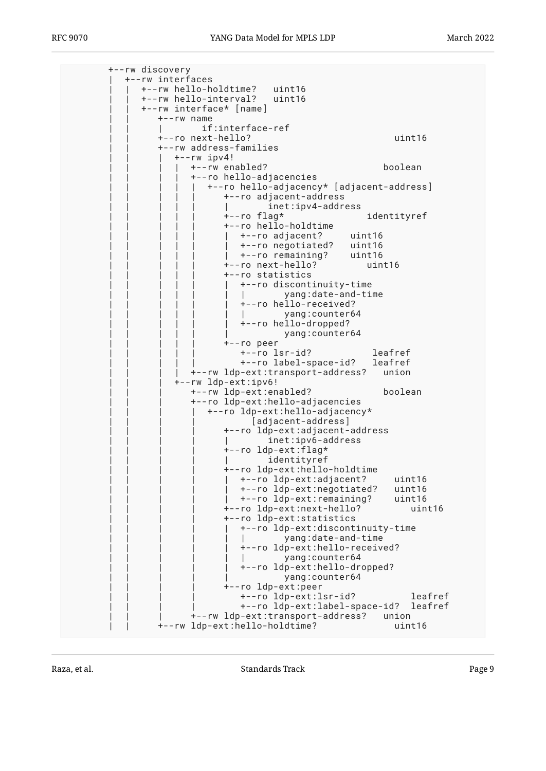+--rw discovery | +--rw interfaces | | +--rw hello-holdtime? uint16 | | +--rw hello-interval? uint16 | | +--rw interface\* [name]  $+--rw$  name if:interface-ref | | +--ro next-hello? uint16 | | +--rw address-families  $+--rw$  ipv4! | | | | +--rw enabled? boolean | | | | +--ro hello-adjacencies | | | | | +--ro hello-adjacency\* [adjacent-address] | | | | | +--ro adjacent-address inet:ipv4-address | | | | | +--ro flag\* identityref | | | | | +--ro hello-holdtime | | | | | | +--ro adjacent? uint16 | | | | | | +--ro negotiated? uint16 | | | | | | +--ro remaining? uint16 | | | | | +--ro next-hello? uint16 | | | | | +--ro statistics | | | | | | +--ro discontinuity-time | | | | | | | yang:date-and-time +--ro hello-received? yang: counter64 | | | | | | +--ro hello-dropped? yang: counter64 | | | | | +--ro peer | | | | | +--ro lsr-id? leafref | | | | | +--ro label-space-id? leafref | | | | +--rw ldp-ext:transport-address? union | | | +--rw ldp-ext:ipv6! | | | +--rw ldp-ext:enabled? boolean | | | +--ro ldp-ext:hello-adjacencies | | | | +--ro ldp-ext:hello-adjacency\* [adjacent-address] | | | | +--ro ldp-ext:adjacent-address inet:ipv6-address +--ro ldp-ext:flag\* identityref | | | | +--ro ldp-ext:hello-holdtime | | | | | +--ro ldp-ext:adjacent? uint16 | | | | | +--ro ldp-ext:negotiated? uint16 +--ro ldp-ext:remaining? | | | | +--ro ldp-ext:next-hello? uint16 | | | | +--ro ldp-ext:statistics | | | | | +--ro ldp-ext:discontinuity-time | intervalue of the panal-time | | | | | +--ro ldp-ext:hello-received? yang: counter64 | | | | | +--ro ldp-ext:hello-dropped? yang: counter64 | | | | +--ro ldp-ext:peer | | | | +--ro ldp-ext:lsr-id? leafref | | | | +--ro ldp-ext:label-space-id? leafref | | | +--rw ldp-ext:transport-address? union | | +--rw ldp-ext:hello-holdtime? uint16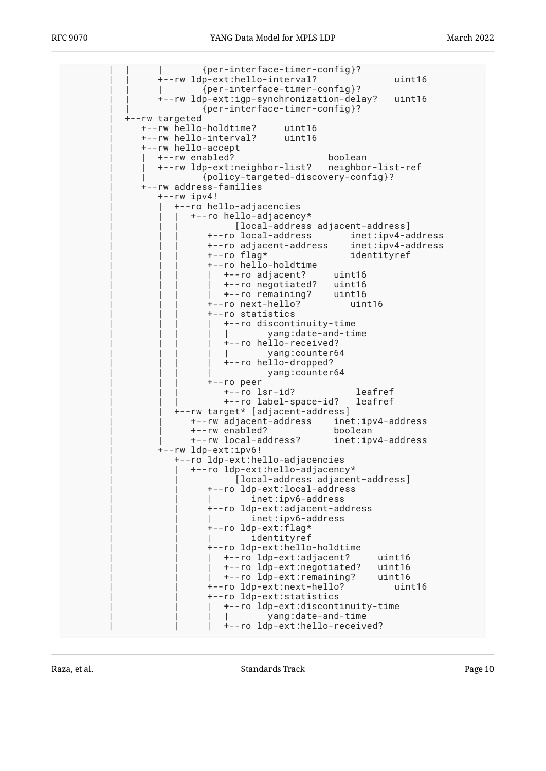| | | {per-interface-timer-config}? | | +--rw ldp-ext:hello-interval? uint16 | | | {per-interface-timer-config}? | | +--rw ldp-ext:igp-synchronization-delay? uint16 | | {per-interface-timer-config}? | +--rw targeted | +--rw hello-holdtime? uint16 | +--rw hello-interval? uint16 | +--rw hello-accept | | +--rw enabled? boolean | | +--rw ldp-ext:neighbor-list? neighbor-list-ref | | {policy-targeted-discovery-config}? | +--rw address-families | +--rw ipv4! | | +--ro hello-adjacencies | | | +--ro hello-adjacency\* [local-address adjacent-address] | | | +--ro local-address inet:ipv4-address | | | +--ro adjacent-address inet:ipv4-address identityref | | | +--ro hello-holdtime | | | | +--ro adjacent? uint16 | | | | +--ro negotiated? uint16 | | | | +--ro remaining? uint16 | | | +--ro next-hello? uint16 | | | +--ro statistics | | | | +--ro discontinuity-time | | | | | yang:date-and-time | | | | +--ro hello-received? yang: counter64 | | | | +--ro hello-dropped? yang: counter64 | | | +--ro peer | | | +--ro lsr-id? leafref +--ro label-space-id? | | +--rw target\* [adjacent-address] | | +--rw adjacent-address inet:ipv4-address | | +--rw enabled? boolean +--rw local-address? | +--rw ldp-ext:ipv6! | +--ro ldp-ext:hello-adjacencies | | +--ro ldp-ext:hello-adjacency\* [local-address adjacent-address] | | +--ro ldp-ext:local-address inet:ipv6-address | | +--ro ldp-ext:adjacent-address inet:ipv6-address +--ro ldp-ext:flag\* identityref | | +--ro ldp-ext:hello-holdtime | | | +--ro ldp-ext:adjacent? uint16 | | | +--ro ldp-ext:negotiated? uint16 | | | +--ro ldp-ext:remaining? uint16 | | +--ro ldp-ext:next-hello? uint16 | | +--ro ldp-ext:statistics | | | +--ro ldp-ext:discontinuity-time | | | | yang:date-and-time | | | +--ro ldp-ext:hello-received?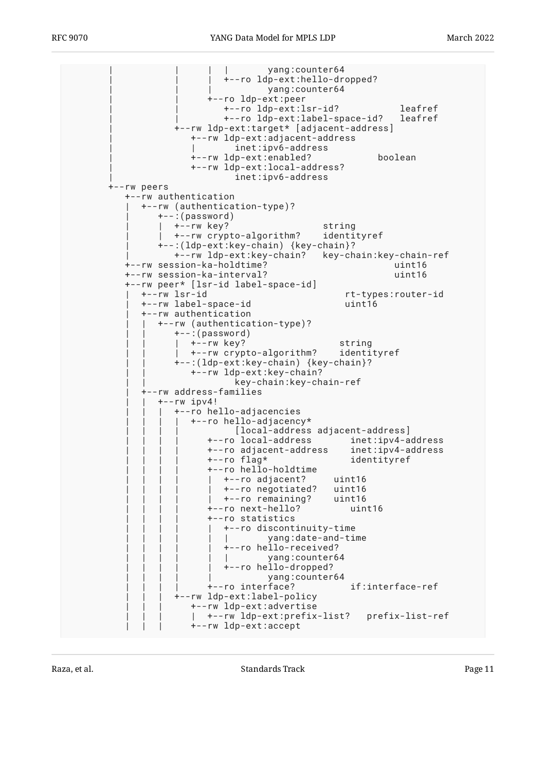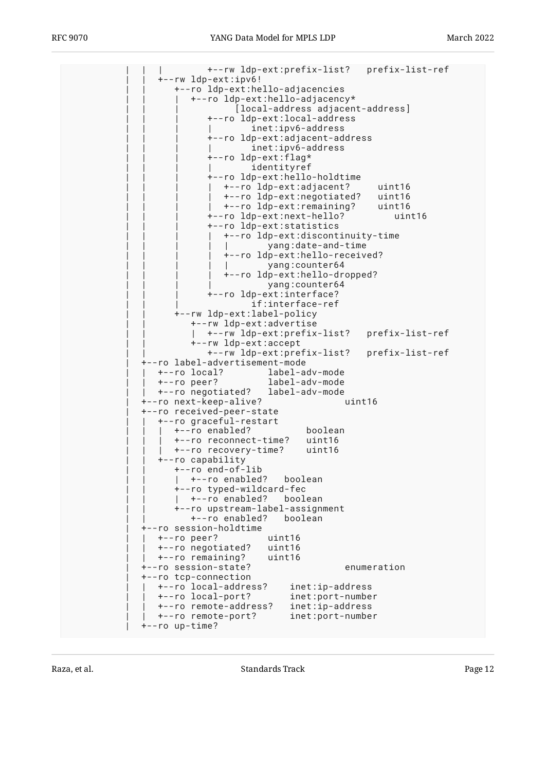| | | +--rw ldp-ext:prefix-list? prefix-list-ref | | +--rw ldp-ext:ipv6! | | +--ro ldp-ext:hello-adjacencies | | | +--ro ldp-ext:hello-adjacency\* [local-address adjacent-address] | | | +--ro ldp-ext:local-address inet:ipv6-address | | | +--ro ldp-ext:adjacent-address inet:ipv6-address +--ro ldp-ext:flag\* identityref | | | +--ro ldp-ext:hello-holdtime | | | | +--ro ldp-ext:adjacent? uint16 | | | | +--ro ldp-ext:negotiated? uint16 | | | | +--ro ldp-ext:remaining? uint16 | | | +--ro ldp-ext:next-hello? uint16 | | | +--ro ldp-ext:statistics | | | | +--ro ldp-ext:discontinuity-time | | | | | yang:date-and-time | | | | +--ro ldp-ext:hello-received? yang: counter64 | | | | +--ro ldp-ext:hello-dropped? yang: counter64 | | | +--ro ldp-ext:interface? if:interface-ref | | +--rw ldp-ext:label-policy | | +--rw ldp-ext:advertise | | | +--rw ldp-ext:prefix-list? prefix-list-ref | | +--rw ldp-ext:accept | | +--rw ldp-ext:prefix-list? prefix-list-ref | +--ro label-advertisement-mode | | +--ro local? label-adv-mode | | +--ro peer? label-adv-mode | | +--ro negotiated? label-adv-mode +--ro next-keep-alive? | +--ro received-peer-state | | +--ro graceful-restart | | | +--ro enabled? boolean | | | +--ro reconnect-time? uint16 | | | +--ro recovery-time? uint16 --ro capability | | +--ro end-of-lib |  $+ -$ ro enabled? boolean |<br>|--ro typed-wildcard-fec<br>| +--ro enabled? boolean  $|$  +--ro enabled? | | +--ro upstream-label-assignment | | +--ro enabled? boolean | +--ro session-holdtime | | +--ro peer? uint16 | | +--ro negotiated? uint16 | | +--ro remaining? uint16 | +--ro session-state? enumeration | +--ro tcp-connection | | +--ro local-address? inet:ip-address +--ro local-port? | | +--ro remote-address? inet:ip-address | | +--ro remote-port? inet:port-number | +--ro up-time?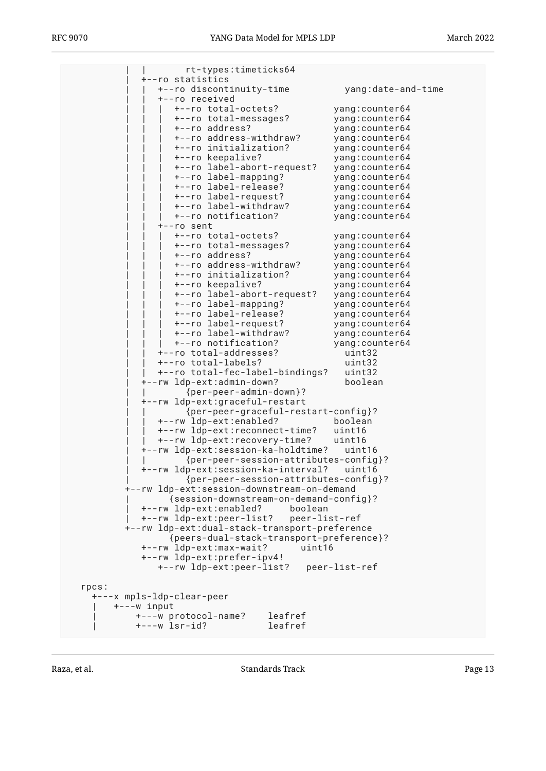| rt-types:timeticks64                                                        |                                   |
|-----------------------------------------------------------------------------|-----------------------------------|
| +--ro statistics                                                            |                                   |
| +--ro discontinuity-time<br>+--ro received                                  | yang:date-and-time                |
| +--ro total-octets?                                                         | yang:counter64                    |
| +--ro total-messages?                                                       | yang:counter64                    |
| +--ro address?                                                              | yang:counter64                    |
| +--ro address-withdraw?                                                     | yang: counter64                   |
| +--ro initialization?                                                       | yang:counter64                    |
| +--ro keepalive?                                                            | yang:counter64                    |
| +--ro label-abort-request?                                                  | yang:counter64                    |
| +--ro label-mapping?                                                        | yang: counter64                   |
| +--ro label-release?                                                        | yang: counter64                   |
| +--ro label-request?                                                        | yang: counter64                   |
| +--ro label-withdraw?                                                       | yang:counter64                    |
| +--ro notification?                                                         | yang: counter64                   |
| +--ro sent                                                                  |                                   |
| +--ro total-octets?                                                         | yang:counter64                    |
| +--ro total-messages?                                                       | yang: counter64                   |
| +--ro address?                                                              | yang: counter64                   |
| +--ro address-withdraw?                                                     | yang: counter64                   |
| +--ro initialization?                                                       | yang:counter64                    |
| +--ro keepalive?                                                            | yang: counter64                   |
| +--ro label-abort-request?                                                  | yang: counter64                   |
| +--ro label-mapping?<br>+--ro label-release?                                | yang:counter64<br>yang: counter64 |
| +--ro label-request?                                                        | yang: counter64                   |
| +--ro label-withdraw?                                                       | yang:counter64                    |
| +--ro notification?                                                         | yang: counter64                   |
| +--ro total-addresses?                                                      | uint32                            |
| +--ro total-labels?                                                         | uint32                            |
| +--ro total-fec-label-bindings?                                             | uint32                            |
| +--rw ldp-ext:admin-down?                                                   | boolean                           |
| $\{per-peer - admin-down\}$ ?                                               |                                   |
| +--rw ldp-ext:graceful-restart                                              |                                   |
| {per-peer-graceful-restart-config}?                                         |                                   |
| +--rw ldp-ext:enabled?                                                      | boolean                           |
| +--rw ldp-ext:reconnect-time?                                               | uint16                            |
| +--rw ldp-ext:recovery-time?                                                | uint16                            |
| +--rw ldp-ext:session-ka-holdtime?                                          | uint16                            |
| {per-peer-session-attributes-config}?                                       |                                   |
| +--rw ldp-ext:session-ka-interval?                                          | uint16                            |
| {per-peer-session-attributes-config}?                                       |                                   |
| +--rw ldp-ext:session-downstream-on-demand                                  |                                   |
| {session-downstream-on-demand-config}?<br>+--rw ldp-ext:enabled?<br>boolean |                                   |
| +--rw ldp-ext:peer-list?<br>peer-list-ref                                   |                                   |
| +--rw ldp-ext:dual-stack-transport-preference                               |                                   |
| {peers-dual-stack-transport-preference}?                                    |                                   |
| +--rw ldp-ext:max-wait?<br>uint16                                           |                                   |
| +--rw ldp-ext:prefer-ipv4!                                                  |                                   |
|                                                                             |                                   |
|                                                                             |                                   |
| rpcs:                                                                       |                                   |
| +---x mpls-ldp-clear-peer<br>$+ - - -w$ input                               |                                   |
| leafref<br>+---w protocol-name?                                             |                                   |
| leafref<br>$+--w$ lsr-id?                                                   |                                   |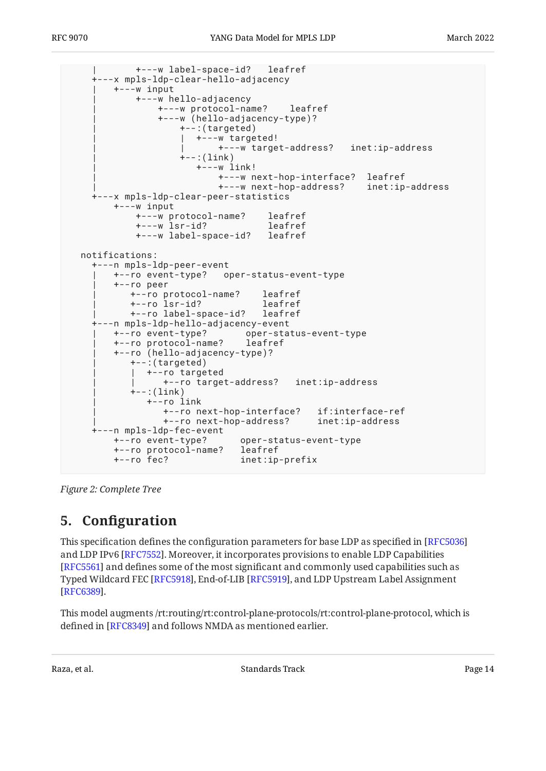```
 | +---w label-space-id? leafref
     +---x mpls-ldp-clear-hello-adjacency
        | +---w input
            | +---w hello-adjacency
                | +---w protocol-name? leafref
                | +---w (hello-adjacency-type)?
                   +-:(targeted)
                     | | +---w targeted!
                           | | +---w target-address? inet:ip-address
                   +--:(link) | +---w link!
                           | +---w next-hop-interface? leafref
                           | +---w next-hop-address? inet:ip-address
    +---x mpls-ldp-clear-peer-statistics
        +---w input
            +---w protocol-name? leafref
            +---w lsr-id? leafref
            +---w label-space-id? leafref
  notifications:
    +---n mpls-ldp-peer-event
        | +--ro event-type? oper-status-event-type
        | +--ro peer
           | +--ro protocol-name? leafref
           | +--ro lsr-id? leafref
           | +--ro label-space-id? leafref
    +---n mpls-ldp-hello-adjacency-event
 | +--ro event-type? oper-status-event-type
 | +--ro protocol-name? leafref
        | +--ro (hello-adjacency-type)?
          +-:(targeted)
           | | +--ro targeted
                 | | +--ro target-address? inet:ip-address
          +--: (link)
              | +--ro link
                 | +--ro next-hop-interface? if:interface-ref
                 | +--ro next-hop-address? inet:ip-address
    +---n mpls-ldp-fec-event
        +--ro event-type? oper-status-event-type
        +--ro protocol-name? leafref
        +--ro fec? inet:ip-prefix
```
<span id="page-13-0"></span>*[Figure 2:](#page-6-0) [Complete Tree](#page-5-1)* 

# **[5. C](#page-13-0)onfi[guration](#page-13-0)**

This specification defines the configuration parameters for base LDP as specified in [\[RFC5036](#page-70-2)] and LDP IPv6 [[RFC7552\]](#page-71-1). Moreover, it incorporates provisions to enable LDP Capabilities [[RFC5561\]](#page-70-3) and defines some of the most significant and commonly used capabilities such as Typed Wildcard FEC [RFC5918], End-of-LIB [RFC5919], and LDP Upstream Label Assignment | . [[RFC6389\]](#page-70-5)

This model augments /rt:routing/rt:control-plane-protocols/rt:control-plane-protocol, which is defined in [[RFC8349\]](#page-71-2) and follows NMDA as mentioned earlier.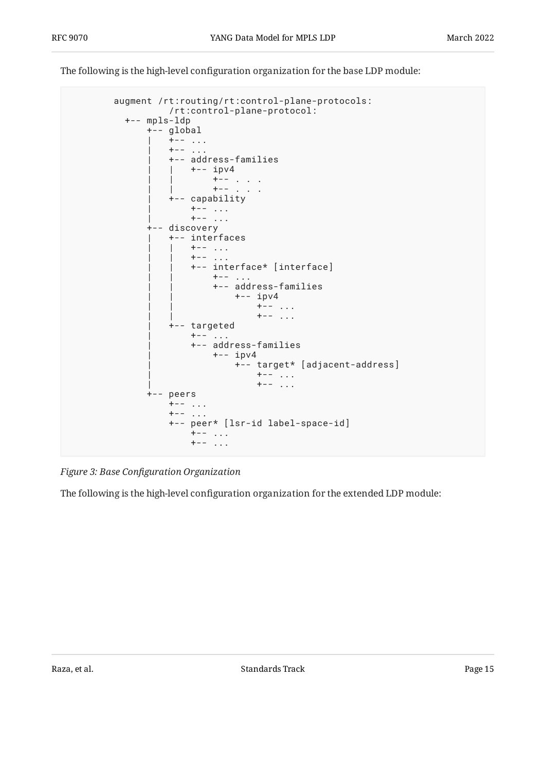The following is the high-level configuration organization for the base LDP module:

```
 augment /rt:routing/rt:control-plane-protocols:
                 /rt:control-plane-protocol:
          +-- mpls-ldp
              +-- global
                 | +-- ...
                 +--... | +-- address-families
                 | +-- ipv4
 | | +-- . . .
 | | +-- . . .
                  | +-- capability
                    +--......
                     +--....
              +-- discovery
                  | +-- interfaces
                    +--...+--... | | +-- interface* [interface]
 | | +-- ...
                         | | +-- address-families
                            +-- ipv4
                                +--...+--... | +-- targeted
                    +--... | +-- address-families
                         | +-- ipv4
                              | +-- target* [adjacent-address]
                                 | +-- ...
                                +--... +-- peers
                  +-- ...
                 +---... +-- peer* [lsr-id label-space-id]
                     +-- ...
                      +-- ...
```
*[Figure 3:](#page-14-0) Base Confi[guration Organization](#page-14-0)* 

<span id="page-14-1"></span>The following is the high-level configuration organization for the extended LDP module: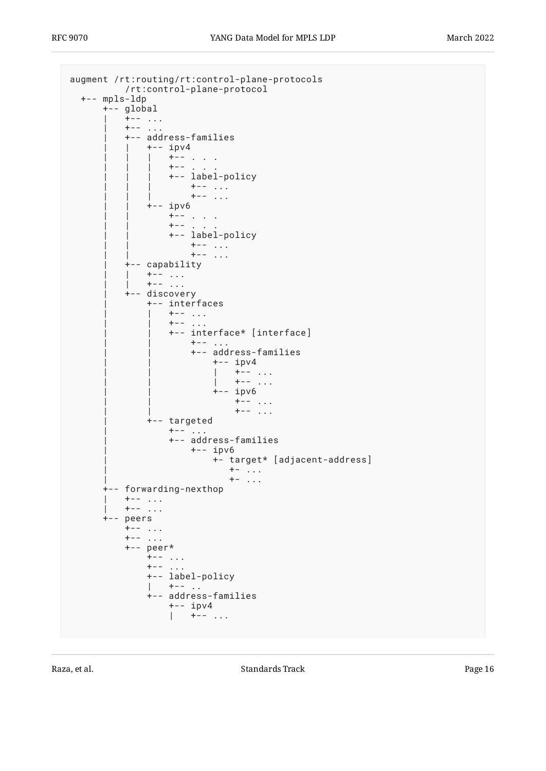```
augment /rt:routing/rt:control-plane-protocols
         /rt:control-plane-protocol
  +-- mpls-ldp
      +-- global
         | +-- ...
\vert +-- ...
 | +-- address-families
 | | +-- ipv4
           | + - - \cdot \cdot \cdot \cdot \cdot |+-- .
              +-- label-policy
 | | | +-- ...
 | | | +-- ...
           +-- ipv6
              +--... .
| | | | | | | | | +-- . . .
 | | +-- label-policy
                 +--...+--... | +-- capability
        | +-- ...
           +--... | +-- discovery
            | +-- interfaces
              +--...| | | | | | | | +-- ...
 | | +-- interface* [interface]
                  +--... | | +-- address-families
                      | | +-- ipv4
 | | | +-- ...
 | | | +-- ...
                     +-- ipv6
 | | +-- ...
 | | +-- ...
            | +-- targeted
              +--... | +-- address-families
                   | +-- ipv6
                      | +- target* [adjacent-address]
                       + - ...
                        +- \ldots +-- forwarding-nexthop
| + - - \cdot \cdot \cdot|\vert +-- ...
      +-- peers
+-- ...
+-- ...
         +-- peer*
           +---...+-- ...
            +-- label-policy
| +-- ...
 +-- address-families
 +-- ipv4
| +-- ...
```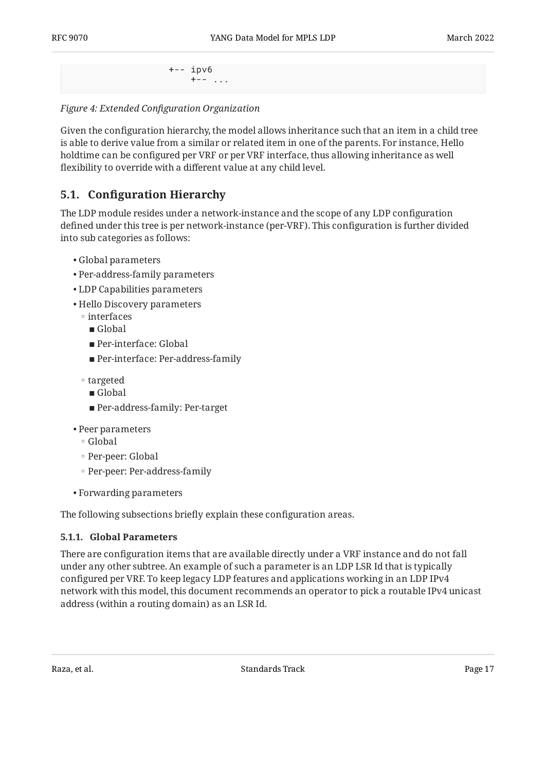```
 +-- ipv6
    +---...
```
*[Figure 4:](#page-15-0) Extended Confi[guration Organization](#page-14-1)* 

Given the configuration hierarchy, the model allows inheritance such that an item in a child tree is able to derive value from a similar or related item in one of the parents. For instance, Hello holdtime can be configured per VRF or per VRF interface, thus allowing inheritance as well flexibility to override with a different value at any child level.

### <span id="page-16-0"></span>**[5.1. C](#page-16-0)onfi[guration Hierarchy](#page-16-0)**

The LDP module resides under a network-instance and the scope of any LDP configuration defined under this tree is per network-instance (per-VRF). This configuration is further divided into sub categories as follows:

- Global parameters •
- Per-address-family parameters •
- LDP Capabilities parameters •
- Hello Discovery parameters •
- interfaces
	- Global
	- Per-interface: Global
	- Per-interface: Per-address-family
- targeted
	- Global
	- Per-address-family: Per-target
- Peer parameters
	- Global ◦
	- Per-peer: Global ◦
	- Per-peer: Per-address-family
- Forwarding parameters •

<span id="page-16-1"></span>The following subsections briefly explain these configuration areas.

#### **[5.1.1. Global Parameters](#page-16-1)**

There are configuration items that are available directly under a VRF instance and do not fall under any other subtree. An example of such a parameter is an LDP LSR Id that is typically configured per VRF. To keep legacy LDP features and applications working in an LDP IPv4 network with this model, this document recommends an operator to pick a routable IPv4 unicast address (within a routing domain) as an LSR Id.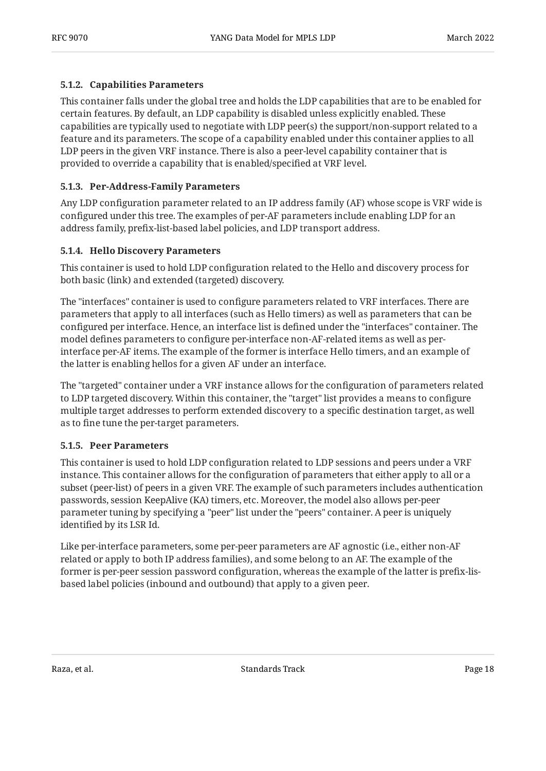#### <span id="page-17-0"></span>**[5.1.2. Capabilities Parameters](#page-17-0)**

This container falls under the global tree and holds the LDP capabilities that are to be enabled for certain features. By default, an LDP capability is disabled unless explicitly enabled. These capabilities are typically used to negotiate with LDP peer(s) the support/non-support related to a feature and its parameters. The scope of a capability enabled under this container applies to all LDP peers in the given VRF instance. There is also a peer-level capability container that is provided to override a capability that is enabled/specified at VRF level.

#### <span id="page-17-1"></span>**[5.1.3. Per-Address-Family Parameters](#page-17-1)**

Any LDP configuration parameter related to an IP address family (AF) whose scope is VRF wide is configured under this tree. The examples of per-AF parameters include enabling LDP for an address family, prefix-list-based label policies, and LDP transport address.

#### <span id="page-17-2"></span>**[5.1.4. Hello Discovery Parameters](#page-17-2)**

This container is used to hold LDP configuration related to the Hello and discovery process for both basic (link) and extended (targeted) discovery.

The "interfaces" container is used to configure parameters related to VRF interfaces. There are parameters that apply to all interfaces (such as Hello timers) as well as parameters that can be configured per interface. Hence, an interface list is defined under the "interfaces" container. The model defines parameters to configure per-interface non-AF-related items as well as perinterface per-AF items. The example of the former is interface Hello timers, and an example of the latter is enabling hellos for a given AF under an interface.

The "targeted" container under a VRF instance allows for the configuration of parameters related to LDP targeted discovery. Within this container, the "target" list provides a means to configure multiple target addresses to perform extended discovery to a specific destination target, as well as to fine tune the per-target parameters.

#### <span id="page-17-3"></span>**[5.1.5. Peer Parameters](#page-17-3)**

This container is used to hold LDP configuration related to LDP sessions and peers under a VRF instance. This container allows for the configuration of parameters that either apply to all or a subset (peer-list) of peers in a given VRF. The example of such parameters includes authentication passwords, session KeepAlive (KA) timers, etc. Moreover, the model also allows per-peer parameter tuning by specifying a "peer" list under the "peers" container. A peer is uniquely identified by its LSR Id.

Like per-interface parameters, some per-peer parameters are AF agnostic (i.e., either non-AF related or apply to both IP address families), and some belong to an AF. The example of the former is per-peer session password configuration, whereas the example of the latter is prefix-lisbased label policies (inbound and outbound) that apply to a given peer.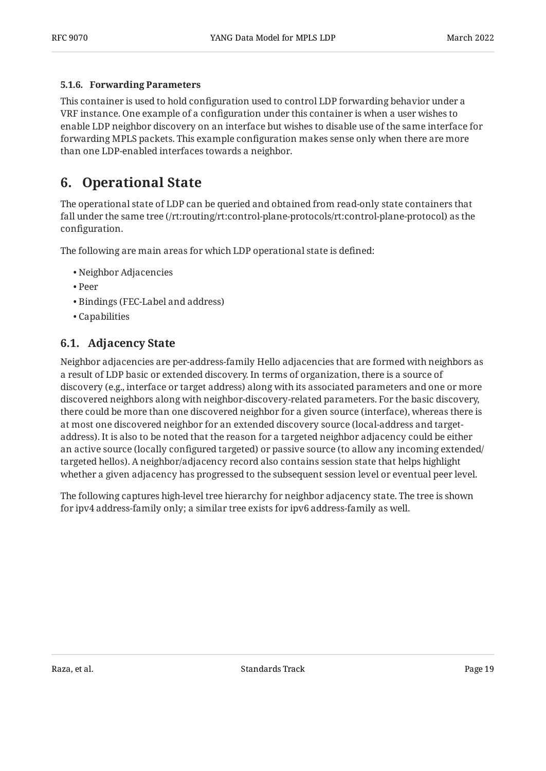#### <span id="page-18-0"></span>**[5.1.6. Forwarding Parameters](#page-18-0)**

This container is used to hold configuration used to control LDP forwarding behavior under a VRF instance. One example of a configuration under this container is when a user wishes to enable LDP neighbor discovery on an interface but wishes to disable use of the same interface for forwarding MPLS packets. This example configuration makes sense only when there are more than one LDP-enabled interfaces towards a neighbor.

# <span id="page-18-1"></span>**[6. Operational State](#page-18-1)**

The operational state of LDP can be queried and obtained from read-only state containers that fall under the same tree (/rt:routing/rt:control-plane-protocols/rt:control-plane-protocol) as the configuration.

The following are main areas for which LDP operational state is defined:

- Neighbor Adjacencies •
- Peer •
- Bindings (FEC-Label and address) •
- <span id="page-18-2"></span>Capabilities •

### **[6.1. Adjacency State](#page-18-2)**

Neighbor adjacencies are per-address-family Hello adjacencies that are formed with neighbors as a result of LDP basic or extended discovery. In terms of organization, there is a source of discovery (e.g., interface or target address) along with its associated parameters and one or more discovered neighbors along with neighbor-discovery-related parameters. For the basic discovery, there could be more than one discovered neighbor for a given source (interface), whereas there is at most one discovered neighbor for an extended discovery source (local-address and targetaddress). It is also to be noted that the reason for a targeted neighbor adjacency could be either an active source (locally configured targeted) or passive source (to allow any incoming extended/ targeted hellos). A neighbor/adjacency record also contains session state that helps highlight whether a given adjacency has progressed to the subsequent session level or eventual peer level.

<span id="page-18-3"></span>The following captures high-level tree hierarchy for neighbor adjacency state. The tree is shown for ipv4 address-family only; a similar tree exists for ipv6 address-family as well.

Raza, et al. Standards Track Page 19 and Standards Track Page 19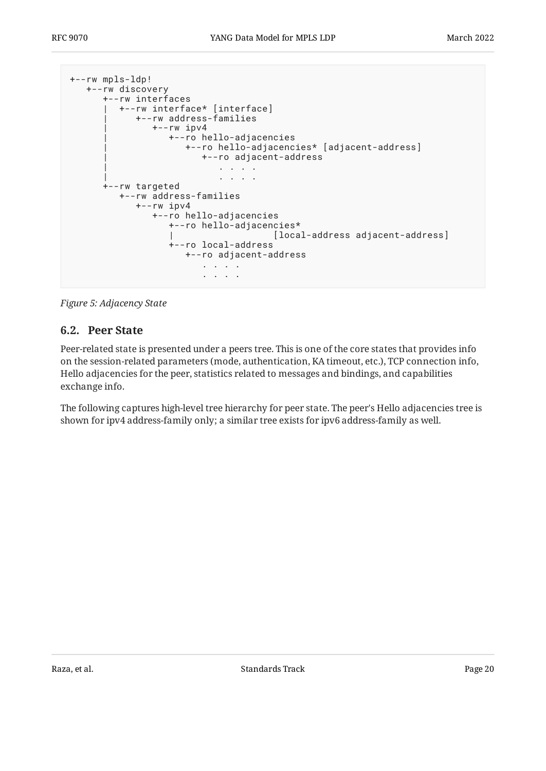```
+--rw mpls-ldp!
   +--rw discovery
      +--rw interfaces
       | +--rw interface* [interface]
             | +--rw address-families
                | +--rw ipv4
                   | +--ro hello-adjacencies
                      | +--ro hello-adjacencies* [adjacent-address]
                         | +--ro adjacent-address
 | . . . .
                             | . . . .
       +--rw targeted
         +--rw address-families
             +--rw ipv4
                +--ro hello-adjacencies
                   +--ro hello-adjacencies*
                                       | [local-address adjacent-address]
                   +--ro local-address
                     +--ro adjacent-address
                         . . . .
                          . . . .
```
<span id="page-19-0"></span>*[Figure 5:](#page-19-1) [Adjacency State](#page-18-3)* 

### **[6.2. Peer State](#page-19-0)**

Peer-related state is presented under a peers tree. This is one of the core states that provides info on the session-related parameters (mode, authentication, KA timeout, etc.), TCP connection info, Hello adjacencies for the peer, statistics related to messages and bindings, and capabilities exchange info.

<span id="page-19-2"></span>The following captures high-level tree hierarchy for peer state. The peer's Hello adjacencies tree is shown for ipv4 address-family only; a similar tree exists for ipv6 address-family as well.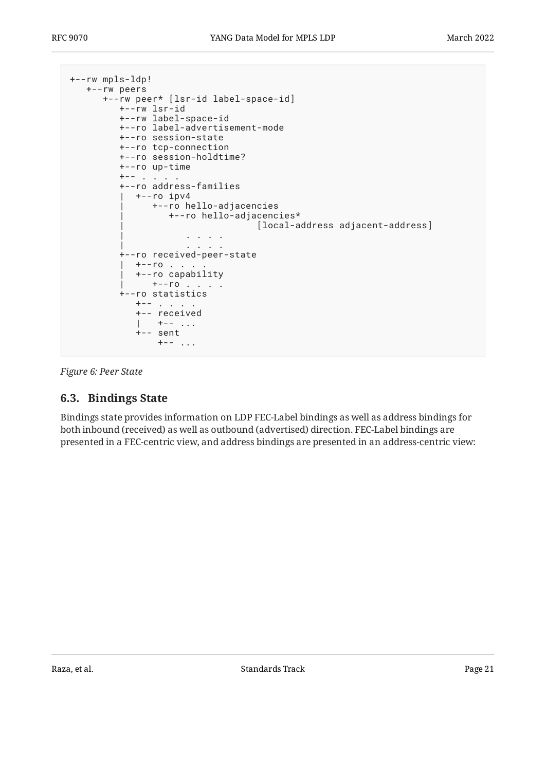```
+--rw mpls-ldp!
   +--rw peers
      +--rw peer* [lsr-id label-space-id]
         +--rw lsr-id
         +--rw label-space-id
         +--ro label-advertisement-mode
         +--ro session-state
         +--ro tcp-connection
         +--ro session-holdtime?
         +--ro up-time
        +-- . .
         +--ro address-families
        | +--ro ipv4
              | +--ro hello-adjacencies
                 | +--ro hello-adjacencies*
                                 | [local-address adjacent-address]
 | . . . .
 | . . . .
         +--ro received-peer-state
        | +--ro |. | | +--ro capability
             + -r0 . . . .
         +--ro statistics
           +-- . . . . .
            +-- received
| +-- ...
 +-- sent
              +---...
```
<span id="page-20-0"></span>*[Figure 6:](#page-20-1) [Peer State](#page-19-2)* 

### **[6.3. Bindings State](#page-20-0)**

<span id="page-20-2"></span>Bindings state provides information on LDP FEC-Label bindings as well as address bindings for both inbound (received) as well as outbound (advertised) direction. FEC-Label bindings are presented in a FEC-centric view, and address bindings are presented in an address-centric view: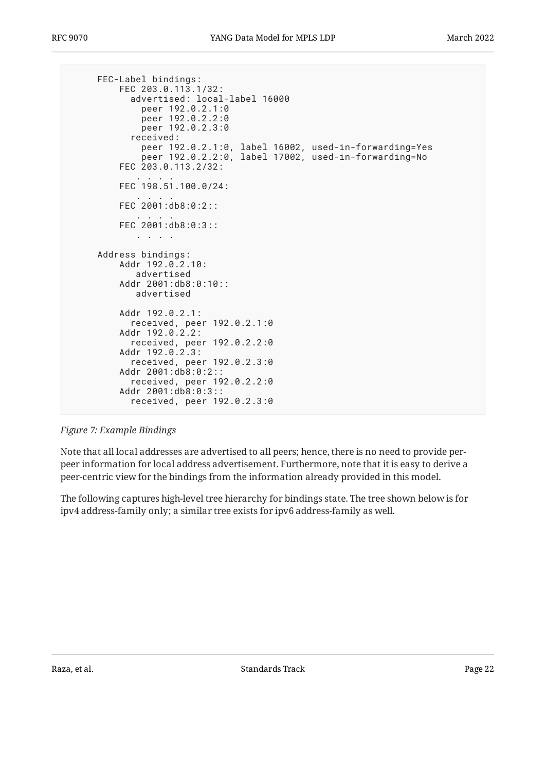```
 FEC-Label bindings:
         FEC 203.0.113.1/32:
           advertised: local-label 16000
             peer 192.0.2.1:0
 peer 192.0.2.2:0
 peer 192.0.2.3:0
           received:
             peer 192.0.2.1:0, label 16002, used-in-forwarding=Yes
             peer 192.0.2.2:0, label 17002, used-in-forwarding=No
         FEC 203.0.113.2/32:
 . . . .
         FEC 198.51.100.0/24:
 . . . .
         FEC 2001:db8:0:2::
 . . . .
         FEC 2001:db8:0:3::
            . . . .
     Address bindings:
         Addr 192.0.2.10:
            advertised
         Addr 2001:db8:0:10::
            advertised
         Addr 192.0.2.1:
           received, peer 192.0.2.1:0
         Addr 192.0.2.2:
           received, peer 192.0.2.2:0
        Addr 192.0.2.3:
           received, peer 192.0.2.3:0
         Addr 2001:db8:0:2::
           received, peer 192.0.2.2:0
         Addr 2001:db8:0:3::
           received, peer 192.0.2.3:0
```
*[Figure 7:](#page-21-0) [Example Bindings](#page-20-2)* 

Note that all local addresses are advertised to all peers; hence, there is no need to provide perpeer information for local address advertisement. Furthermore, note that it is easy to derive a peer-centric view for the bindings from the information already provided in this model.

<span id="page-21-1"></span>The following captures high-level tree hierarchy for bindings state. The tree shown below is for ipv4 address-family only; a similar tree exists for ipv6 address-family as well.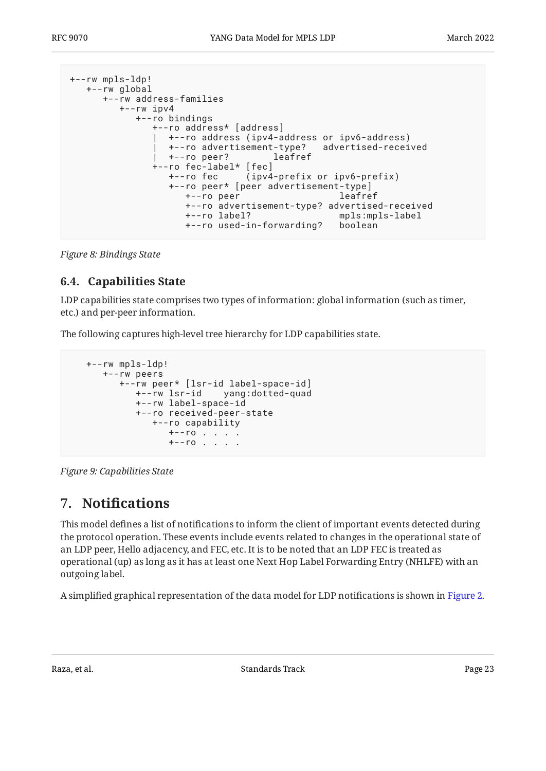```
+--rw mpls-ldp!
   +--rw global
      +--rw address-families
         +--rw ipv4
            +--ro bindings
               +--ro address* [address]
                 | +--ro address (ipv4-address or ipv6-address)
                 | +--ro advertisement-type? advertised-received
                 | +--ro peer? leafref
               +--ro fec-label* [fec]
                  +--ro fec (ipv4-prefix or ipv6-prefix)
                  +--ro peer* [peer advertisement-type]
                    +--ro peer leafref
                    +--ro advertisement-type? advertised-received
                    +--ro label? mpls:mpls-label
                    +--ro used-in-forwarding? boolean
```
<span id="page-22-0"></span>*[Figure 8:](#page-22-2) [Bindings State](#page-21-1)* 

### **[6.4. Capabilities State](#page-22-0)**

LDP capabilities state comprises two types of information: global information (such as timer, etc.) and per-peer information.

The following captures high-level tree hierarchy for LDP capabilities state.

```
 +--rw mpls-ldp!
   +--rw peers
       +--rw peer* [lsr-id label-space-id]
         +--rw lsr-id yang:dotted-quad
          +--rw label-space-id
          +--ro received-peer-state
             +--ro capability
               +--ro . . . .
                +--ro . . . .
```
<span id="page-22-1"></span>*[Figure 9: Capabilities State](#page-22-3)* 

# **[7. N](#page-22-1)otifi[cations](#page-22-1)**

This model defines a list of notifications to inform the client of important events detected during the protocol operation. These events include events related to changes in the operational state of an LDP peer, Hello adjacency, and FEC, etc. It is to be noted that an LDP FEC is treated as operational (up) as long as it has at least one Next Hop Label Forwarding Entry (NHLFE) with an outgoing label.

A simplified graphical representation of the data model for LDP notifications is shown in [Figure 2.](#page-6-0)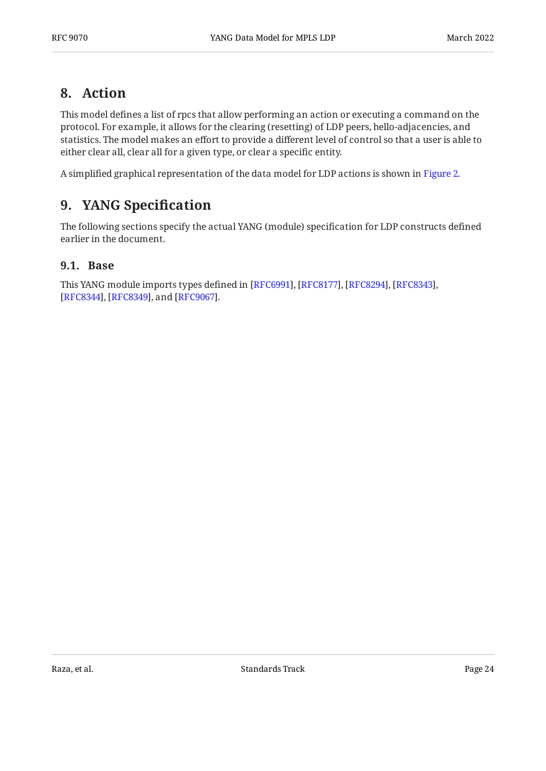### <span id="page-23-0"></span>**[8. Action](#page-23-0)**

This model defines a list of rpcs that allow performing an action or executing a command on the protocol. For example, it allows for the clearing (resetting) of LDP peers, hello-adjacencies, and statistics. The model makes an effort to provide a different level of control so that a user is able to either clear all, clear all for a given type, or clear a specific entity.

<span id="page-23-1"></span>A simplified graphical representation of the data model for LDP actions is shown in [Figure 2.](#page-6-0)

# **[9. YANG Speci](#page-23-1)fication**

The following sections specify the actual YANG (module) specification for LDP constructs defined earlier in the document.

### <span id="page-23-2"></span>**[9.1. Base](#page-23-2)**

This YANG module imports types defined in [RFC6991], [RFC8177], [RFC8294], [RFC8343], [[RFC8344\]](#page-71-10), [RFC8349], and [RFC9067].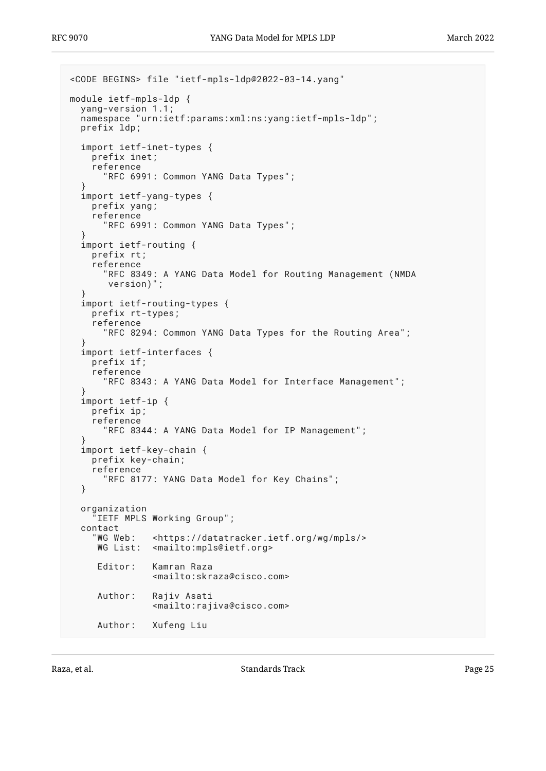```
<CODE BEGINS> file "ietf-mpls-ldp@2022-03-14.yang"
module ietf-mpls-ldp {
   yang-version 1.1;
   namespace "urn:ietf:params:xml:ns:yang:ietf-mpls-ldp";
   prefix ldp;
   import ietf-inet-types {
     prefix inet;
     reference
       "RFC 6991: Common YANG Data Types";
 }
   import ietf-yang-types {
     prefix yang;
     reference
       "RFC 6991: Common YANG Data Types";
 }
   import ietf-routing {
     prefix rt;
     reference
       "RFC 8349: A YANG Data Model for Routing Management (NMDA
        version)";
   }
   import ietf-routing-types {
     prefix rt-types;
     reference
       "RFC 8294: Common YANG Data Types for the Routing Area";
 }
   import ietf-interfaces {
     prefix if;
     reference
       "RFC 8343: A YANG Data Model for Interface Management";
 }
   import ietf-ip {
     prefix ip;
     reference
       "RFC 8344: A YANG Data Model for IP Management";
 }
   import ietf-key-chain {
     prefix key-chain;
     reference
       "RFC 8177: YANG Data Model for Key Chains";
   }
   organization
     "IETF MPLS Working Group";
  contact<br>"WG Web:
                <https://datatracker.ietf.org/wg/mpls/>
     WG List: <mailto:mpls@ietf.org>
      Editor: Kamran Raza
                 <mailto:skraza@cisco.com>
      Author: Rajiv Asati
                 <mailto:rajiva@cisco.com>
      Author: Xufeng Liu
```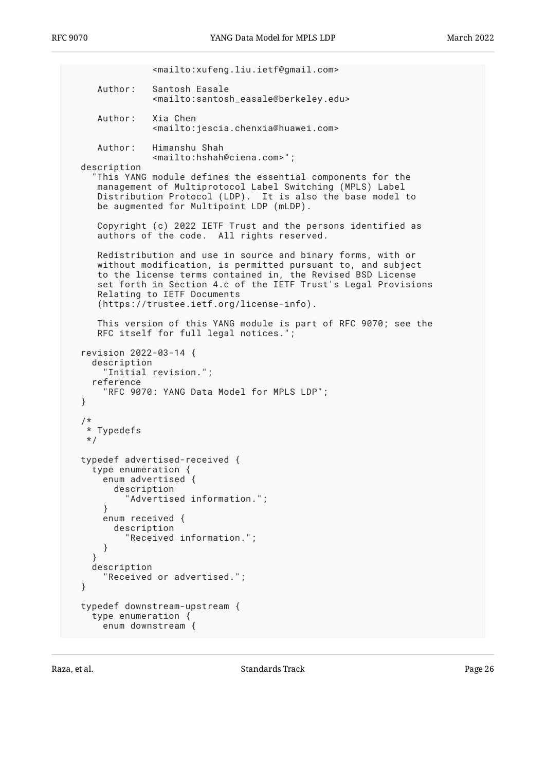```
 <mailto:xufeng.liu.ietf@gmail.com>
      Author: Santosh Easale
                <mailto:santosh_easale@berkeley.edu>
      Author: Xia Chen
                <mailto:jescia.chenxia@huawei.com>
     Author: Himanshu Shah
                <mailto:hshah@ciena.com>";
  description
     "This YANG module defines the essential components for the
     management of Multiprotocol Label Switching (MPLS) Label
     Distribution Protocol (LDP). It is also the base model to
     be augmented for Multipoint LDP (mLDP).
 Copyright (c) 2022 IETF Trust and the persons identified as
 authors of the code. All rights reserved.
     Redistribution and use in source and binary forms, with or
     without modification, is permitted pursuant to, and subject
     to the license terms contained in, the Revised BSD License
     set forth in Section 4.c of the IETF Trust's Legal Provisions
     Relating to IETF Documents
      (https://trustee.ietf.org/license-info).
     This version of this YANG module is part of RFC 9070; see the
    RFC itself for full legal notices."
  revision 2022-03-14 {
    description
       "Initial revision.";
    reference
       "RFC 9070: YANG Data Model for MPLS LDP";
  }
   /*
   * Typedefs
   */
  typedef advertised-received {
    type enumeration {
      enum advertised {
         description
           "Advertised information.";
       }
      enum received {
         description
           "Received information.";
      }
 }
    description
       "Received or advertised.";
  }
  typedef downstream-upstream {
    type enumeration {
      enum downstream {
```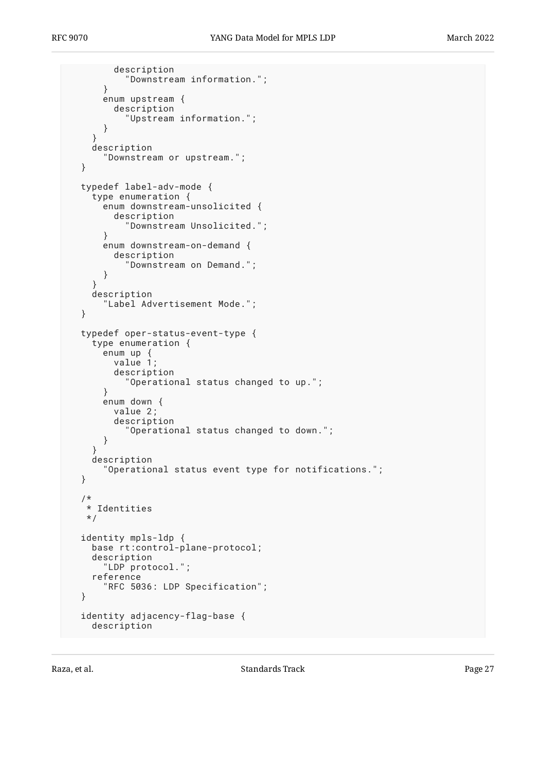description

```
 "Downstream information.";
     }
     enum upstream {
       description
          "Upstream information.";
     }
   }
   description
     "Downstream or upstream.";
 }
 typedef label-adv-mode {
   type enumeration {
     enum downstream-unsolicited {
       description
          "Downstream Unsolicited.";
     }
     enum downstream-on-demand {
       description
          "Downstream on Demand.";
     }
   }
   description
     "Label Advertisement Mode.";
 }
 typedef oper-status-event-type {
   type enumeration {
     enum up {
       value 1;
       description
          "Operational status changed to up.";
     }
     enum down {
       value 2;
       description
          "Operational status changed to down.";
     }
   }
   description
     "Operational status event type for notifications.";
 }
 /*
  * Identities
  */
 identity mpls-ldp {
   base rt:control-plane-protocol;
   description
     "LDP protocol.";
   reference
     "RFC 5036: LDP Specification";
 }
 identity adjacency-flag-base {
   description
```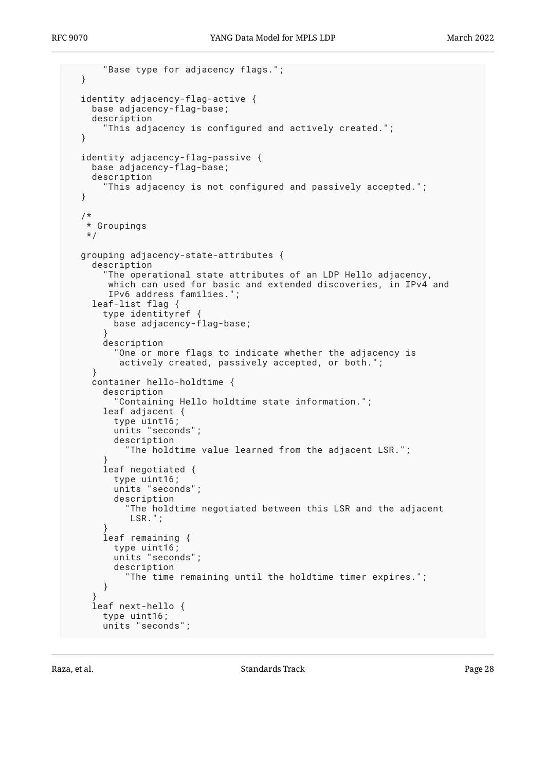```
 "Base type for adjacency flags.";
   }
  identity adjacency-flag-active {
    base adjacency-flag-base;
    description
       "This adjacency is configured and actively created.";
  }
  identity adjacency-flag-passive {
    base adjacency-flag-base;
    description
       "This adjacency is not configured and passively accepted.";
  }
   /*
   * Groupings
   */
  grouping adjacency-state-attributes {
    description
       "The operational state attributes of an LDP Hello adjacency,
       which can used for basic and extended discoveries, in IPv4 and
        IPv6 address families.";
     leaf-list flag {
       type identityref {
         base adjacency-flag-base;
 }
       description
        "One or more flags to indicate whether the adjacency is
          actively created, passively accepted, or both.";
     }
     container hello-holdtime {
       description
         "Containing Hello holdtime state information.";
       leaf adjacent {
         type uint16;
         units "seconds";
         description
           "The holdtime value learned from the adjacent LSR.";
 }
       leaf negotiated {
         type uint16;
         units "seconds";
         description
            "The holdtime negotiated between this LSR and the adjacent
            LSR.";
 }
       leaf remaining {
         type uint16;
         units "seconds";
         description
           "The time remaining until the holdtime timer expires.";
       }
 }
     leaf next-hello {
       type uint16;
       units "seconds";
```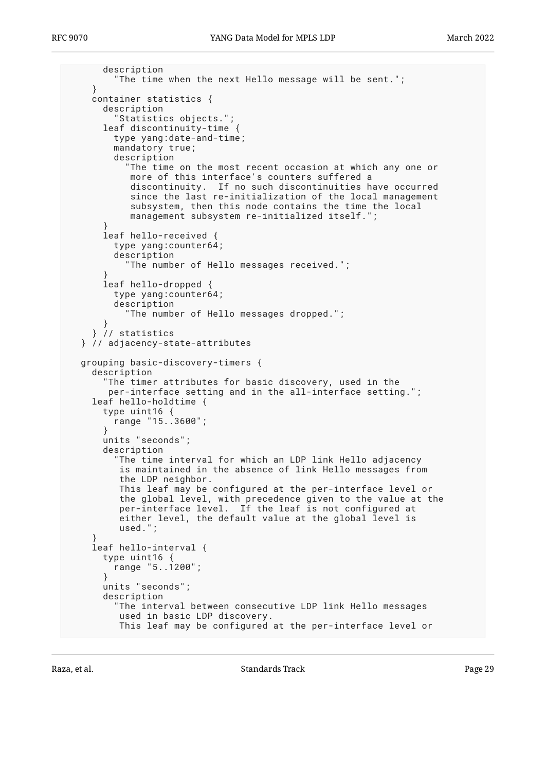```
 description
         "The time when the next Hello message will be sent.";
    }
    container statistics {
      description
         Statistics objects.";
      leaf discontinuity-time {
         type yang:date-and-time;
         mandatory true;
         description
           "The time on the most recent occasion at which any one or
            more of this interface's counters suffered a
            discontinuity. If no such discontinuities have occurred
            since the last re-initialization of the local management
            subsystem, then this node contains the time the local
           management subsystem re-initialized itself.'
 }
      leaf hello-received {
         type yang:counter64;
        description
           "The number of Hello messages received.";
 }
      leaf hello-dropped {
         type yang:counter64;
         description
           "The number of Hello messages dropped.";
 }
     } // statistics
  } // adjacency-state-attributes
  grouping basic-discovery-timers {
    description
      "The timer attributes for basic discovery, used in the
        per-interface setting and in the all-interface setting.";
    leaf hello-holdtime {
      type uint16 {
        range "15..3600";
       }
      units "seconds";
      description
         "The time interval for which an LDP link Hello adjacency
         is maintained in the absence of link Hello messages from
          the LDP neighbor.
         This leaf may be configured at the per-interface level or
 the global level, with precedence given to the value at the
 per-interface level. If the leaf is not configured at
 either level, the default value at the global level is
         used.";
 }
    leaf hello-interval {
      type uint16 {
        range "5..1200";
       }
      units "seconds";
      description
         "The interval between consecutive LDP link Hello messages
          used in basic LDP discovery.
         This leaf may be configured at the per-interface level or
```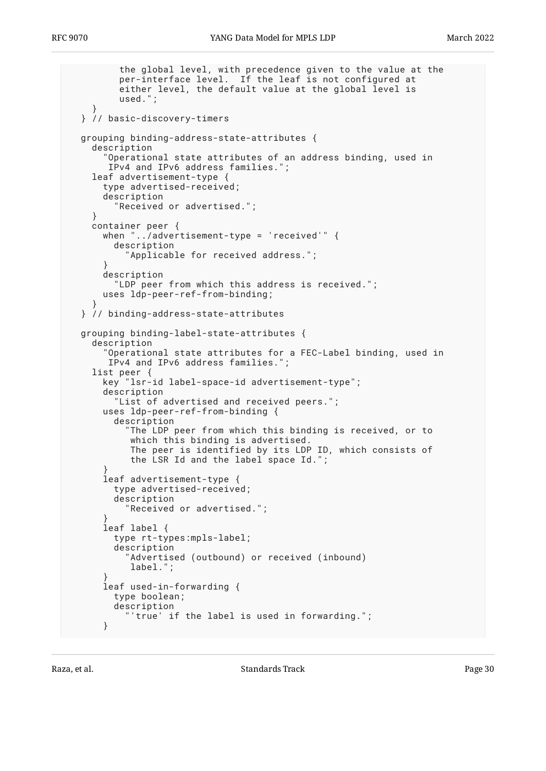```
 the global level, with precedence given to the value at the
          per-interface level. If the leaf is not configured at
          either level, the default value at the global level is
          used.";
 }
  } // basic-discovery-timers
  grouping binding-address-state-attributes {
    description
       "Operational state attributes of an address binding, used in
       IPv4 and IPv6 address families.";
    leaf advertisement-type {
       type advertised-received;
       description
         "Received or advertised.";
 }
    container peer {
      when "../advertisement-type = 'received'" {
         description
           "Applicable for received address.";
 }
       description
         "LDP peer from which this address is received.";
       uses ldp-peer-ref-from-binding;
 }
  } // binding-address-state-attributes
  grouping binding-label-state-attributes {
    description
       "Operational state attributes for a FEC-Label binding, used in
       IPv4 and IPv6 address families.";
    list peer {
      key "lsr-id label-space-id advertisement-type";
       description
         "List of advertised and received peers.";
      uses ldp-peer-ref-from-binding {
         description
           "The LDP peer from which this binding is received, or to
            which this binding is advertised.
            The peer is identified by its LDP ID, which consists of
            the LSR Id and the label space Id.";
 }
       leaf advertisement-type {
         type advertised-received;
         description
           "Received or advertised.";
 }
       leaf label {
         type rt-types:mpls-label;
         description
           "Advertised (outbound) or received (inbound)
            label.";
 }
       leaf used-in-forwarding {
         type boolean;
         description
           "'true' if the label is used in forwarding.";
       }
```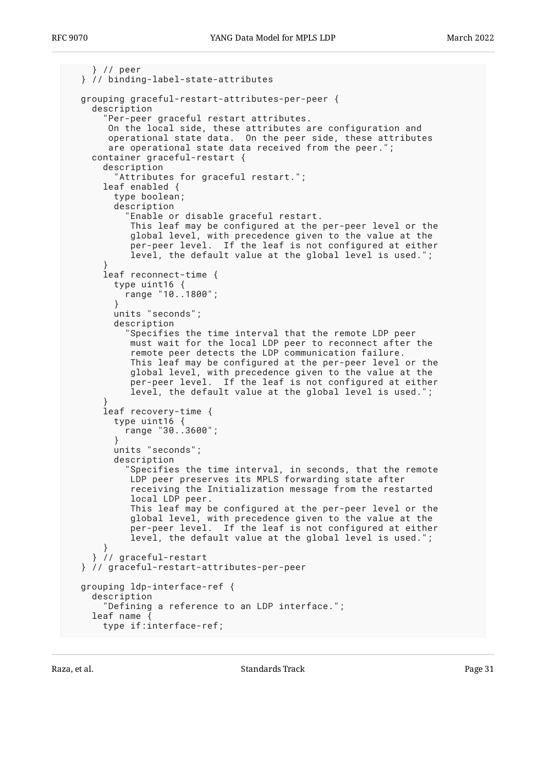```
 } // peer
  } // binding-label-state-attributes
  grouping graceful-restart-attributes-per-peer {
    description
       "Per-peer graceful restart attributes.
 On the local side, these attributes are configuration and
 operational state data. On the peer side, these attributes
       are operational state data received from the peer.";
    container graceful-restart {
      description
         "Attributes for graceful restart.";
      leaf enabled {
        type boolean;
        description
           "Enable or disable graceful restart.
           This leaf may be configured at the per-peer level or the
           global level, with precedence given to the value at the
           per-peer level. If the leaf is not configured at either
          level, the default value at the global level is used.";
 }
      leaf reconnect-time {
        type uint16 {
          range "10..1800";
 }
        units "seconds";
        description
           "Specifies the time interval that the remote LDP peer
 must wait for the local LDP peer to reconnect after the
 remote peer detects the LDP communication failure.
           This leaf may be configured at the per-peer level or the
           global level, with precedence given to the value at the
           per-peer level. If the leaf is not configured at either
           level, the default value at the global level is used.";
 }
      leaf recovery-time {
        type uint16 {
          range "30..3600";
 }
        units "seconds";
        description
           "Specifies the time interval, in seconds, that the remote
           LDP peer preserves its MPLS forwarding state after
           receiving the Initialization message from the restarted
 local LDP peer.
 This leaf may be configured at the per-peer level or the
 global level, with precedence given to the value at the
           per-peer level. If the leaf is not configured at either
           level, the default value at the global level is used.";
 }
    } // graceful-restart
  } // graceful-restart-attributes-per-peer
  grouping ldp-interface-ref {
    description
       "Defining a reference to an LDP interface.";
   leaf name
      type if:interface-ref;
```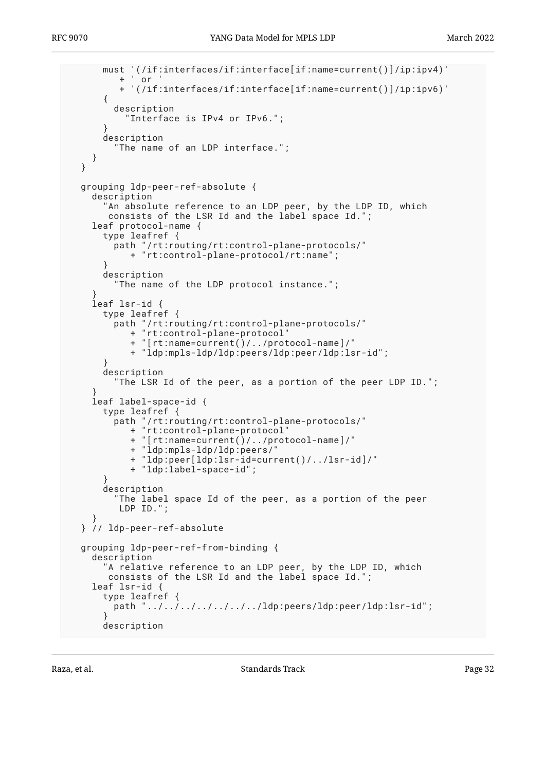```
 must '(/if:interfaces/if:interface[if:name=current()]/ip:ipv4)'
            or + '(/if:interfaces/if:interface[if:name=current()]/ip:ipv6)'
      \{ description
           "Interface is IPv4 or IPv6.";
 }
       description
         "The name of an LDP interface.";
    }
  }
  grouping ldp-peer-ref-absolute {
    description
       "An absolute reference to an LDP peer, by the LDP ID, which
       consists of the LSR Id and the label space Id.";
    leaf protocol-name {
       type leafref {
        path "/rt:routing/rt:control-plane-protocols/"
            + "rt:control-plane-protocol/rt:name";
 }
       description
         "The name of the LDP protocol instance.";
 }
    leaf lsr-id {
       type leafref {
         path "/rt:routing/rt:control-plane-protocols/"
            + "rt:control-plane-protocol"
            + "[rt:name=current()/../protocol-name]/"
            + "ldp:mpls-ldp/ldp:peers/ldp:peer/ldp:lsr-id";
 }
       description
         "The LSR Id of the peer, as a portion of the peer LDP ID.";
 }
    leaf label-space-id {
       type leafref {
         path "/rt:routing/rt:control-plane-protocols/"
            + "rt:control-plane-protocol"
            + "[rt:name=current()/../protocol-name]/"
            + "ldp:mpls-ldp/ldp:peers/"
            + "ldp:peer[ldp:lsr-id=current()/../lsr-id]/"
            + "ldp:label-space-id";
 }
       description
         "The label space Id of the peer, as a portion of the peer
          LDP ID.";
 }
  } // ldp-peer-ref-absolute
  grouping ldp-peer-ref-from-binding {
    description
       "A relative reference to an LDP peer, by the LDP ID, which
       consists of the LSR Id and the label space Id.";
    leaf lsr-id {
       type leafref {
        path "../../../../../../../ldp:peers/ldp:peer/ldp:lsr-id";
 }
      description
```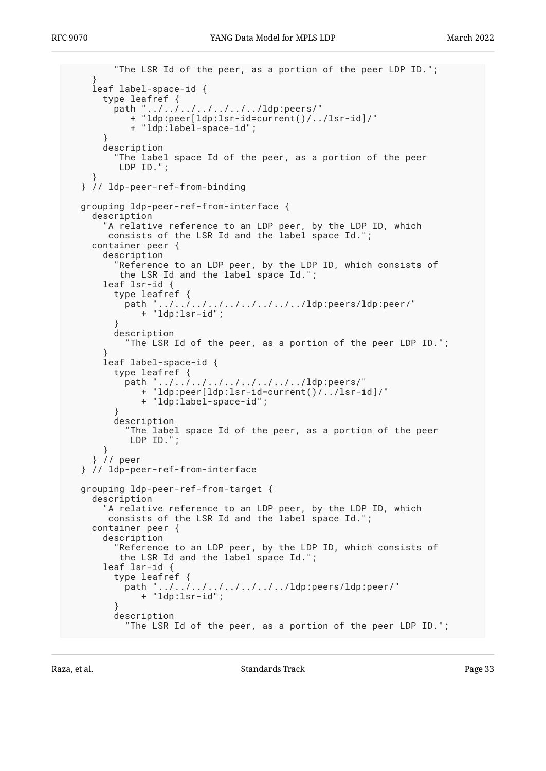```
 "The LSR Id of the peer, as a portion of the peer LDP ID.";
 }
    leaf label-space-id {
      type leafref {
        path "../../../../../../../ldp:peers/"
           + "ldp:peer[ldp:lsr-id=current()/../lsr-id]/"
            + "ldp:label-space-id";
       }
      description
         "The label space Id of the peer, as a portion of the peer
         LDP ID.";
 }
  } // ldp-peer-ref-from-binding
  grouping ldp-peer-ref-from-interface {
    description
 "A relative reference to an LDP peer, by the LDP ID, which
 consists of the LSR Id and the label space Id.";
    container peer {
      description
         "Reference to an LDP peer, by the LDP ID, which consists of
         the LSR Id and the label space Id.";
      leaf lsr-id {
        type leafref {
          path "../../../../../../../../../ldp:peers/ldp:peer/"
              + "ldp:lsr-id";
 }
        description
           "The LSR Id of the peer, as a portion of the peer LDP ID.";
 }
      leaf label-space-id {
        type leafref {
          path "../../../../../../../../../ldp:peers/"
             + "ldp:peer[ldp:lsr-id=current()/../lsr-id]/"
              + "ldp:label-space-id";
 }
        description
          "The label space Id of the peer, as a portion of the peer
           LDP ID.";
      }
     } // peer
  } // ldp-peer-ref-from-interface
  grouping ldp-peer-ref-from-target {
    description
 "A relative reference to an LDP peer, by the LDP ID, which
 consists of the LSR Id and the label space Id.";
    container peer {
      description
         "Reference to an LDP peer, by the LDP ID, which consists of
         the LSR Id and the label space Id.";
      leaf lsr-id {
        type leafref {
          path "../../../../../../../../ldp:peers/ldp:peer/"
             + "ldp:lsr-id";
 }
        description
           "The LSR Id of the peer, as a portion of the peer LDP ID.";
```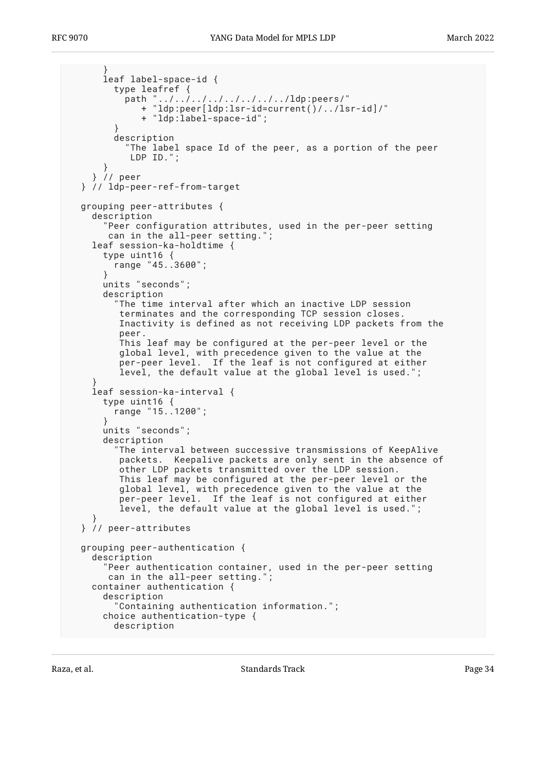```
 }
       leaf label-space-id {
         type leafref {
          path "../../../../../../../../ldp:peers/"
              + "ldp:peer[ldp:lsr-id=current()/../lsr-id]/"
              + "ldp:label-space-id";
 }
         description
           "The label space Id of the peer, as a portion of the peer
            LDP ID.";
 }
     } // peer
  } // ldp-peer-ref-from-target
  grouping peer-attributes {
    description
       "Peer configuration attributes, used in the per-peer setting
      can in the all-peer setting.";
    leaf session-ka-holdtime {
      type uint16 {
        range "45..3600";
       }
      units "seconds";
      description
         "The time interval after which an inactive LDP session
          terminates and the corresponding TCP session closes.
          Inactivity is defined as not receiving LDP packets from the
          peer.
         This leaf may be configured at the per-peer level or the
         global level, with precedence given to the value at the
         per-peer level. If the leaf is not configured at either
          level, the default value at the global level is used.";
 }
    leaf session-ka-interval {
      type uint16 {
         range "15..1200";
 }
      units "seconds";
      description
         "The interval between successive transmissions of KeepAlive
         packets. Keepalive packets are only sent in the absence of
         other LDP packets transmitted over the LDP session.
         This leaf may be configured at the per-peer level or the
          global level, with precedence given to the value at the
          per-peer level. If the leaf is not configured at either
          level, the default value at the global level is used.";
 }
  } // peer-attributes
  grouping peer-authentication {
    description
       "Peer authentication container, used in the per-peer setting
       can in the all-peer setting.";
    container authentication {
      description
         "Containing authentication information.";
       choice authentication-type {
        description
```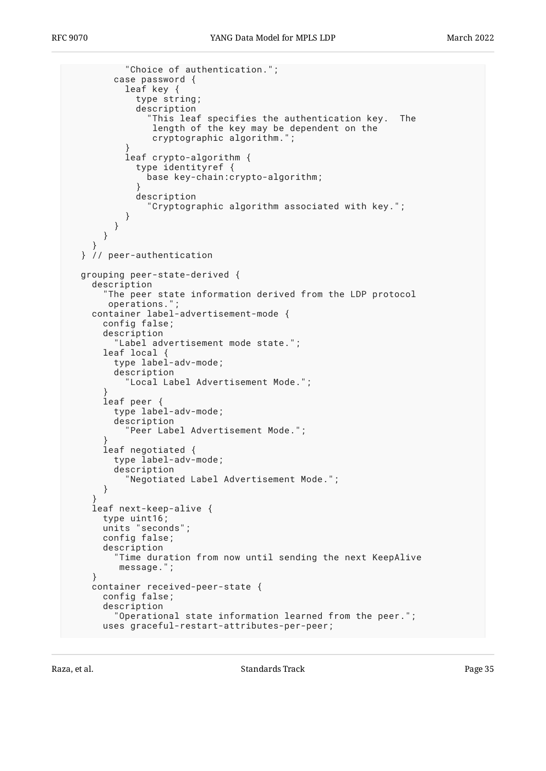```
 "Choice of authentication.";
        case password {
          leaf key {
            type string;
            description
 "This leaf specifies the authentication key. The
 length of the key may be dependent on the
 cryptographic algorithm.";
 }
          leaf crypto-algorithm {
            type identityref {
              base key-chain:crypto-algorithm;
 }
            description
               "Cryptographic algorithm associated with key.";
 }
        }
      }
 }
  } // peer-authentication
  grouping peer-state-derived {
    description
       "The peer state information derived from the LDP protocol
       operations.";
    container label-advertisement-mode {
      config false;
      description
         "Label advertisement mode state.";
      leaf local {
        type label-adv-mode;
        description
          "Local Label Advertisement Mode.";
 }
      leaf peer {
        type label-adv-mode;
        description
          "Peer Label Advertisement Mode.";
 }
      leaf negotiated {
        type label-adv-mode;
        description
           "Negotiated Label Advertisement Mode.";
      }
 }
    leaf next-keep-alive {
      type uint16;
      units "seconds";
      config false;
      description
         "Time duration from now until sending the next KeepAlive
         message.";
    }
    container received-peer-state {
      config false;
      description
         "Operational state information learned from the peer.";
      uses graceful-restart-attributes-per-peer;
```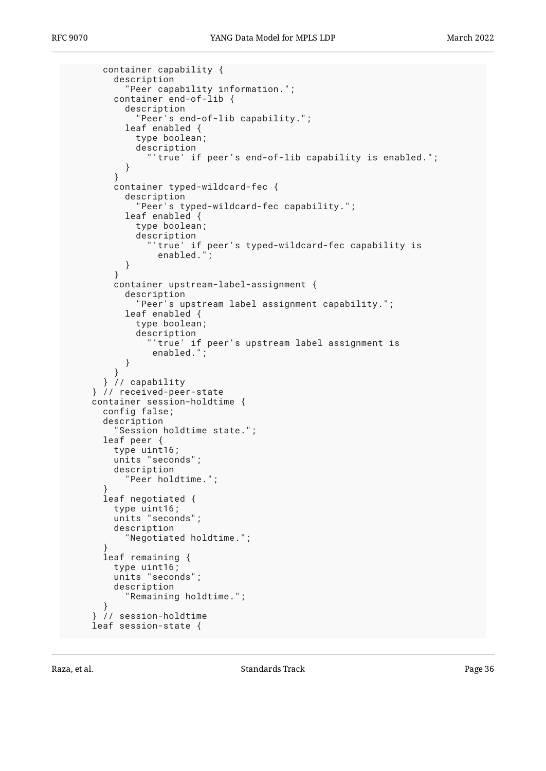```
 container capability {
         description
           "Peer capability information.";
         container end-of-lib {
           description
              "Peer's end-of-lib capability.";
           leaf enabled {
             type boolean;
             description
               "'true' if peer's end-of-lib capability is enabled.";
           }
 }
         container typed-wildcard-fec {
           description
             "Peer's typed-wildcard-fec capability.";
           leaf enabled {
             type boolean;
             description
               "'true' if peer's typed-wildcard-fec capability is
                enabled."
           }
 }
         container upstream-label-assignment {
           description
              "Peer's upstream label assignment capability.";
           leaf enabled {
             type boolean;
             description
               "'true' if peer's upstream label assignment is
                enabled.";
 }
 }
       } // capability
     } // received-peer-state
    container session-holdtime {
      config false;
       description
         "Session holdtime state.";
      leaf peer {
         type uint16;
         units "seconds";
         description
           "Peer holdtime.";
 }
      leaf negotiated {
         type uint16;
         units "seconds";
         description
           "Negotiated holdtime.";
 }
       leaf remaining {
         type uint16;
         units "seconds";
         description
           "Remaining holdtime.";
       }
     // session-holdtime
    leaf session-state {
```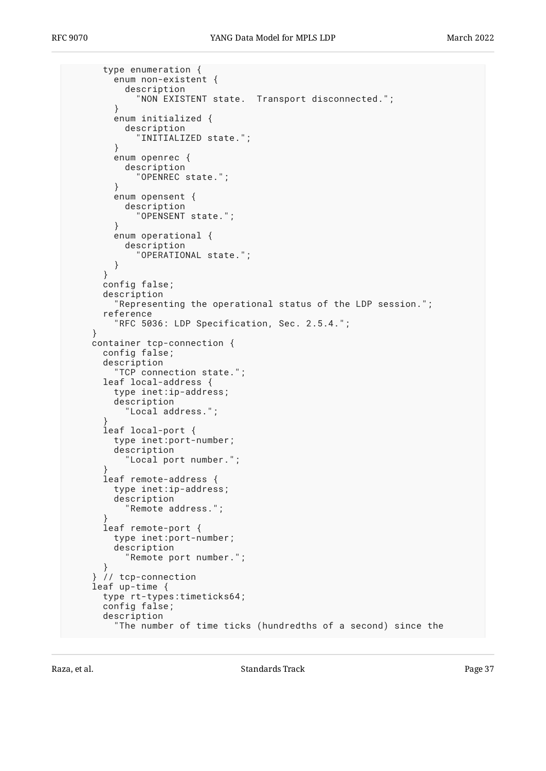```
 type enumeration {
         enum non-existent {
           description
             "NON EXISTENT state. Transport disconnected.";
 }
         enum initialized {
           description
             "INITIALIZED state.";
 }
         enum openrec {
           description
             "OPENREC state.";
 }
         enum opensent {
           description
             "OPENSENT state.";
 }
         enum operational {
           description
             "OPERATIONAL state.";
         }
       }
       config false;
       description
         "Representing the operational status of the LDP session.";
       reference
         "RFC 5036: LDP Specification, Sec. 2.5.4.";
     }
    container tcp-connection {
      config false;
      description
         "TCP connection state.";
      leaf local-address {
         type inet:ip-address;
         description
           "Local address.";
 }
       leaf local-port {
         type inet:port-number;
         description
           "Local port number.";
 }
       leaf remote-address {
         type inet:ip-address;
         description
           "Remote address.";
 }
       leaf remote-port {
         type inet:port-number;
         description
           "Remote port number.";
 }
     } // tcp-connection
    leaf up-time {
      type rt-types:timeticks64;
      config false;
      description
         "The number of time ticks (hundredths of a second) since the
```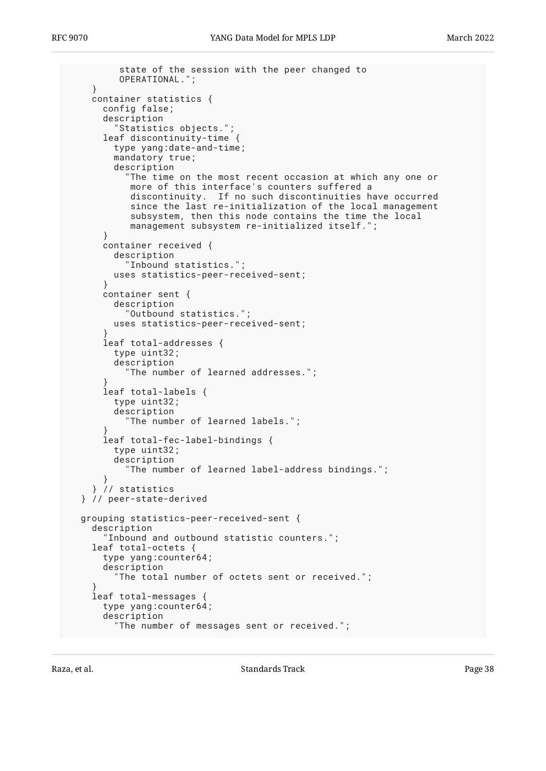```
 state of the session with the peer changed to
          OPERATIONAL.";
     }
     container statistics {
      config false;
       description
          "Statistics objects.";
      leaf discontinuity-time {
         type yang:date-and-time;
         mandatory true;
         description
           "The time on the most recent occasion at which any one or
            more of this interface's counters suffered a
            discontinuity. If no such discontinuities have occurred
           since the last re-initialization of the local management
            subsystem, then this node contains the time the local
           management subsystem re-initialized itself.'
       }
      container received {
         description
           "Inbound statistics.";
         uses statistics-peer-received-sent;
       }
      container sent {
         description
            "Outbound statistics.";
         uses statistics-peer-received-sent;
 }
      leaf total-addresses {
         type uint32;
         description
           "The number of learned addresses.";
 }
       leaf total-labels {
         type uint32;
         description
           "The number of learned labels.";
 }
       leaf total-fec-label-bindings {
         type uint32;
         description
           "The number of learned label-address bindings.";
 }
     } // statistics
  } // peer-state-derived
  grouping statistics-peer-received-sent {
     description
       "Inbound and outbound statistic counters.";
     leaf total-octets {
       type yang:counter64;
       description
         "The total number of octets sent or received.";
 }
     leaf total-messages {
      type yang:counter64;
       description
         "The number of messages sent or received.";
```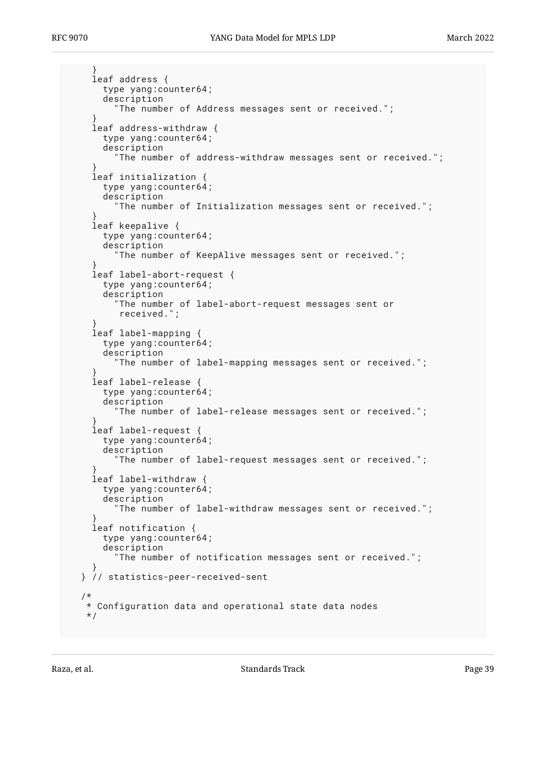```
 }
    leaf address {
      type yang:counter64;
       description
         "The number of Address messages sent or received.";
 }
    leaf address-withdraw {
       type yang:counter64;
      description
        "The number of address-withdraw messages sent or received.";
 }
    leaf initialization {
       type yang:counter64;
      description
         "The number of Initialization messages sent or received.";
 }
    leaf keepalive {
       type yang:counter64;
       description
         "The number of KeepAlive messages sent or received.";
 }
    leaf label-abort-request {
      type yang:counter64;
      description
         "The number of label-abort-request messages sent or
          received.";
 }
    leaf label-mapping {
      type yang:counter64;
      description
         "The number of label-mapping messages sent or received.";
 }
    leaf label-release {
      type yang:counter64;
      description
         "The number of label-release messages sent or received.";
 }
    leaf label-request {
      type yang:counter64;
      description
         "The number of label-request messages sent or received.";
 }
    leaf label-withdraw {
      type yang:counter64;
      description
         "The number of label-withdraw messages sent or received.";
 }
    leaf notification {
      type yang:counter64;
      description
         "The number of notification messages sent or received.";
 }
  } // statistics-peer-received-sent
   /*
   * Configuration data and operational state data nodes
   */
```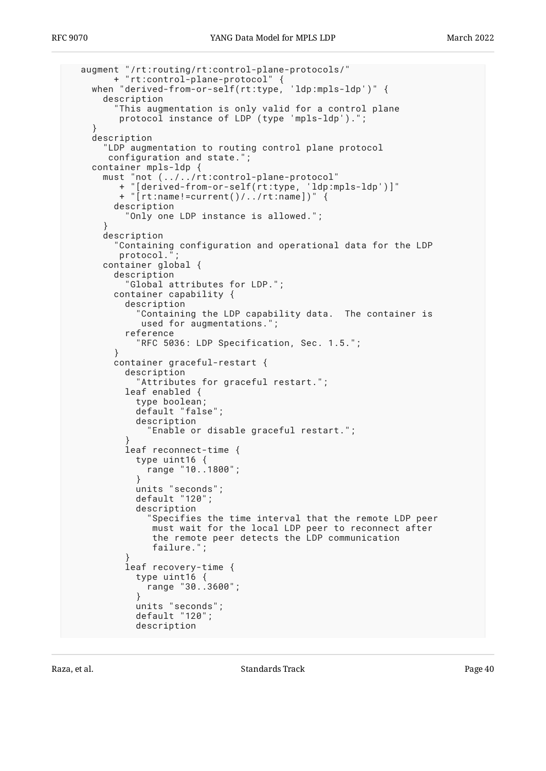```
 augment "/rt:routing/rt:control-plane-protocols/"
        + "rt:control-plane-protocol" {
    when "derived-from-or-self(rt:type, 'ldp:mpls-ldp')" {
      description
         "This augmentation is only valid for a control plane
         protocol instance of LDP (type 'mpls-ldp').";
 }
    description
       "LDP augmentation to routing control plane protocol
       configuration and state.";
    container mpls-ldp {
 must "not (../../rt:control-plane-protocol"
 + "[derived-from-or-self(rt:type, 'ldp:mpls-ldp')]"
         + "[rt:name!=current()/../rt:name])" {
        description
           "Only one LDP instance is allowed.";
 }
      description
         "Containing configuration and operational data for the LDP
        protocol.
      container global {
        description
           "Global attributes for LDP.";
        container capability {
          description
            Containing the LDP capability data. The container is
             used for augmentations.";
           reference
             "RFC 5036: LDP Specification, Sec. 1.5.";
 }
        container graceful-restart {
           description
             "Attributes for graceful restart.";
          leaf enabled {
            type boolean;
            default "false";
            description
               "Enable or disable graceful restart.";
 }
          leaf reconnect-time {
            type uint16 {
              range "10..1800";
 }
            units "seconds";
            default "120";
            description
               "Specifies the time interval that the remote LDP peer
               must wait for the local LDP peer to reconnect after
                the remote peer detects the LDP communication
               failure.";
 }
           leaf recovery-time {
             type uint16 {
              range "30..3600";
 }
            units "seconds";
            default "120";
            description
```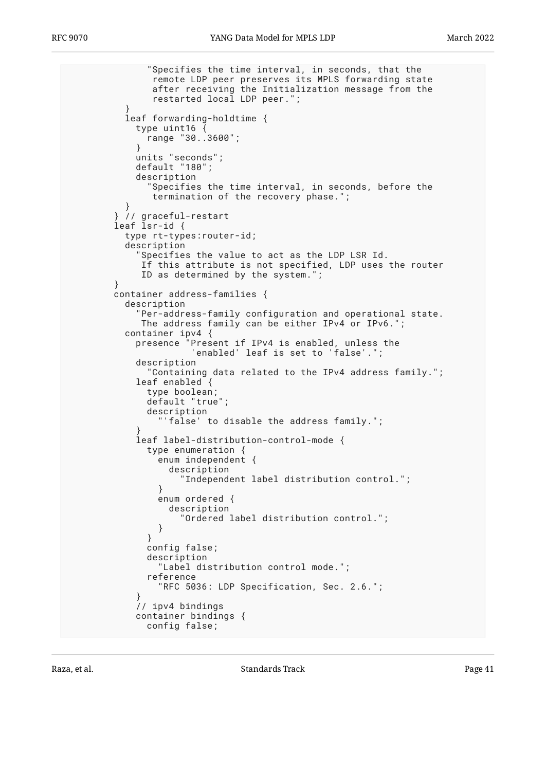```
 "Specifies the time interval, in seconds, that the
               remote LDP peer preserves its MPLS forwarding state
               after receiving the Initialization message from the
               restarted local LDP peer.";
 }
          leaf forwarding-holdtime {
            type uint16 {
              range "30..3600";
 }
            units "seconds";
            default "180";
            description
              "Specifies the time interval, in seconds, before the
               termination of the recovery phase.";
 }
 } // graceful-restart
 leaf lsr-id {
          type rt-types:router-id;
          description
            "Specifies the value to act as the LDP LSR Id.
             If this attribute is not specified, LDP uses the router
             ID as determined by the system.";
 }
        container address-families {
          description
            Per-address-family configuration and operational state.
             The address family can be either IPv4 or IPv6.";
          container ipv4 {
            presence "Present if IPv4 is enabled, unless the
                      'enabled' leaf is set to 'false'.";
            description
              "Containing data related to the IPv4 address family.";
            leaf enabled {
              type boolean;
              default "true";
              description
                'false' to disable the address family.";
 }
            leaf label-distribution-control-mode {
              type enumeration {
                enum independent {
                  description
                     "Independent label distribution control.";
 }
                enum ordered {
                  description
                     "Ordered label distribution control.";
 }
 }
              config false;
              description
                "Label distribution control mode.";
              reference
                 "RFC 5036: LDP Specification, Sec. 2.6.";
 }
            // ipv4 bindings
            container bindings {
              config false;
```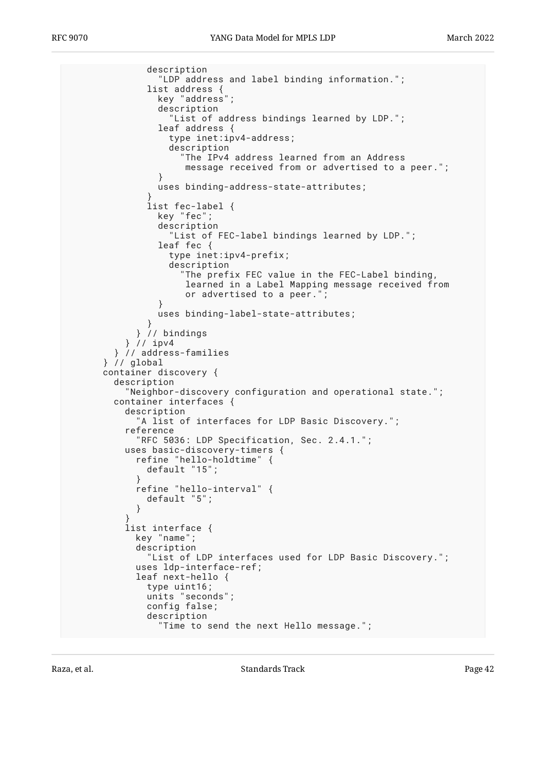```
 description
                 "LDP address and label binding information.";
              list address {
                key "address";
                description
                   "List of address bindings learned by LDP.";
                leaf address {
                  type inet:ipv4-address;
                  description
                    "The IPv4 address learned from an Address
                     message received from or advertised to a peer.";
 }
                uses binding-address-state-attributes;
 }
              list fec-label {
                key "fec";
                description
                   "List of FEC-label bindings learned by LDP.";
                leaf fec {
                  type inet:ipv4-prefix;
                  description
                     "The prefix FEC value in the FEC-Label binding,
                     learned in a Label Mapping message received from
                     or advertised to a peer.";
 }
                uses binding-label-state-attributes;
 }
            } // bindings
          } // ipv4
        } // address-families
      } // global
      container discovery {
        description
          "Neighbor-discovery configuration and operational state.";
        container interfaces {
          description
             "A list of interfaces for LDP Basic Discovery.";
          reference
            "RFC 5036: LDP Specification, Sec. 2.4.1.";
          uses basic-discovery-timers {
            refine "hello-holdtime" {
              default "15";
 }
            refine "hello-interval" {
              default "5";
 }
 }
          list interface {
            key "name";
            description
              "List of LDP interfaces used for LDP Basic Discovery.";
            uses ldp-interface-ref;
            leaf next-hello {
              type uint16;
 units "seconds";
 config false;
              description
                "Time to send the next Hello message.";
```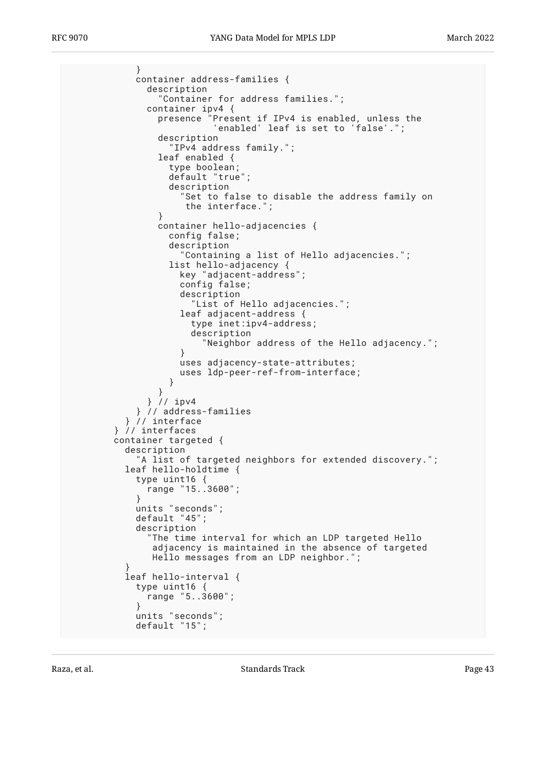} container address-families { description "Container for address families."; container ipv4 { presence "Present if IPv4 is enabled, unless the 'enabled' leaf is set to 'false'."; description "IPv4 address family."; leaf enabled { type boolean; default "true"; description "Set to false to disable the address family on the interface."; } container hello-adjacencies { config false; description "Containing a list of Hello adjacencies."; list hello-adjacency { key "adjacent-address"; config false; description "List of Hello adjacencies."; leaf adjacent-address { type inet:ipv4-address; description "Neighbor address of the Hello adjacency."; } uses adjacency-state-attributes; uses ldp-peer-ref-from-interface; } } } // ipv4 } // address-families } // interface } // interfaces container targeted { description "A list of targeted neighbors for extended discovery."; leaf hello-holdtime { type uint16 { range "15..3600"; } units "seconds"; default "45"; description "The time interval for which an LDP targeted Hello adjacency is maintained in the absence of targeted Hello messages from an LDP neighbor."; } leaf hello-interval { type uint16 { range "5..3600"; } units "seconds"; default "15";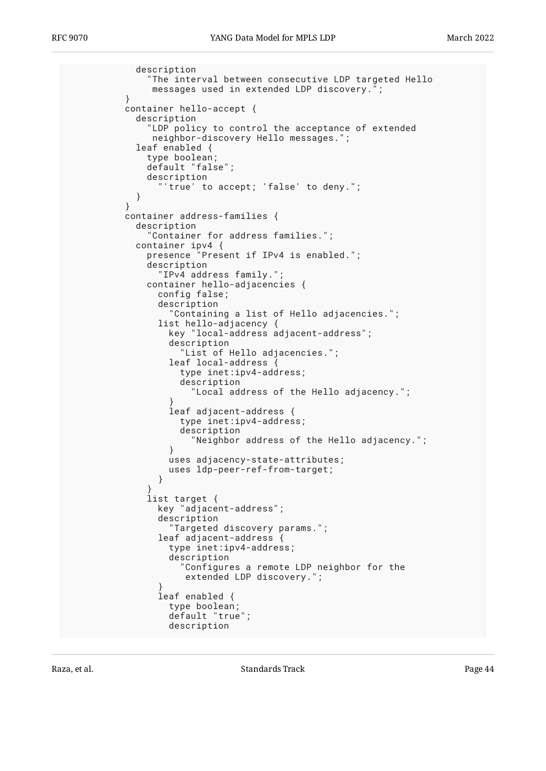description "The interval between consecutive LDP targeted Hello messages used in extended LDP discovery."; } container hello-accept { description LDP policy to control the acceptance of extended neighbor-discovery Hello messages."; leaf enabled { type boolean; default "false"; description 'true' to accept; 'false' to deny."; } } container address-families { description "Container for address families."; container ipv4 { presence "Present if IPv4 is enabled."; description "IPv4 address family."; container hello-adjacencies { config false; description "Containing a list of Hello adjacencies."; list hello-adjacency { key "local-address adjacent-address"; description "List of Hello adjacencies."; leaf local-address { type inet:ipv4-address; description "Local address of the Hello adjacency."; } leaf adjacent-address { type inet:ipv4-address; description "Neighbor address of the Hello adjacency."; } uses adjacency-state-attributes; uses ldp-peer-ref-from-target; } } list target { key "adjacent-address"; description "Targeted discovery params."; leaf adjacent-address { type inet:ipv4-address; description "Configures a remote LDP neighbor for the extended LDP discovery."; } leaf enabled { type boolean; default "true"; description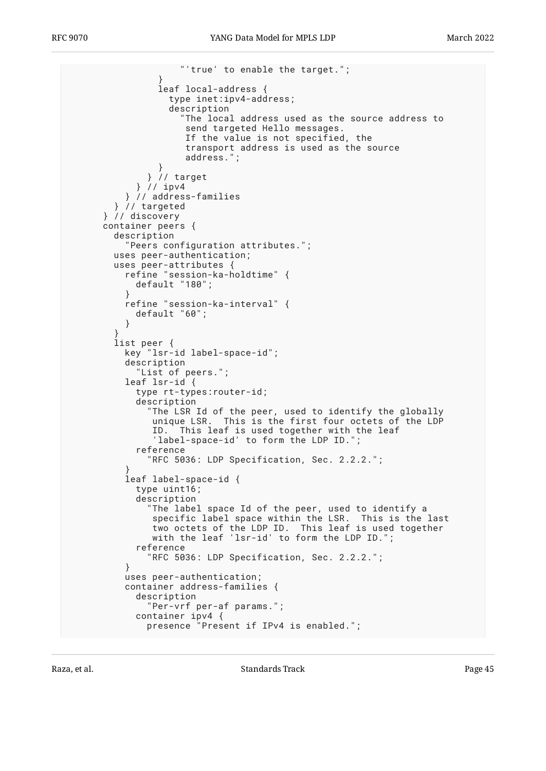"'true' to enable the target."; } leaf local-address { type inet:ipv4-address; description "The local address used as the source address to send targeted Hello messages. If the value is not specified, the transport address is used as the source address." } } // target } // ipv4 } // address-families } // targeted } // discovery container peers { description "Peers configuration attributes."; uses peer-authentication; uses peer-attributes { refine "session-ka-holdtime" { default "180"; } refine "session-ka-interval" { default "60"; } } list peer { key "lsr-id label-space-id"; description "List of peers."; leaf lsr-id { type rt-types:router-id; description "The LSR Id of the peer, used to identify the globally unique LSR. This is the first four octets of the LDP ID. This leaf is used together with the leaf 'label-space-id' to form the LDP ID."; reference "RFC 5036: LDP Specification, Sec. 2.2.2."; } leaf label-space-id { type uint16; description "The label space Id of the peer, used to identify a specific label space within the LSR. This is the last two octets of the LDP ID. This leaf is used together with the leaf 'lsr-id' to form the LDP ID."; reference "RFC 5036: LDP Specification, Sec. 2.2.2."; } uses peer-authentication; container address-families { description "Per-vrf per-af params."; container ipv4 { presence "Present if IPv4 is enabled.";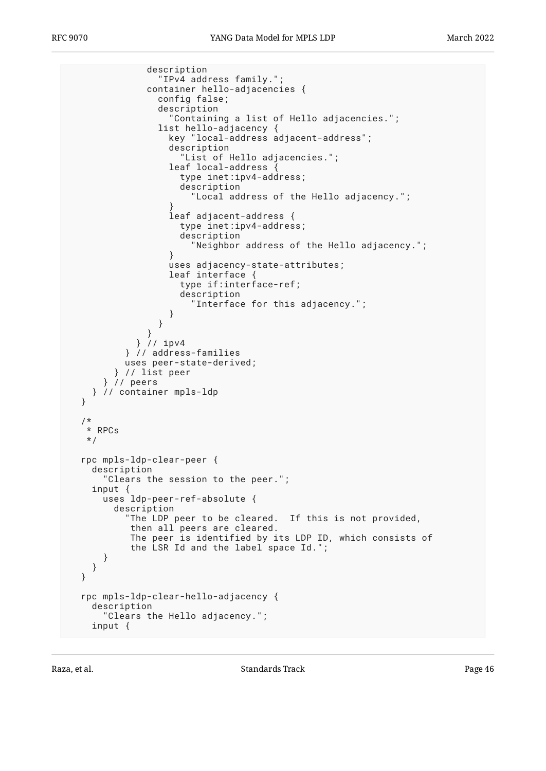```
 description
                 "IPv4 address family.";
               container hello-adjacencies {
                config false;
                description
                   "Containing a list of Hello adjacencies.";
                list hello-adjacency {
                  key "local-address adjacent-address";
                  description
                     "List of Hello adjacencies.";
                  leaf local-address {
                    type inet:ipv4-address;
                    description
                      "Local address of the Hello adjacency.";
 }
                  leaf adjacent-address {
                    type inet:ipv4-address;
                    description
                  "Neighbor address of the Hello adjacency.";
 }
                  uses adjacency-state-attributes;
                  leaf interface {
                    type if:interface-ref;
                    description
                       "Interface for this adjacency.";
 }
 }
 }
             } // ipv4
          } // address-families
          uses peer-state-derived;
        } // list peer
      } // peers
    } // container mpls-ldp
  /*
   * RPCs
   */
  rpc mpls-ldp-clear-peer {
    description
       "Clears the session to the peer.";
    input {
      uses ldp-peer-ref-absolute {
        description
           "The LDP peer to be cleared. If this is not provided,
           then all peers are cleared.
           The peer is identified by its LDP ID, which consists of
           the LSR Id and the label space Id.";
      }
    }
  rpc mpls-ldp-clear-hello-adjacency {
    description
       "Clears the Hello adjacency.";
    input {
```
}

}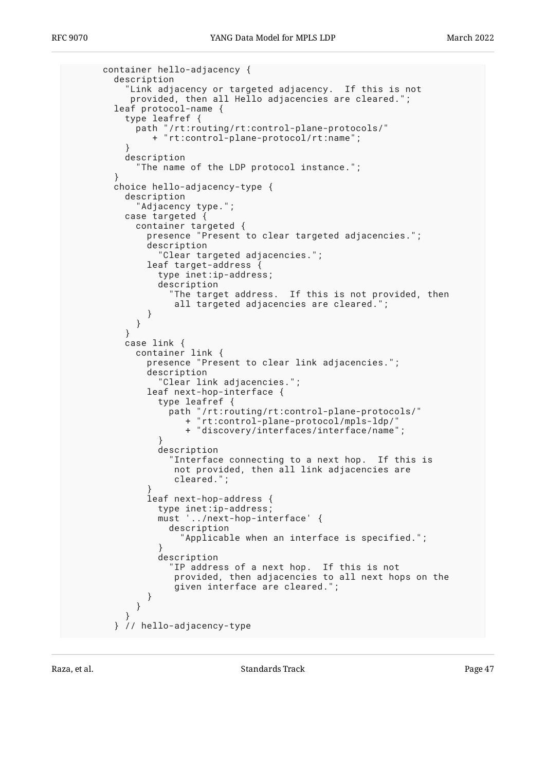```
 container hello-adjacency {
        description
          "Link adjacency or targeted adjacency. If this is not
          provided, then all Hello adjacencies are cleared.";
        leaf protocol-name {
          type leafref {
           path "/rt:routing/rt:control-plane-protocols/"
              + "rt:control-plane-protocol/rt:name";
 }
         description
            "The name of the LDP protocol instance.";
 }
        choice hello-adjacency-type {
         description
            "Adjacency type.";
         case targeted {
 container targeted {
 presence "Present to clear targeted adjacencies.";
             description
               "Clear targeted adjacencies.";
             leaf target-address {
               type inet:ip-address;
               description
                 "The target address. If this is not provided, then
                  all targeted adjacencies are cleared.";
 }
 }
 }
         case link {
           container link {
             presence "Present to clear link adjacencies.";
             description
               "Clear link adjacencies.";
             leaf next-hop-interface {
               type leafref {
 path "/rt:routing/rt:control-plane-protocols/"
 + "rt:control-plane-protocol/mpls-ldp/"
               + "discovery/interfaces/interface/name";
 }
               description
                 "Interface connecting to a next hop. If this is
                  not provided, then all link adjacencies are
                  cleared.";
 }
             leaf next-hop-address {
 type inet:ip-address;
 must '../next-hop-interface' {
                 description
                   "Applicable when an interface is specified.";
 }
               description
                 "IP address of a next hop. If this is not
                  provided, then adjacencies to all next hops on the
                  given interface are cleared.";
 }
 }
 }
        } // hello-adjacency-type
```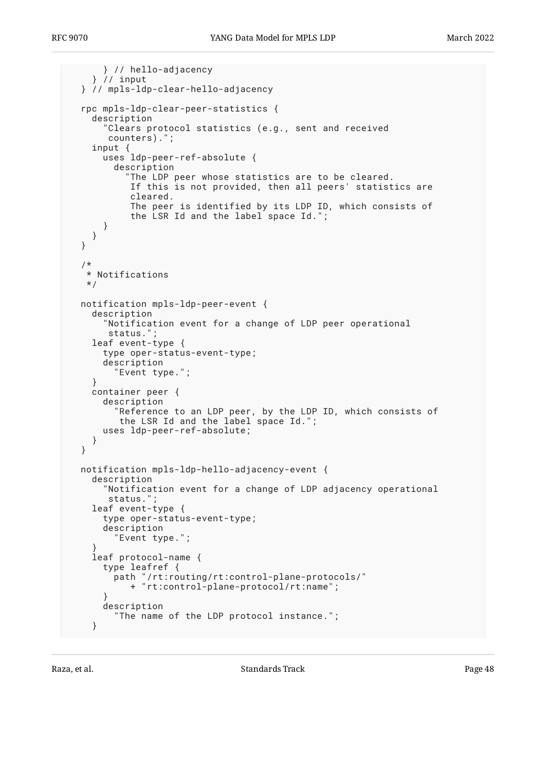```
 } // hello-adjacency
     } // input
  } // mpls-ldp-clear-hello-adjacency
  rpc mpls-ldp-clear-peer-statistics {
    description
       "Clears protocol statistics (e.g., sent and received
        counters).";
 input {
 uses ldp-peer-ref-absolute {
         description
           "The LDP peer whose statistics are to be cleared.
            If this is not provided, then all peers' statistics are
            cleared.
            The peer is identified by its LDP ID, which consists of
            the LSR Id and the label space Id.";
       }
    }
  }
  /*
   * Notifications
   */
  notification mpls-ldp-peer-event {
    description
       "Notification event for a change of LDP peer operational
        status.";
    leaf event-type {
       type oper-status-event-type;
      description
         "Event type.";
     }
    container peer {
      description
 "Reference to an LDP peer, by the LDP ID, which consists of
 the LSR Id and the label space Id.";
      uses ldp-peer-ref-absolute;
    }
  }
  notification mpls-ldp-hello-adjacency-event {
    description
       "Notification event for a change of LDP adjacency operational
        status.";
    leaf event-type {
       type oper-status-event-type;
       description
         "Event type.";
 }
    leaf protocol-name {
       type leafref {
         path "/rt:routing/rt:control-plane-protocols/"
           + "rt:control-plane-protocol/rt:name";
 }
      description
         "The name of the LDP protocol instance.";
    }
```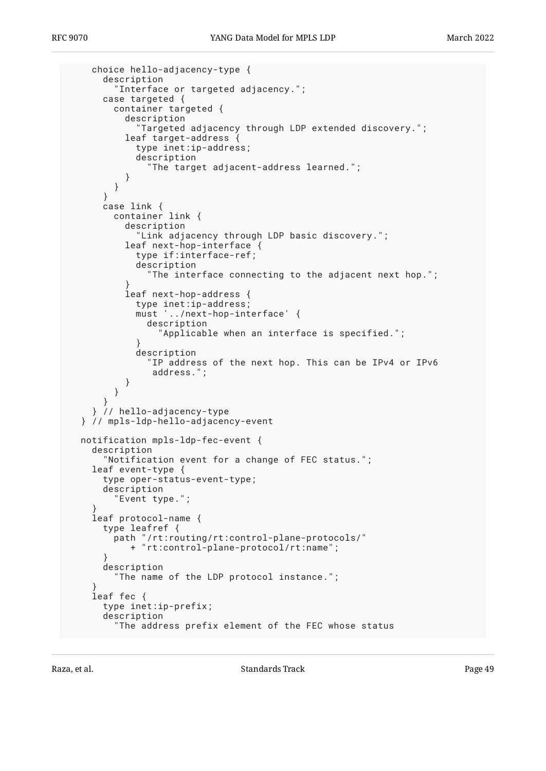```
 choice hello-adjacency-type {
       description
         "Interface or targeted adjacency.";
       case targeted {
         container targeted {
           description
              "Targeted adjacency through LDP extended discovery.";
           leaf target-address {
             type inet:ip-address;
             description
               "The target adjacent-address learned.";
        \begin{matrix} \end{matrix} }
       }
       case link {
         container link {
           description
             "Link adjacency through LDP basic discovery.";
           leaf next-hop-interface {
             type if:interface-ref;
             description
               "The interface connecting to the adjacent next hop.";
 }
           leaf next-hop-address {
             type inet:ip-address;
             must '../next-hop-interface' {
               description
                  "Applicable when an interface is specified.";
 }
             description
               "IP address of the next hop. This can be IPv4 or IPv6
                address.";
 }
         }
       }
     } // hello-adjacency-type
  } // mpls-ldp-hello-adjacency-event
  notification mpls-ldp-fec-event {
    description
       "Notification event for a change of FEC status.";
    leaf event-type {
       type oper-status-event-type;
       description
         "Event type.";
 }
     leaf protocol-name {
       type leafref {
         path "/rt:routing/rt:control-plane-protocols/"
            + "rt:control-plane-protocol/rt:name";
 }
       description
         "The name of the LDP protocol instance.";
 }
     leaf fec {
       type inet:ip-prefix;
       description
         "The address prefix element of the FEC whose status
```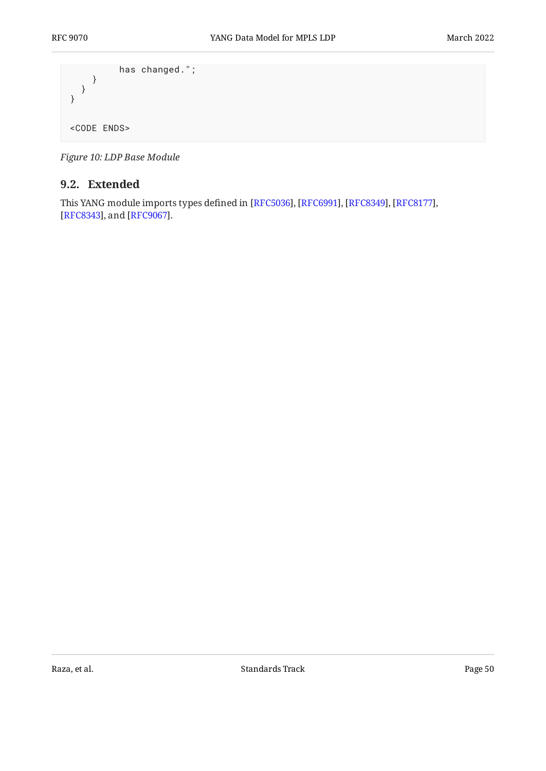```
 has changed.";
    }
  }
}
<CODE ENDS>
```
<span id="page-49-0"></span>*[Figure 10:](#page-24-0) [LDP Base Module](#page-23-0)* 

### **[9.2. Extended](#page-49-0)**

<span id="page-49-1"></span>This YANG module imports types defined in [RFC5036], [RFC6991], [RFC8349], [RFC8177], [[RFC8343\]](#page-71-2), and [RFC9067].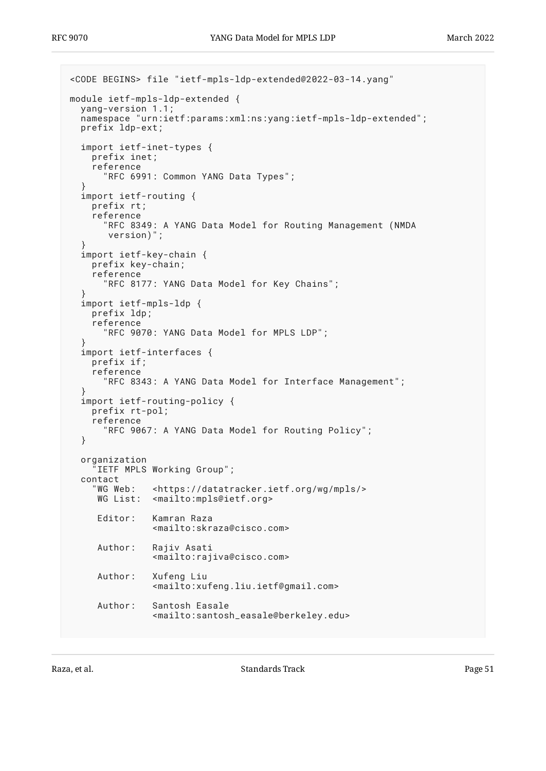```
<CODE BEGINS> file "ietf-mpls-ldp-extended@2022-03-14.yang"
module ietf-mpls-ldp-extended {
  yang-version 1.1;
   namespace "urn:ietf:params:xml:ns:yang:ietf-mpls-ldp-extended";
   prefix ldp-ext;
   import ietf-inet-types {
     prefix inet;
     reference
       "RFC 6991: Common YANG Data Types";
 }
   import ietf-routing {
     prefix rt;
     reference
       "RFC 8349: A YANG Data Model for Routing Management (NMDA
        version)";
   }
   import ietf-key-chain {
     prefix key-chain;
     reference
       "RFC 8177: YANG Data Model for Key Chains";
 }
   import ietf-mpls-ldp {
     prefix ldp;
     reference
       "RFC 9070: YANG Data Model for MPLS LDP";
 }
   import ietf-interfaces {
     prefix if;
     reference
       "RFC 8343: A YANG Data Model for Interface Management";
 }
   import ietf-routing-policy {
     prefix rt-pol;
     reference
       "RFC 9067: A YANG Data Model for Routing Policy";
   }
   organization
     "IETF MPLS Working Group";
  contact<br>"WG Web:
               <https://datatracker.ietf.org/wg/mpls/>
     WG List: <mailto:mpls@ietf.org>
      Editor: Kamran Raza
                <mailto:skraza@cisco.com>
      Author: Rajiv Asati
                <mailto:rajiva@cisco.com>
      Author: Xufeng Liu
                 <mailto:xufeng.liu.ietf@gmail.com>
      Author: Santosh Easale
                <mailto:santosh_easale@berkeley.edu>
```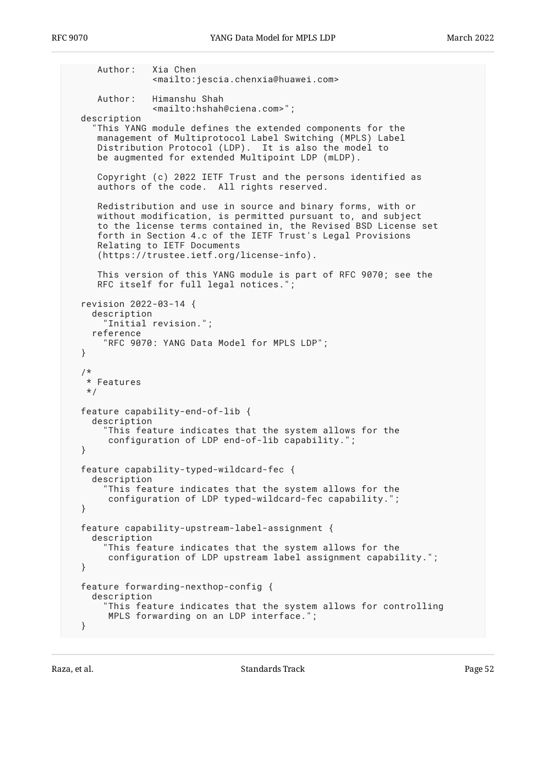```
 Author: Xia Chen
              <mailto:jescia.chenxia@huawei.com>
    Author: Himanshu Shah
              <mailto:hshah@ciena.com>";
 description
    "This YANG module defines the extended components for the
    management of Multiprotocol Label Switching (MPLS) Label
    Distribution Protocol (LDP). It is also the model to
    be augmented for extended Multipoint LDP (mLDP).
    Copyright (c) 2022 IETF Trust and the persons identified as
    authors of the code. All rights reserved.
    Redistribution and use in source and binary forms, with or
    without modification, is permitted pursuant to, and subject
    to the license terms contained in, the Revised BSD License set
    forth in Section 4.c of the IETF Trust's Legal Provisions
    Relating to IETF Documents
    (https://trustee.ietf.org/license-info).
    This version of this YANG module is part of RFC 9070; see the
    RFC itself for full legal notices.";
 revision 2022-03-14 {
   description
      "Initial revision.";
   reference
     "RFC 9070: YANG Data Model for MPLS LDP";
 }
 /*
 * Features
 */
 feature capability-end-of-lib {
   description
     "This feature indicates that the system allows for the
      configuration of LDP end-of-lib capability.";
 }
 feature capability-typed-wildcard-fec {
   description
      "This feature indicates that the system allows for the
      configuration of LDP typed-wildcard-fec capability.";
 }
 feature capability-upstream-label-assignment {
   description
     "This feature indicates that the system allows for the
      configuration of LDP upstream label assignment capability.";
 }
 feature forwarding-nexthop-config {
   description
     This feature indicates that the system allows for controlling
      MPLS forwarding on an LDP interface.";
 }
```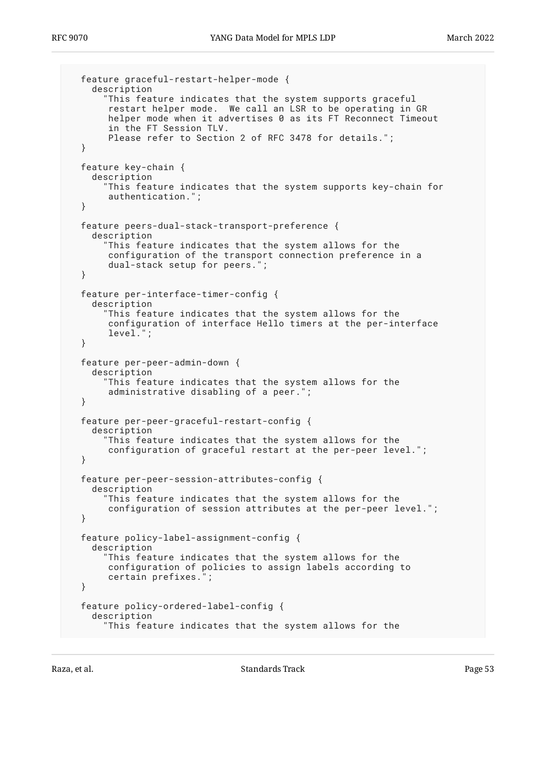```
 feature graceful-restart-helper-mode {
   description
     "This feature indicates that the system supports graceful
      restart helper mode. We call an LSR to be operating in GR
      helper mode when it advertises 0 as its FT Reconnect Timeout
      in the FT Session TLV.
      Please refer to Section 2 of RFC 3478 for details.";
 }
 feature key-chain {
   description
     "This feature indicates that the system supports key-chain for
      authentication.";
 }
 feature peers-dual-stack-transport-preference {
   description
     "This feature indicates that the system allows for the
      configuration of the transport connection preference in a
      dual-stack setup for peers.";
 }
 feature per-interface-timer-config {
   description
     This feature indicates that the system allows for the
      configuration of interface Hello timers at the per-interface
     level.
 }
 feature per-peer-admin-down {
   description
     "This feature indicates that the system allows for the
      administrative disabling of a peer.";
 }
 feature per-peer-graceful-restart-config {
   description
     "This feature indicates that the system allows for the
      configuration of graceful restart at the per-peer level.";
 }
 feature per-peer-session-attributes-config {
   description
      "This feature indicates that the system allows for the
      configuration of session attributes at the per-peer level.";
 }
 feature policy-label-assignment-config {
   description
     "This feature indicates that the system allows for the
      configuration of policies to assign labels according to
      certain prefixes.";
 }
 feature policy-ordered-label-config {
   description
     "This feature indicates that the system allows for the
```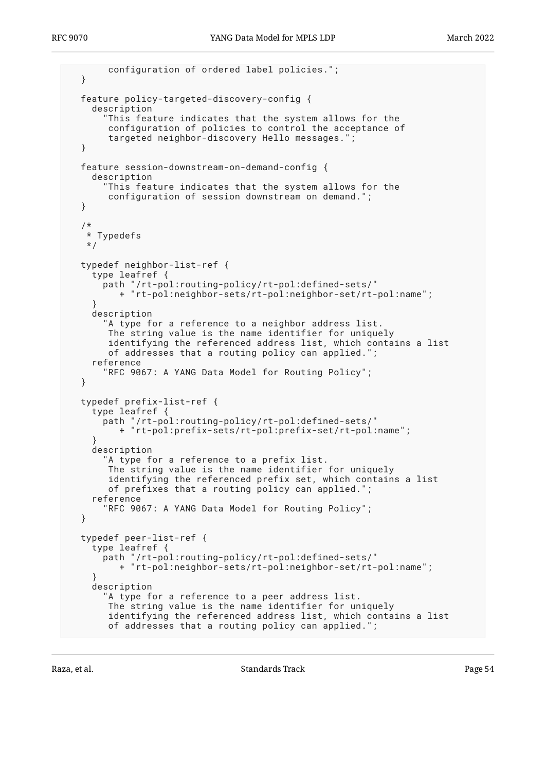configuration of ordered label policies."; } feature policy-targeted-discovery-config { description This feature indicates that the system allows for the configuration of policies to control the acceptance of targeted neighbor-discovery Hello messages. } feature session-downstream-on-demand-config { description "This feature indicates that the system allows for the configuration of session downstream on demand."; } /\* \* Typedefs \*/ typedef neighbor-list-ref { type leafref { path "/rt-pol:routing-policy/rt-pol:defined-sets/" + "rt-pol:neighbor-sets/rt-pol:neighbor-set/rt-pol:name"; } description "A type for a reference to a neighbor address list. The string value is the name identifier for uniquely identifying the referenced address list, which contains a list of addresses that a routing policy can applied."; reference "RFC 9067: A YANG Data Model for Routing Policy"; } typedef prefix-list-ref { type leafref { path "/rt-pol:routing-policy/rt-pol:defined-sets/" + "rt-pol:prefix-sets/rt-pol:prefix-set/rt-pol:name"; } description "A type for a reference to a prefix list. The string value is the name identifier for uniquely identifying the referenced prefix set, which contains a list of prefixes that a routing policy can applied."; reference "RFC 9067: A YANG Data Model for Routing Policy"; } typedef peer-list-ref { type leafref { path "/rt-pol:routing-policy/rt-pol:defined-sets/" + "rt-pol:neighbor-sets/rt-pol:neighbor-set/rt-pol:name"; } description "A type for a reference to a peer address list. The string value is the name identifier for uniquely identifying the referenced address list, which contains a list of addresses that a routing policy can applied.";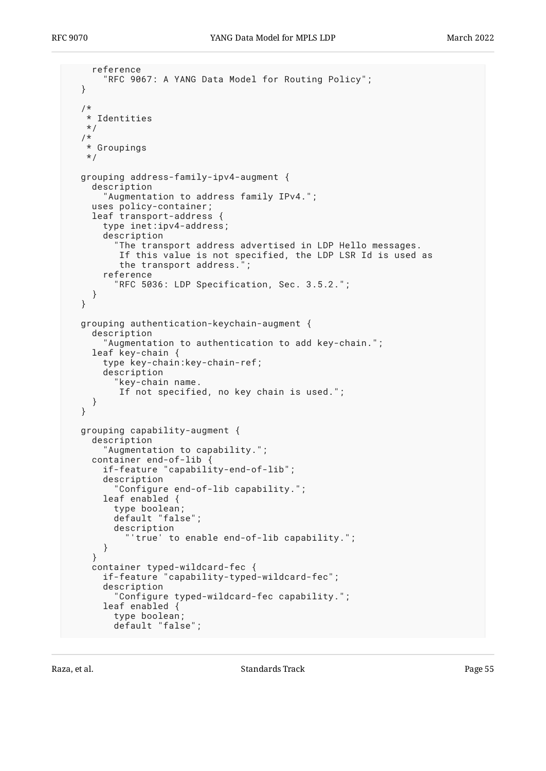```
 reference
     "RFC 9067: A YANG Data Model for Routing Policy";
 }
 /*
  * Identities
 */
/*
  * Groupings
  */
 grouping address-family-ipv4-augment {
   description
     "Augmentation to address family IPv4.";
   uses policy-container;
   leaf transport-address {
     type inet:ipv4-address;
     description
       "The transport address advertised in LDP Hello messages.
        If this value is not specified, the LDP LSR Id is used as
       the transport address."
     reference
        "RFC 5036: LDP Specification, Sec. 3.5.2.";
   }
 }
 grouping authentication-keychain-augment {
   description
     "Augmentation to authentication to add key-chain.";
   leaf key-chain {
     type key-chain:key-chain-ref;
     description
       "key-chain name.
        If not specified, no key chain is used.";
   }
 }
 grouping capability-augment {
   description
     "Augmentation to capability.";
   container end-of-lib {
     if-feature "capability-end-of-lib";
     description
       "Configure end-of-lib capability.";
     leaf enabled {
       type boolean;
       default "false";
       description
          "'true' to enable end-of-lib capability.";
     }
   }
   container typed-wildcard-fec {
     if-feature "capability-typed-wildcard-fec";
     description
       "Configure typed-wildcard-fec capability.";
     leaf enabled {
       type boolean;
       default "false";
```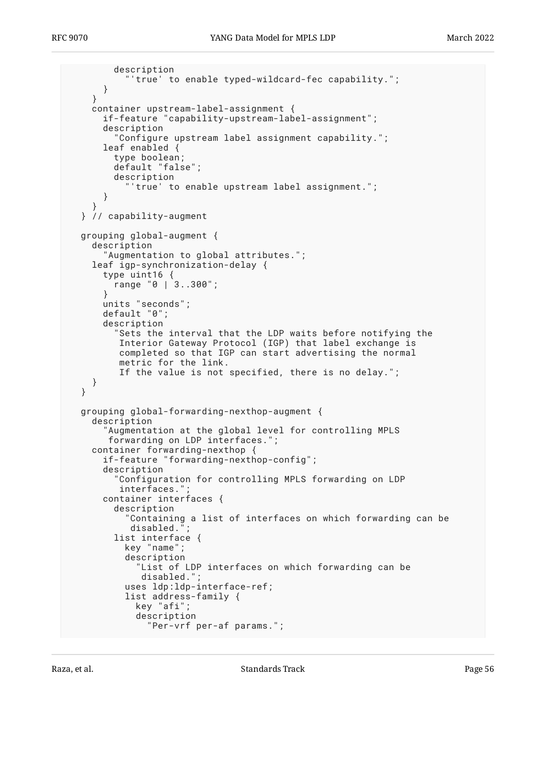```
 description
            "'true' to enable typed-wildcard-fec capability.";
       }
     }
    container upstream-label-assignment {
       if-feature "capability-upstream-label-assignment";
       description
         "Configure upstream label assignment capability.";
       leaf enabled {
         type boolean;
         default "false";
         description
            "'true' to enable upstream label assignment.";
       }
 }
   } // capability-augment
  grouping global-augment {
     description
       "Augmentation to global attributes.";
     leaf igp-synchronization-delay {
       type uint16 {
         range "0 | 3..300";
       }
       units "seconds";
       default "0";
       description
         "Sets the interval that the LDP waits before notifying the
          Interior Gateway Protocol (IGP) that label exchange is
          completed so that IGP can start advertising the normal
          metric for the link.
          If the value is not specified, there is no delay.";
     }
  }
  grouping global-forwarding-nexthop-augment {
     description
       "Augmentation at the global level for controlling MPLS
        forwarding on LDP interfaces.";
    container forwarding-nexthop {
       if-feature "forwarding-nexthop-config";
       description
         "Configuration for controlling MPLS forwarding on LDP
         interfaces."
       container interfaces {
         description
           Containing a list of interfaces on which forwarding can be
           disabled."
         list interface {
           key "name";
           description
              "List of LDP interfaces on which forwarding can be
             disabled."
           uses ldp:ldp-interface-ref;
           list address-family {
             key "afi";
             description
               "Per-vrf per-af params.";
```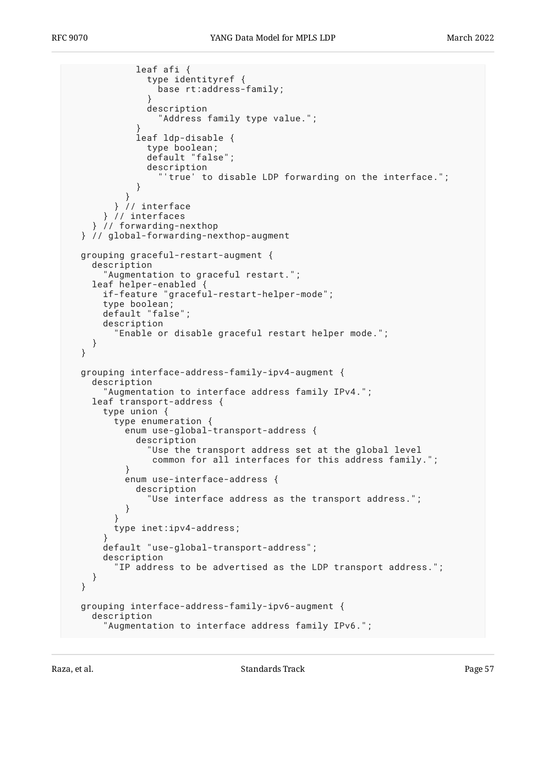```
 leaf afi {
               type identityref {
                base rt:address-family;
 }
               description
                 "Address family type value.";
 }
             leaf ldp-disable {
              type boolean;
              default "false";
              description
                 "'true' to disable LDP forwarding on the interface.";
 }
 }
         } // interface
      } // interfaces
    } // forwarding-nexthop
  } // global-forwarding-nexthop-augment
  grouping graceful-restart-augment {
    description
       "Augmentation to graceful restart.";
    leaf helper-enabled {
      if-feature "graceful-restart-helper-mode";
      type boolean;
      default "false";
      description
         "Enable or disable graceful restart helper mode.";
    }
  }
  grouping interface-address-family-ipv4-augment {
    description
       "Augmentation to interface address family IPv4.";
    leaf transport-address {
      type union {
        type enumeration {
          enum use-global-transport-address {
            description
               "Use the transport address set at the global level
               common for all interfaces for this address family.";
 }
          enum use-interface-address {
            description
               "Use interface address as the transport address.";
 }
 }
      type inet:ipv4-address;
 }
      default "use-global-transport-address";
      description
         "IP address to be advertised as the LDP transport address.";
    }
  }
  grouping interface-address-family-ipv6-augment {
    description
      "Augmentation to interface address family IPv6.";
```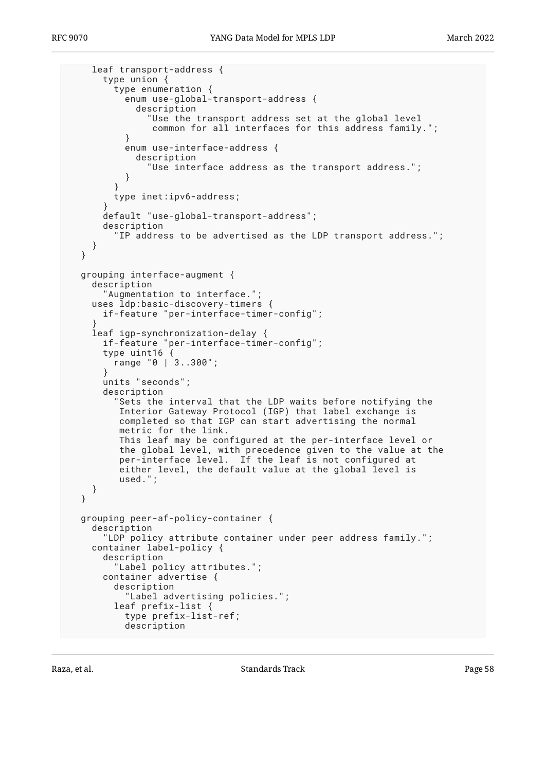```
 leaf transport-address {
      type union {
        type enumeration {
          enum use-global-transport-address {
             description
               "Use the transport address set at the global level
                common for all interfaces for this address family.";
 }
          enum use-interface-address {
            description
               "Use interface address as the transport address.";
 }
 }
         type inet:ipv6-address;
 }
      default "use-global-transport-address";
      description
         "IP address to be advertised as the LDP transport address.";
    }
  }
  grouping interface-augment {
    description
       "Augmentation to interface.";
    uses ldp:basic-discovery-timers {
      if-feature "per-interface-timer-config";
 }
    leaf igp-synchronization-delay {
 if-feature "per-interface-timer-config";
 type uint16 {
        range "0 | 3..300";
       }
      units "seconds";
      description
         "Sets the interval that the LDP waits before notifying the
 Interior Gateway Protocol (IGP) that label exchange is
 completed so that IGP can start advertising the normal
         metric for the link.
         This leaf may be configured at the per-interface level or
         the global level, with precedence given to the value at the
         per-interface level. If the leaf is not configured at
         either level, the default value at the global level is
         used.";
    }
  }
  grouping peer-af-policy-container {
    description
      "LDP policy attribute container under peer address family.";
    container label-policy {
      description
         "Label policy attributes.";
      container advertise {
        description
           "Label advertising policies.";
        leaf prefix-list {
          type prefix-list-ref;
          description
```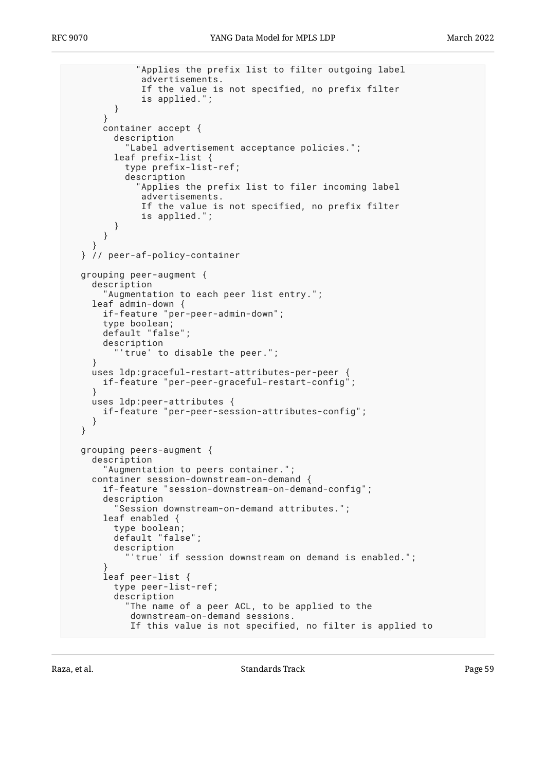```
 "Applies the prefix list to filter outgoing label
              advertisements.
              If the value is not specified, no prefix filter
              is applied.";
         }
 }
       container accept {
         description
           "Label advertisement acceptance policies.";
         leaf prefix-list {
           type prefix-list-ref;
           description
             "Applies the prefix list to filer incoming label
              advertisements.
              If the value is not specified, no prefix filter
              is applied.";
         }
       }
 }
  } // peer-af-policy-container
  grouping peer-augment {
    description
       "Augmentation to each peer list entry.";
    leaf admin-down {
       if-feature "per-peer-admin-down";
       type boolean;
       default "false";
       description
         "'true' to disable the peer.";
     }
    uses ldp:graceful-restart-attributes-per-peer {
       if-feature "per-peer-graceful-restart-config";
     }
    uses ldp:peer-attributes {
       if-feature "per-peer-session-attributes-config";
     }
  }
  grouping peers-augment {
    description
       "Augmentation to peers container.";
    container session-downstream-on-demand {
       if-feature "session-downstream-on-demand-config";
       description
         Session downstream-on-demand attributes.";
       leaf enabled {
         type boolean;
         default "false";
         description
           "'true' if session downstream on demand is enabled.";
 }
       leaf peer-list {
         type peer-list-ref;
         description
            "The name of a peer ACL, to be applied to the
            downstream-on-demand sessions.
            If this value is not specified, no filter is applied to
```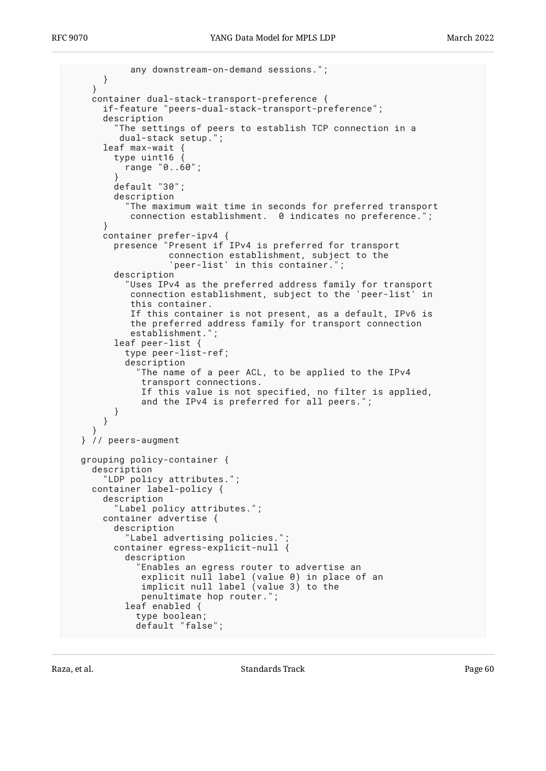```
 any downstream-on-demand sessions.";
       }
    }
    container dual-stack-transport-preference {
      if-feature "peers-dual-stack-transport-preference";
       description
         The settings of peers to establish TCP connection in a
          dual-stack setup.";
     leaf max-wait
         type uint16 {
           range "0..60";
 }
         default "30";
         description
           "The maximum wait time in seconds for preferred transport
            connection establishment. 0 indicates no preference.";
 }
       container prefer-ipv4 {
         presence "Present if IPv4 is preferred for transport
                   connection establishment, subject to the
                    'peer-list' in this container.";
         description
           "Uses IPv4 as the preferred address family for transport
            connection establishment, subject to the 'peer-list' in
            this container.
            If this container is not present, as a default, IPv6 is
            the preferred address family for transport connection
           establishment."
         leaf peer-list {
           type peer-list-ref;
           description
             "The name of a peer ACL, to be applied to the IPv4
              transport connections.
              If this value is not specified, no filter is applied,
              and the IPv4 is preferred for all peers.";
         }
       }
 }
  } // peers-augment
  grouping policy-container {
    description
       "LDP policy attributes.";
    container label-policy {
       description
         "Label policy attributes.";
       container advertise {
         description
           "Label advertising policies.";
         container egress-explicit-null {
           description
             "Enables an egress router to advertise an
              explicit null label (value 0) in place of an
              implicit null label (value 3) to the
              penultimate hop router.";
           leaf enabled {
             type boolean;
             default "false";
```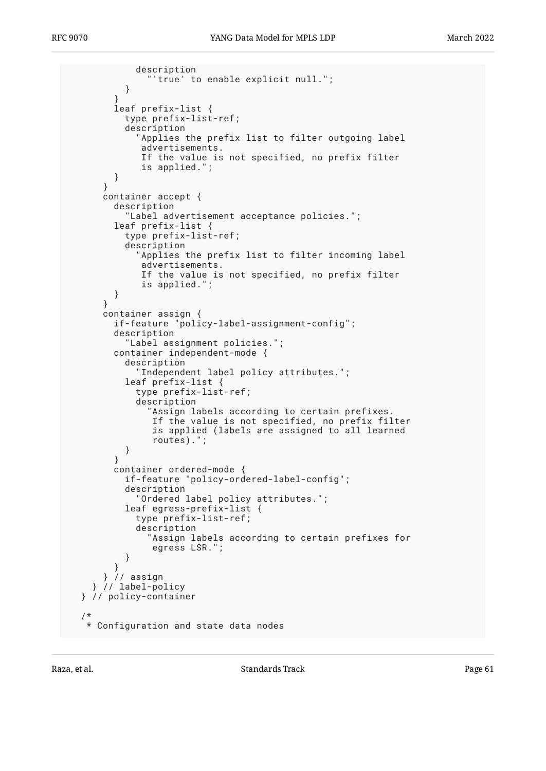```
 description
           "'true' to enable explicit null.";
 }
 }
         leaf prefix-list {
           type prefix-list-ref;
           description
              "Applies the prefix list to filter outgoing label
              advertisements.
              If the value is not specified, no prefix filter
              is applied.";
         }
       }
       container accept {
         description
           "Label advertisement acceptance policies.";
         leaf prefix-list {
           type prefix-list-ref;
           description
             "Applies the prefix list to filter incoming label
              advertisements.
              If the value is not specified, no prefix filter
              is applied.";
         }
 }
       container assign {
         if-feature "policy-label-assignment-config";
         description
           "Label assignment policies.";
         container independent-mode {
           description
             "Independent label policy attributes.";
           leaf prefix-list {
             type prefix-list-ref;
             description
                "Assign labels according to certain prefixes.
                If the value is not specified, no prefix filter
                is applied (labels are assigned to all learned
                routes).";
           }
         }
         container ordered-mode {
           if-feature "policy-ordered-label-config";
           description
             "Ordered label policy attributes.";
           leaf egress-prefix-list {
             type prefix-list-ref;
             description
               "Assign labels according to certain prefixes for
           egress LSR.";
 }
         }
       } // assign
     } // label-policy
  } // policy-container
   /*
   * Configuration and state data nodes
```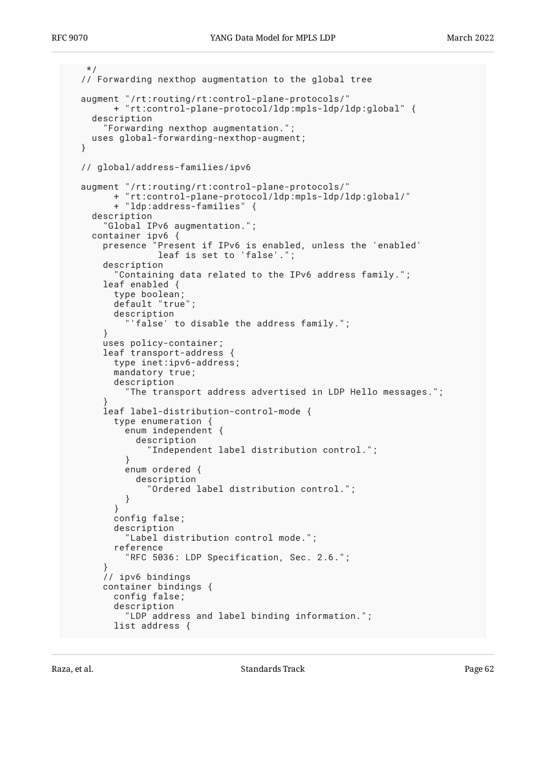```
 */
  // Forwarding nexthop augmentation to the global tree
  augment "/rt:routing/rt:control-plane-protocols/"
         + "rt:control-plane-protocol/ldp:mpls-ldp/ldp:global" {
    description
       "Forwarding nexthop augmentation.";
    uses global-forwarding-nexthop-augment;
  }
  // global/address-families/ipv6
  augment "/rt:routing/rt:control-plane-protocols/"
         + "rt:control-plane-protocol/ldp:mpls-ldp/ldp:global/"
         + "ldp:address-families" {
    description
       "Global IPv6 augmentation.";
    container ipv6 {
      presence "Present if IPv6 is enabled, unless the 'enabled'
                 leaf is set to 'false'.";
       description
         "Containing data related to the IPv6 address family.";
      leaf enabled {
         type boolean;
         default "true";
         description
           'false' to disable the address family.";
       }
      uses policy-container;
      leaf transport-address {
         type inet:ipv6-address;
         mandatory true;
         description
           "The transport address advertised in LDP Hello messages.";
 }
       leaf label-distribution-control-mode {
         type enumeration {
           enum independent {
             description
               "Independent label distribution control.";
 }
           enum ordered {
             description
           "Ordered label distribution control.";
 }
         }
         config false;
         description
           "Label distribution control mode.";
         reference
           "RFC 5036: LDP Specification, Sec. 2.6.";
 }
       // ipv6 bindings
      container bindings {
         config false;
         description
           "LDP address and label binding information.";
         list address {
```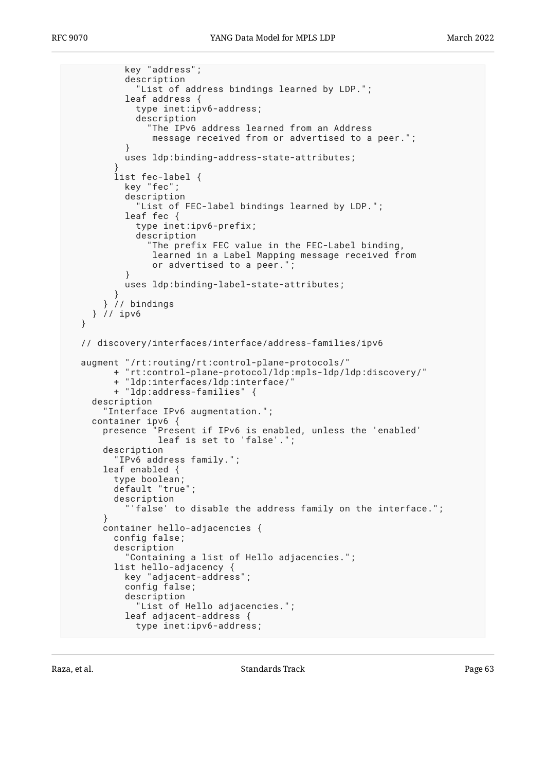```
 key "address";
           description
             "List of address bindings learned by LDP.";
           leaf address {
             type inet:ipv6-address;
             description
                "The IPv6 address learned from an Address
                message received from or advertised to a peer.";
 }
           uses ldp:binding-address-state-attributes;
 }
         list fec-label {
           key "fec";
           description
             "List of FEC-label bindings learned by LDP.";
           leaf fec {
             type inet:ipv6-prefix;
             description
               "The prefix FEC value in the FEC-Label binding,
                learned in a Label Mapping message received from
                or advertised to a peer.";
 }
           uses ldp:binding-label-state-attributes;
 }
       } // bindings
    } // ipv6
   }
  // discovery/interfaces/interface/address-families/ipv6
  augment "/rt:routing/rt:control-plane-protocols/"
         + "rt:control-plane-protocol/ldp:mpls-ldp/ldp:discovery/"
         + "ldp:interfaces/ldp:interface/"
         + "ldp:address-families" {
    description
       "Interface IPv6 augmentation.";
    container ipv6 {
      presence "Present if IPv6 is enabled, unless the 'enabled'
                 leaf is set to 'false'.";
      description
         "IPv6 address family.";
       leaf enabled {
         type boolean;
         default "true";
         description
           'false' to disable the address family on the interface.";
 }
      container hello-adjacencies {
         config false;
         description
           "Containing a list of Hello adjacencies.";
         list hello-adjacency {
           key "adjacent-address";
           config false;
           description
             "List of Hello adjacencies.";
           leaf adjacent-address {
             type inet:ipv6-address;
```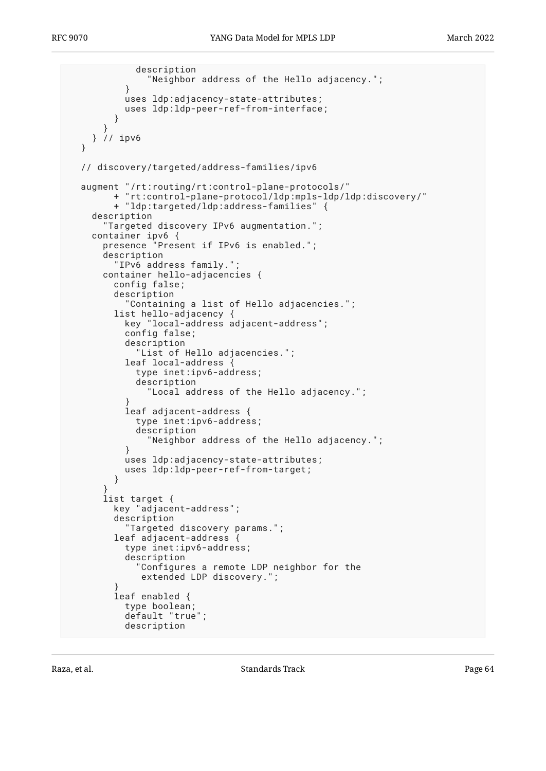```
 description
           "Neighbor address of the Hello adjacency.";
 }
          uses ldp:adjacency-state-attributes;
          uses ldp:ldp-peer-ref-from-interface;
 }
 }
     } // ipv6
  }
  // discovery/targeted/address-families/ipv6
  augment "/rt:routing/rt:control-plane-protocols/"
         + "rt:control-plane-protocol/ldp:mpls-ldp/ldp:discovery/"
         + "ldp:targeted/ldp:address-families" {
    description
       "Targeted discovery IPv6 augmentation.";
    container ipv6 {
      presence "Present if IPv6 is enabled.";
      description
         "IPv6 address family.";
      container hello-adjacencies {
         config false;
         description
           "Containing a list of Hello adjacencies.";
         list hello-adjacency {
           key "local-address adjacent-address";
          config false;
          description
             "List of Hello adjacencies.";
           leaf local-address {
             type inet:ipv6-address;
             description
               "Local address of the Hello adjacency.";
 }
           leaf adjacent-address {
             type inet:ipv6-address;
             description
               "Neighbor address of the Hello adjacency.";
 }
          uses ldp:adjacency-state-attributes;
          uses ldp:ldp-peer-ref-from-target;
         }
 }
      list target {
         key "adjacent-address";
         description
           "Targeted discovery params.";
         leaf adjacent-address {
           type inet:ipv6-address;
           description
             "Configures a remote LDP neighbor for the
              extended LDP discovery.";
 }
         leaf enabled {
          type boolean;
           default "true";
          description
```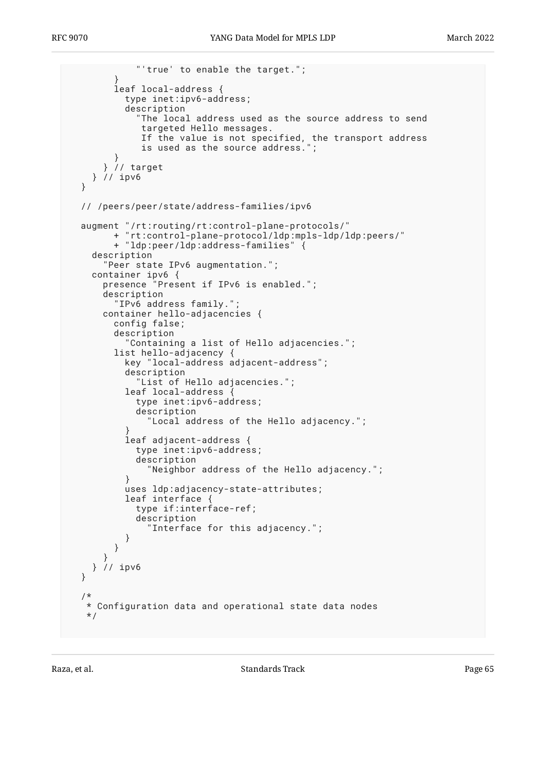```
 "'true' to enable the target.";
 }
        leaf local-address {
          type inet:ipv6-address;
          description
             "The local address used as the source address to send
              targeted Hello messages.
             If the value is not specified, the transport address
              is used as the source address.";
 }
      } // target
    } // ipv6
  }
  // /peers/peer/state/address-families/ipv6
 augment "/rt:routing/rt:control-plane-protocols/"
 + "rt:control-plane-protocol/ldp:mpls-ldp/ldp:peers/"
        + "ldp:peer/ldp:address-families" {
    description
       "Peer state IPv6 augmentation.";
 container ipv6 {
 presence "Present if IPv6 is enabled.";
      description
         "IPv6 address family.";
      container hello-adjacencies {
        config false;
        description
           "Containing a list of Hello adjacencies.";
        list hello-adjacency {
          key "local-address adjacent-address";
           description
             "List of Hello adjacencies.";
         leaf local-address
             type inet:ipv6-address;
             description
               "Local address of the Hello adjacency.";
 }
          leaf adjacent-address {
            type inet:ipv6-address;
             description
               "Neighbor address of the Hello adjacency.";
 }
          uses ldp:adjacency-state-attributes;
          leaf interface {
             type if:interface-ref;
             description
               "Interface for this adjacency.";
 }
        }
 }
    } // ipv6
  }
   /*
   * Configuration data and operational state data nodes
   */
```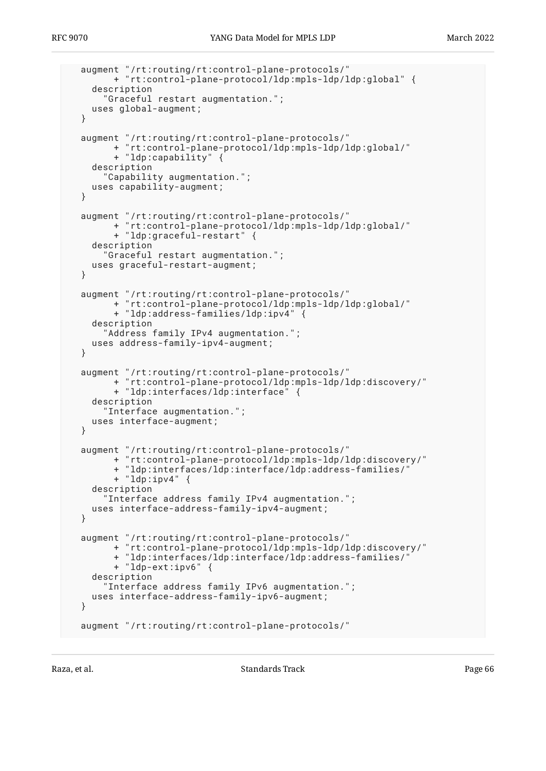```
 augment "/rt:routing/rt:control-plane-protocols/"
         + "rt:control-plane-protocol/ldp:mpls-ldp/ldp:global" {
    description
       "Graceful restart augmentation.";
    uses global-augment;
   }
  augment "/rt:routing/rt:control-plane-protocols/"
         + "rt:control-plane-protocol/ldp:mpls-ldp/ldp:global/"
         + "ldp:capability" {
    description
       "Capability augmentation.";
    uses capability-augment;
   }
 augment "/rt:routing/rt:control-plane-protocols/"
 + "rt:control-plane-protocol/ldp:mpls-ldp/ldp:global/"
         + "ldp:graceful-restart" {
    description
       "Graceful restart augmentation.";
    uses graceful-restart-augment;
   }
 augment "/rt:routing/rt:control-plane-protocols/"
 + "rt:control-plane-protocol/ldp:mpls-ldp/ldp:global/"
         + "ldp:address-families/ldp:ipv4" {
    description
       "Address family IPv4 augmentation.";
    uses address-family-ipv4-augment;
  }
  augment "/rt:routing/rt:control-plane-protocols/"
         + "rt:control-plane-protocol/ldp:mpls-ldp/ldp:discovery/"
         + "ldp:interfaces/ldp:interface" {
    description
       "Interface augmentation.";
    uses interface-augment;
  }
  augment "/rt:routing/rt:control-plane-protocols/"
         + "rt:control-plane-protocol/ldp:mpls-ldp/ldp:discovery/"
         + "ldp:interfaces/ldp:interface/ldp:address-families/"
         + "ldp:ipv4" {
    description
       "Interface address family IPv4 augmentation.";
    uses interface-address-family-ipv4-augment;
   }
  augment "/rt:routing/rt:control-plane-protocols/"
         + "rt:control-plane-protocol/ldp:mpls-ldp/ldp:discovery/"
         + "ldp:interfaces/ldp:interface/ldp:address-families/"
         + "ldp-ext:ipv6" {
    description
       "Interface address family IPv6 augmentation.";
    uses interface-address-family-ipv6-augment;
   }
  augment "/rt:routing/rt:control-plane-protocols/"
```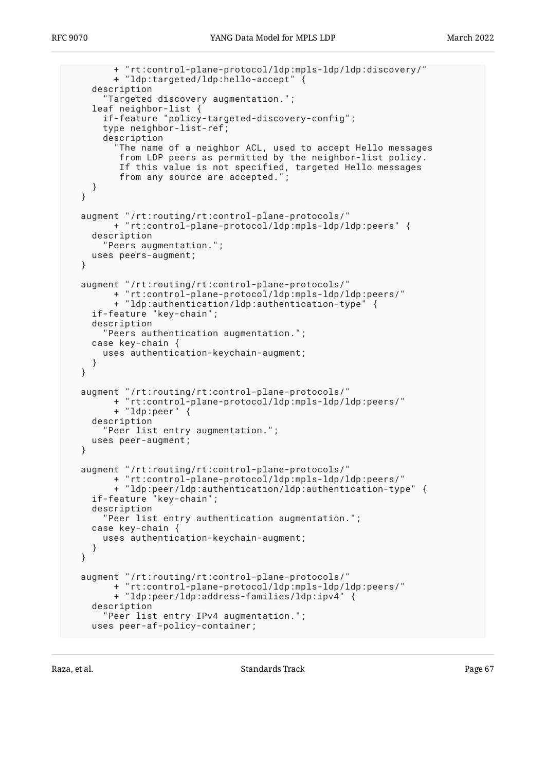```
 + "rt:control-plane-protocol/ldp:mpls-ldp/ldp:discovery/"
        + "ldp:targeted/ldp:hello-accept" {
    description
       "Targeted discovery augmentation.";
 leaf neighbor-list {
 if-feature "policy-targeted-discovery-config";
      type neighbor-list-ref;
      description
 "The name of a neighbor ACL, used to accept Hello messages
 from LDP peers as permitted by the neighbor-list policy.
         If this value is not specified, targeted Hello messages
         from any source are accepted.";
    }
  }
 augment "/rt:routing/rt:control-plane-protocols/"
 + "rt:control-plane-protocol/ldp:mpls-ldp/ldp:peers" {
    description
       "Peers augmentation.";
    uses peers-augment;
  }
  augment "/rt:routing/rt:control-plane-protocols/"
        + "rt:control-plane-protocol/ldp:mpls-ldp/ldp:peers/"
        + "ldp:authentication/ldp:authentication-type" {
    if-feature "key-chain";
    description
       "Peers authentication augmentation.";
    case key-chain {
      uses authentication-keychain-augment;
    }
  }
 augment "/rt:routing/rt:control-plane-protocols/"
 + "rt:control-plane-protocol/ldp:mpls-ldp/ldp:peers/"
        + "ldp:peer" {
    description
       "Peer list entry augmentation.";
    uses peer-augment;
  }
  augment "/rt:routing/rt:control-plane-protocols/"
        + "rt:control-plane-protocol/ldp:mpls-ldp/ldp:peers/"
        + "ldp:peer/ldp:authentication/ldp:authentication-type" {
    if-feature "key-chain";
    description
       "Peer list entry authentication augmentation.";
    case key-chain {
      uses authentication-keychain-augment;
    }
  }
 augment "/rt:routing/rt:control-plane-protocols/"
 + "rt:control-plane-protocol/ldp:mpls-ldp/ldp:peers/"
        + "ldp:peer/ldp:address-families/ldp:ipv4" {
    description
       "Peer list entry IPv4 augmentation.";
    uses peer-af-policy-container;
```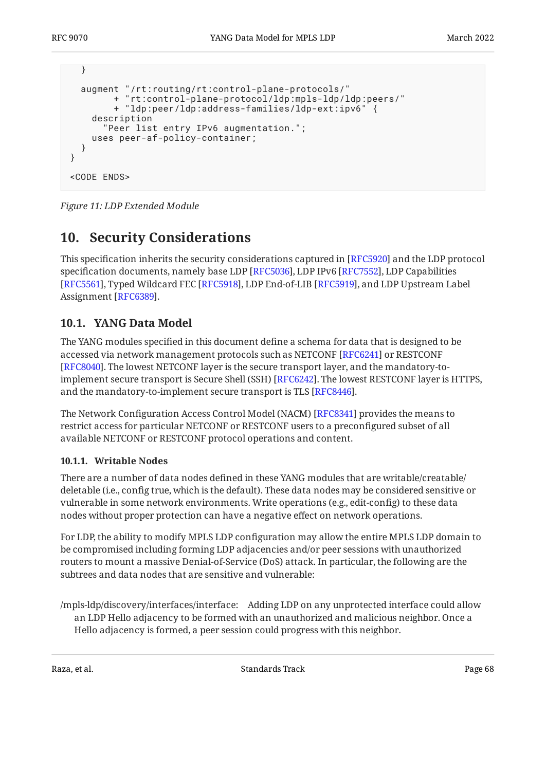```
 }
   augment "/rt:routing/rt:control-plane-protocols/"
         + "rt:control-plane-protocol/ldp:mpls-ldp/ldp:peers/"
         + "ldp:peer/ldp:address-families/ldp-ext:ipv6" {
     description
       "Peer list entry IPv6 augmentation.";
     uses peer-af-policy-container;
   }
}
<CODE ENDS>
```
<span id="page-67-0"></span>*[Figure 11:](#page-50-0) [LDP Extended Module](#page-49-1)* 

# **[10. Security Considerations](#page-67-0)**

This specification inherits the security considerations captured in [RFC5920] and the LDP protocol specification documents, namely base LDP [RFC5036], LDP IPv6 [RFC7552], LDP Capabilities [[RFC5561\]](#page-70-3), Typed Wildcard FEC [RFC5918], LDP End-of-LIB [RFC5919], and LDP Upstream Label Assignment [RFC6389].

## <span id="page-67-1"></span>**[10.1. YANG Data Model](#page-67-1)**

The YANG modules specified in this document define a schema for data that is designed to be accessed via network management protocols such as NETCONF [RFC6241] or RESTCONF . The lowest NETCONF layer is the secure transport layer, and the mandatory-to-[[RFC8040\]](#page-71-5) implement secure transport is Secure Shell (SSH) [\[RFC6242\]](#page-70-8). The lowest RESTCONF layer is HTTPS,  $\,$ and the mandatory-to-implement secure transport is TLS [\[RFC8446](#page-71-6)].

The Network Configuration Access Control Model (NACM) [RFC8341] provides the means to restrict access for particular NETCONF or RESTCONF users to a preconfigured subset of all available NETCONF or RESTCONF protocol operations and content.

### <span id="page-67-2"></span>**[10.1.1. Writable Nodes](#page-67-2)**

There are a number of data nodes defined in these YANG modules that are writable/creatable/ deletable (i.e., config true, which is the default). These data nodes may be considered sensitive or vulnerable in some network environments. Write operations (e.g., edit-config) to these data nodes without proper protection can have a negative effect on network operations.

For LDP, the ability to modify MPLS LDP configuration may allow the entire MPLS LDP domain to be compromised including forming LDP adjacencies and/or peer sessions with unauthorized routers to mount a massive Denial-of-Service (DoS) attack. In particular, the following are the subtrees and data nodes that are sensitive and vulnerable:

/mpls-ldp/discovery/interfaces/interface: Adding LDP on any unprotected interface could allow an LDP Hello adjacency to be formed with an unauthorized and malicious neighbor. Once a Hello adjacency is formed, a peer session could progress with this neighbor.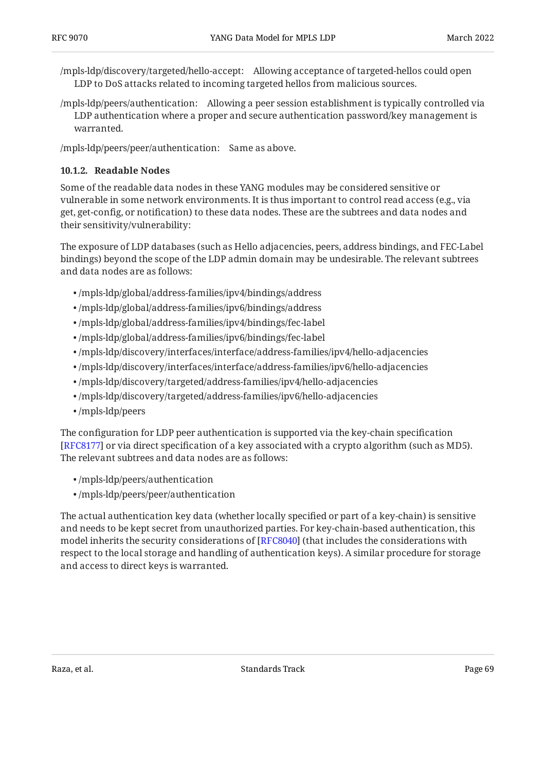/mpls-ldp/discovery/targeted/hello-accept: Allowing acceptance of targeted-hellos could open LDP to DoS attacks related to incoming targeted hellos from malicious sources.

/mpls-ldp/peers/authentication: Allowing a peer session establishment is typically controlled via LDP authentication where a proper and secure authentication password/key management is warranted.

<span id="page-68-0"></span>/mpls-ldp/peers/peer/authentication: Same as above.

#### **[10.1.2. Readable Nodes](#page-68-0)**

Some of the readable data nodes in these YANG modules may be considered sensitive or vulnerable in some network environments. It is thus important to control read access (e.g., via get, get-config, or notification) to these data nodes. These are the subtrees and data nodes and their sensitivity/vulnerability:

The exposure of LDP databases (such as Hello adjacencies, peers, address bindings, and FEC-Label bindings) beyond the scope of the LDP admin domain may be undesirable. The relevant subtrees and data nodes are as follows:

- /mpls-ldp/global/address-families/ipv4/bindings/address •
- /mpls-ldp/global/address-families/ipv6/bindings/address •
- /mpls-ldp/global/address-families/ipv4/bindings/fec-label •
- /mpls-ldp/global/address-families/ipv6/bindings/fec-label •
- /mpls-ldp/discovery/interfaces/interface/address-families/ipv4/hello-adjacencies •
- /mpls-ldp/discovery/interfaces/interface/address-families/ipv6/hello-adjacencies •
- /mpls-ldp/discovery/targeted/address-families/ipv4/hello-adjacencies •
- /mpls-ldp/discovery/targeted/address-families/ipv6/hello-adjacencies •
- /mpls-ldp/peers •

The configuration for LDP peer authentication is supported via the key-chain specification [[RFC8177\]](#page-71-1) or via direct specification of a key associated with a crypto algorithm (such as MD5). The relevant subtrees and data nodes are as follows:

- /mpls-ldp/peers/authentication •
- /mpls-ldp/peers/peer/authentication •

The actual authentication key data (whether locally specified or part of a key-chain) is sensitive and needs to be kept secret from unauthorized parties. For key-chain-based authentication, this model inherits the security considerations of [RFC8040] (that includes the considerations with respect to the local storage and handling of authentication keys). A similar procedure for storage and access to direct keys is warranted.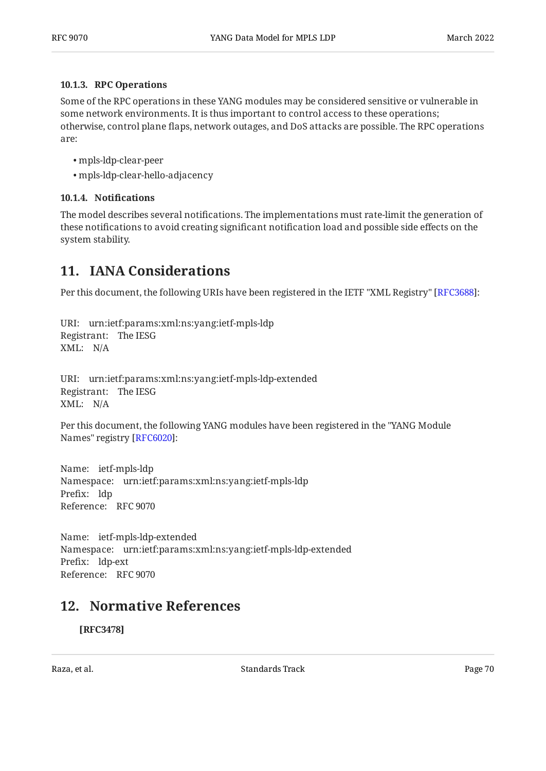#### <span id="page-69-0"></span>**[10.1.3. RPC Operations](#page-69-0)**

Some of the RPC operations in these YANG modules may be considered sensitive or vulnerable in some network environments. It is thus important to control access to these operations; otherwise, control plane flaps, network outages, and DoS attacks are possible. The RPC operations are:

- mpls-ldp-clear-peer •
- mpls-ldp-clear-hello-adjacency •

### <span id="page-69-1"></span>**[10.1.4.](#page-69-1) Notifi[cations](#page-69-1)**

The model describes several notifications. The implementations must rate-limit the generation of these notifications to avoid creating significant notification load and possible side effects on the system stability.

# <span id="page-69-2"></span>**[11. IANA Considerations](#page-69-2)**

Per this document, the following URIs have been registered in the IETF "XML Registry" [RFC3688]:

URI: urn:ietf:params:xml:ns:yang:ietf-mpls-ldp Registrant: The IESG XML: N/A

URI: urn:ietf:params:xml:ns:yang:ietf-mpls-ldp-extended Registrant: The IESG XML: N/A

Per this document, the following YANG modules have been registered in the "YANG Module Names" registry [[RFC6020\]](#page-70-10):

Name: ietf-mpls-ldp Namespace: urn:ietf:params:xml:ns:yang:ietf-mpls-ldp Prefix: ldp Reference: RFC 9070

Name: ietf-mpls-ldp-extended Namespace: urn:ietf:params:xml:ns:yang:ietf-mpls-ldp-extended Prefix: ldp-ext Reference: RFC 9070

## <span id="page-69-3"></span>**[12. Normative References](#page-69-3)**

**[RFC3478]**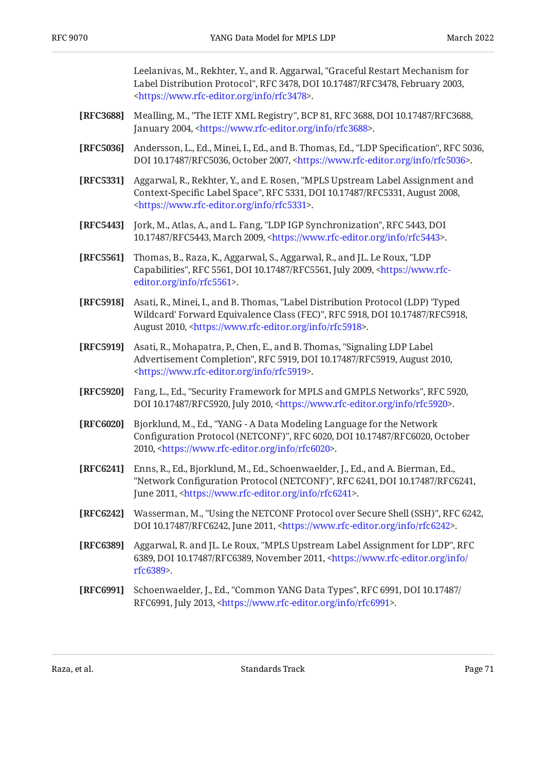Leelanivas, M., Rekhter, Y., and R. Aggarwal, "Graceful Restart Mechanism for Label Distribution Protocol", RFC 3478, DOI 10.17487/RFC3478, February 2003, . [<https://www.rfc-editor.org/info/rfc3478](https://www.rfc-editor.org/info/rfc3478)>

- <span id="page-70-9"></span>**[RFC3688]** Mealling, M., "The IETF XML Registry", BCP 81, RFC 3688, DOI 10.17487/RFC3688, January 2004, <https://www.rfc-editor.org/info/rfc3688>.
- <span id="page-70-0"></span>**[RFC5036]** Andersson, L., Ed., Minei, I., Ed., and B. Thomas, Ed., "LDP Specification", RFC 5036, DOI 10.17487/RFC5036, October 2007, <https://www.rfc-editor.org/info/rfc5036>.
- **[RFC5331]** Aggarwal, R., Rekhter, Y., and E. Rosen, "MPLS Upstream Label Assignment and Context-Specific Label Space", RFC 5331, DOI 10.17487/RFC5331, August 2008, . [<https://www.rfc-editor.org/info/rfc5331](https://www.rfc-editor.org/info/rfc5331)>
- [RFC5443] Jork, M., Atlas, A., and L. Fang, "LDP IGP Synchronization", RFC 5443, DOI 10.17487/RFC5443, March 2009, <https://www.rfc-editor.org/info/rfc5443>.
- <span id="page-70-3"></span>**[RFC5561]** Thomas, B., Raza, K., Aggarwal, S., Aggarwal, R., and JL. Le Roux, "LDP Capabilities", RFC 5561, DOI 10.17487/RFC5561, July 2009, [<https://www.rfc-](https://www.rfc-editor.org/info/rfc5561). [editor.org/info/rfc5561](https://www.rfc-editor.org/info/rfc5561)>
- <span id="page-70-4"></span>**[RFC5918]** Asati, R., Minei, I., and B. Thomas, "Label Distribution Protocol (LDP) 'Typed Wildcard' Forward Equivalence Class (FEC)", RFC 5918, DOI 10.17487/RFC5918, August 2010, <https://www.rfc-editor.org/info/rfc5918>.
- <span id="page-70-5"></span>**[RFC5919]** Asati, R., Mohapatra, P., Chen, E., and B. Thomas, "Signaling LDP Label Advertisement Completion", RFC 5919, DOI 10.17487/RFC5919, August 2010, . [<https://www.rfc-editor.org/info/rfc5919](https://www.rfc-editor.org/info/rfc5919)>
- <span id="page-70-2"></span>**[RFC5920]** Fang, L., Ed., "Security Framework for MPLS and GMPLS Networks", RFC 5920, DOI 10.17487/RFC5920, July 2010, <https://www.rfc-editor.org/info/rfc5920>.
- <span id="page-70-10"></span>**[RFC6020]** , Bjorklund, M., Ed. "YANG - A Data Modeling Language for the Network Configuration Protocol (NETCONF)", RFC 6020, DOI 10.17487/RFC6020, October 2010, <[https://www.rfc-editor.org/info/rfc6020>](https://www.rfc-editor.org/info/rfc6020).
- <span id="page-70-7"></span>**[RFC6241]** Enns, R., Ed., Bjorklund, M., Ed., Schoenwaelder, J., Ed., and A. Bierman, Ed., "Network Configuration Protocol (NETCONF)", RFC 6241, DOI 10.17487/RFC6241, June 2011, <[https://www.rfc-editor.org/info/rfc6241>](https://www.rfc-editor.org/info/rfc6241).
- <span id="page-70-8"></span>**[RFC6242]** Wasserman, M., "Using the NETCONF Protocol over Secure Shell (SSH)", RFC 6242, DOI 10.17487/RFC6242, June 2011, <https://www.rfc-editor.org/info/rfc6242>.
- <span id="page-70-6"></span>**[RFC6389]** Aggarwal, R. and JL. Le Roux, "MPLS Upstream Label Assignment for LDP", RFC 6389, DOI 10.17487/RFC6389, November 2011, [<https://www.rfc-editor.org/info/](https://www.rfc-editor.org/info/rfc6389) . [rfc6389](https://www.rfc-editor.org/info/rfc6389)>
- <span id="page-70-1"></span>**[RFC6991]** Schoenwaelder, J., Ed., "Common YANG Data Types", RFC 6991, DOI 10.17487/ RFC6991, July 2013, [<https://www.rfc-editor.org/info/rfc6991>](https://www.rfc-editor.org/info/rfc6991).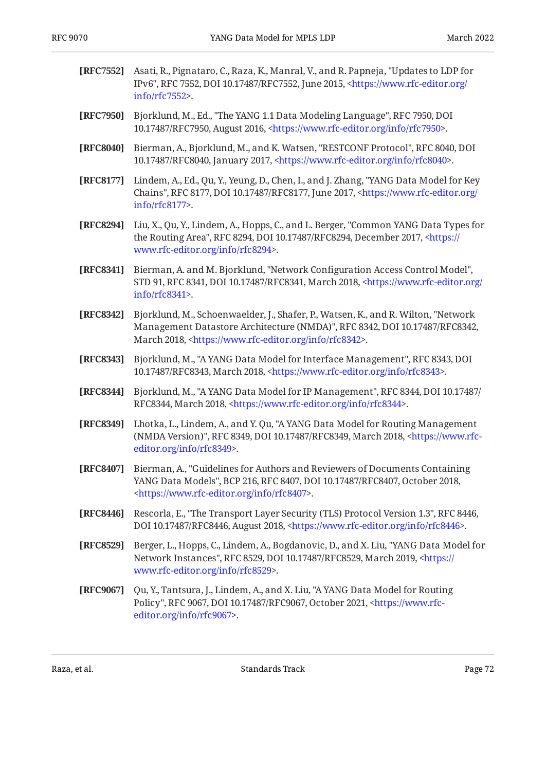<span id="page-71-7"></span><span id="page-71-5"></span><span id="page-71-4"></span><span id="page-71-2"></span><span id="page-71-1"></span>

| [RFC7552] | Asati, R., Pignataro, C., Raza, K., Manral, V., and R. Papneja, "Updates to LDP for<br>IPv6", RFC 7552, DOI 10.17487/RFC7552, June 2015, <https: <br="" www.rfc-editor.org="">info/rfc7552&gt;.</https:>                                   |
|-----------|--------------------------------------------------------------------------------------------------------------------------------------------------------------------------------------------------------------------------------------------|
| [RFC7950] | Bjorklund, M., Ed., "The YANG 1.1 Data Modeling Language", RFC 7950, DOI<br>10.17487/RFC7950, August 2016, <https: info="" rfc7950="" www.rfc-editor.org="">.</https:>                                                                     |
| [RFC8040] | Bierman, A., Bjorklund, M., and K. Watsen, "RESTCONF Protocol", RFC 8040, DOI<br>10.17487/RFC8040, January 2017, <https: info="" rfc8040="" www.rfc-editor.org="">.</https:>                                                               |
| [RFC8177] | Lindem, A., Ed., Qu, Y., Yeung, D., Chen, I., and J. Zhang, "YANG Data Model for Key<br>Chains", RFC 8177, DOI 10.17487/RFC8177, June 2017, <https: <br="" www.rfc-editor.org="">info/rfc8177&gt;.</https:>                                |
| [RFC8294] | Liu, X., Qu, Y., Lindem, A., Hopps, C., and L. Berger, "Common YANG Data Types for<br>the Routing Area", RFC 8294, DOI 10.17487/RFC8294, December 2017, <https: <br="">www.rfc-editor.org/info/rfc8294&gt;.</https:>                       |
| [RFC8341] | Bierman, A. and M. Bjorklund, "Network Configuration Access Control Model",<br>STD 91, RFC 8341, DOI 10.17487/RFC8341, March 2018, <https: <br="" www.rfc-editor.org="">info/rfc8341&gt;.</https:>                                         |
| [RFC8342] | Bjorklund, M., Schoenwaelder, J., Shafer, P., Watsen, K., and R. Wilton, "Network<br>Management Datastore Architecture (NMDA)", RFC 8342, DOI 10.17487/RFC8342,<br>March 2018, <https: info="" rfc8342="" www.rfc-editor.org="">.</https:> |
| [RFC8343] | Bjorklund, M., "A YANG Data Model for Interface Management", RFC 8343, DOI<br>10.17487/RFC8343, March 2018, <https: info="" rfc8343="" www.rfc-editor.org="">.</https:>                                                                    |
| [RFC8344] | Bjorklund, M., "A YANG Data Model for IP Management", RFC 8344, DOI 10.17487/<br>RFC8344, March 2018, <https: info="" rfc8344="" www.rfc-editor.org="">.</https:>                                                                          |
| [RFC8349] | Lhotka, L., Lindem, A., and Y. Qu, "A YANG Data Model for Routing Management<br>(NMDA Version)", RFC 8349, DOI 10.17487/RFC8349, March 2018, <https: www.rfc-<br="">editor.org/info/rfc8349&gt;.</https:>                                  |
| [RFC8407] | Bierman, A., "Guidelines for Authors and Reviewers of Documents Containing<br>YANG Data Models", BCP 216, RFC 8407, DOI 10.17487/RFC8407, October 2018,<br><https: info="" rfc8407="" www.rfc-editor.org="">.</https:>                     |
| [RFC8446] | Rescorla, E., "The Transport Layer Security (TLS) Protocol Version 1.3", RFC 8446,<br>DOI 10.17487/RFC8446, August 2018, <https: info="" rfc8446="" www.rfc-editor.org="">.</https:>                                                       |
| [RFC8529] | Berger, L., Hopps, C., Lindem, A., Bogdanovic, D., and X. Liu, "YANG Data Model for<br>Network Instances", RFC 8529, DOI 10.17487/RFC8529, March 2019, <https: <br="">www.rfc-editor.org/info/rfc8529&gt;.</https:>                        |
| [RFC9067] | Qu, Y., Tantsura, J., Lindem, A., and X. Liu, "A YANG Data Model for Routing<br>Policy", RFC 9067, DOI 10.17487/RFC9067, October 2021, <https: www.rfc-<br="">editor.org/info/rfc9067&gt;.</https:>                                        |

<span id="page-71-6"></span><span id="page-71-3"></span><span id="page-71-0"></span>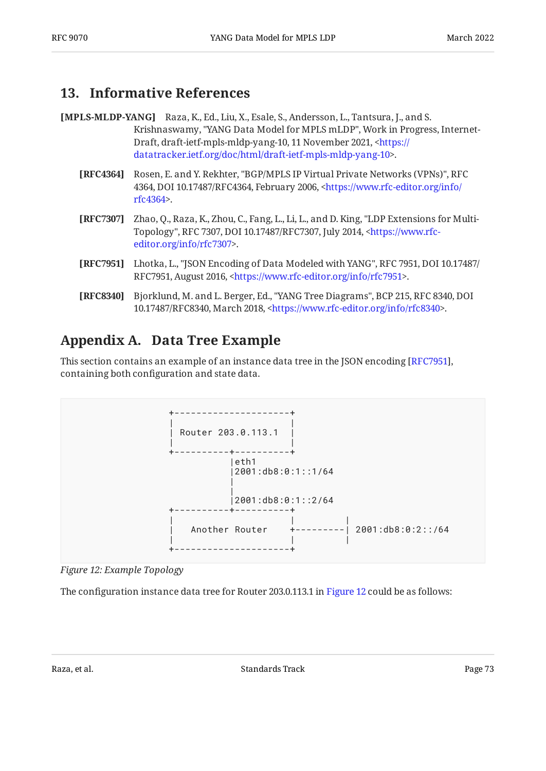### <span id="page-72-0"></span>**[13. Informative References](#page-72-0)**

- [MPLS-MLDP-YANG] Raza, K., Ed., Liu, X., Esale, S., Andersson, L., Tantsura, J., and S. Krishnaswamy, "YANG Data Model for MPLS mLDP", Work in Progress, InternetDraft, draft-ietf-mpls-mldp-yang-10, 11 November 2021, <[https://](https://datatracker.ietf.org/doc/html/draft-ietf-mpls-mldp-yang-10) . [datatracker.ietf.org/doc/html/draft-ietf-mpls-mldp-yang-10>](https://datatracker.ietf.org/doc/html/draft-ietf-mpls-mldp-yang-10)
	- **[RFC4364]** Rosen, E. and Y. Rekhter, "BGP/MPLS IP Virtual Private Networks (VPNs)", RFC 4364, DOI 10.17487/RFC4364, February 2006, [<https://www.rfc-editor.org/info/](https://www.rfc-editor.org/info/rfc4364) . [rfc4364](https://www.rfc-editor.org/info/rfc4364)>
	- **[RFC7307]** Zhao, Q., Raza, K., Zhou, C., Fang, L., Li, L., and D. King, "LDP Extensions for Multi-Topology", RFC 7307, DOI 10.17487/RFC7307, July 2014, <<del>https://www.rf</del>c-. [editor.org/info/rfc7307](https://www.rfc-editor.org/info/rfc7307)>
	- **[RFC7951]** Lhotka, L., "JSON Encoding of Data Modeled with YANG", RFC 7951, DOI 10.17487/ RFC7951, August 2016, <https://www.rfc-editor.org/info/rfc7951>.
	- **[RFC8340]** Bjorklund, M. and L. Berger, Ed., "YANG Tree Diagrams", BCP 215, RFC 8340, DOI 10.17487/RFC8340, March 2018, <https://www.rfc-editor.org/info/rfc8340>.

# <span id="page-72-2"></span><span id="page-72-1"></span>**[Appendix A. Data Tree Example](#page-72-1)**

This section contains an example of an instance data tree in the JSON encoding [RFC7951], containing both configuration and state data.

<span id="page-72-3"></span>

*[Figure 12: Example Topology](#page-72-3)* 

<span id="page-72-4"></span>The configuration instance data tree for Router 203.0.113.1 in [Figure 12](#page-72-3) could be as follows: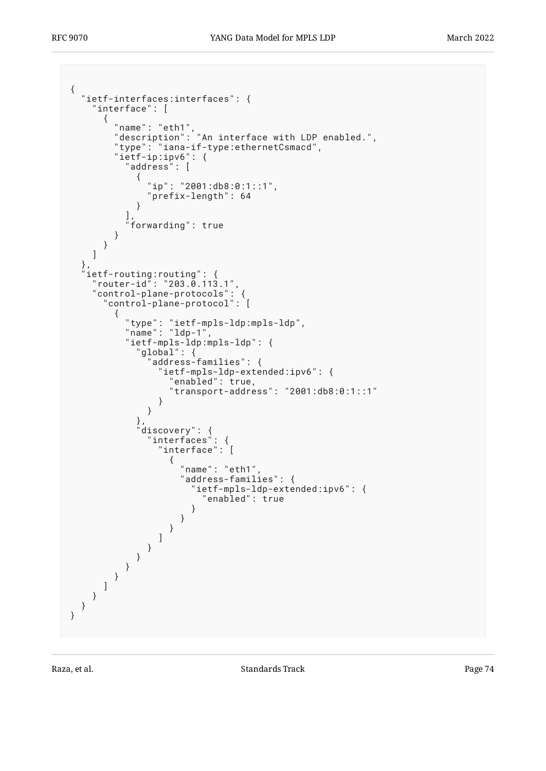```
{
  "ietf-interfaces:interfaces": {
    "interface": [
     {
 "name": "eth1",
 "description": "An interface with LDP enabled.",
 "type": "iana-if-type:ethernetCsmacd",
 "ietf-ip:ipv6": {
        "address": [
\{ "ip": "2001:db8:0:1::1",
          "prefix-length": 64
 }
        ],
        "forwarding": true
      }
     }
   ]
  },
 "ietf-routing:routing": {
 "router-id": "203.0.113.1",
 "control-plane-protocols": {
      "control-plane-protocol": [
       {
 "type": "ietf-mpls-ldp:mpls-ldp",
 "name": "ldp-1",
        "ietf-mpls-ldp:mpls-ldp": {
          "global": {
            "address-families": {
             "ietf-mpls-ldp-extended:ipv6": {
               "enabled": true,
               "transport-address": "2001:db8:0:1::1"
 }
 }
 },
 "discovery": {
 "interfaces": {
 "interface": [
\{ "name": "eth1",
                "address-families": {
                 'ietf-mpls-ldp-extended:ipv6": {<br>"enabled": true
 "enabled": true
 }
 }
 }
 ]
 }
 }
 }
 }
 ]
 }
 }
}
```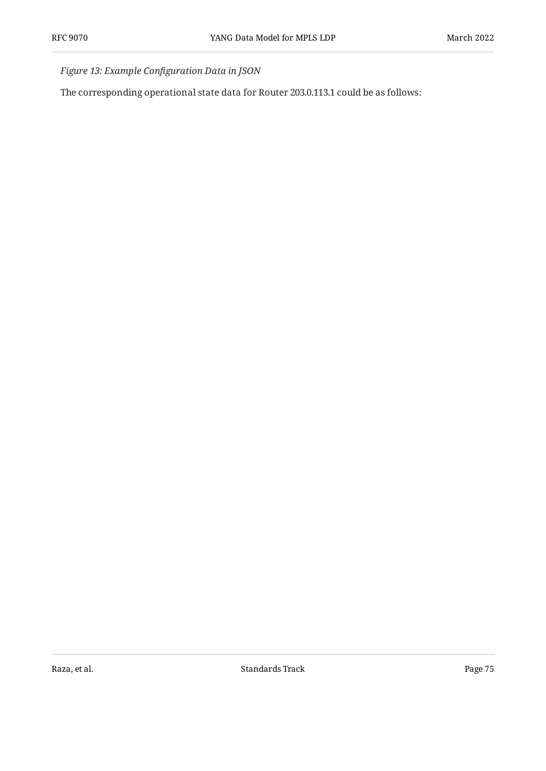*[Figure 13:](#page-73-0) Example Confi[guration Data in JSON](#page-72-4)* 

<span id="page-74-0"></span>The corresponding operational state data for Router 203.0.113.1 could be as follows: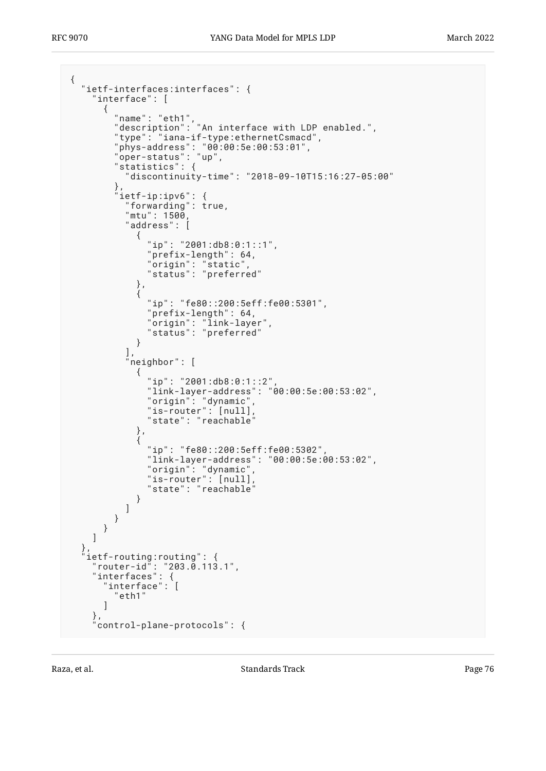```
{
 "ietf-interfaces:interfaces": {
 "interface": [
     {
 "name": "eth1",
 "description": "An interface with LDP enabled.",
 "type": "iana-if-type:ethernetCsmacd",
 "phys-address": "00:00:5e:00:53:01",
 "oper-status": "up",
 "statistics": {
         "discontinuity-time": "2018-09-10T15:16:27-05:00"
\},
 "ietf-ip:ipv6": {
 "forwarding": true,
 "mtu": 1500,
        "mtu": 1500,<br>"address": [
\{ "ip": "2001:db8:0:1::1",
            "prefix-length": 64,
 "origin": "static",
 "status": "preferred"
          },
\{ "ip": "fe80::200:5eff:fe00:5301",
            "prefix-length": 64,
 "origin": "link-layer",
 "status": "preferred"
 }
\qquad \qquad "neighbor": [
\{ "ip": "2001:db8:0:1::2",
 "link-layer-address": "00:00:5e:00:53:02",
 "origin": "dynamic",
 "is-router": [null],
 "state": "reachable"
          },
\{ "ip": "fe80::200:5eff:fe00:5302",
            "link-layer-address": "00:00:5e:00:53:02",
            "origin": "dynamic",
 "is-router": [null],
 "state": "reachable"
 }
        ]
       }
     }
    ]
 },
  'ietf-routing:routing": {
 "router-id": "203.0.113.1",
 "interfaces": {
 "interface": [
       "eth1"
     ]
 },
    "control-plane-protocols": {
```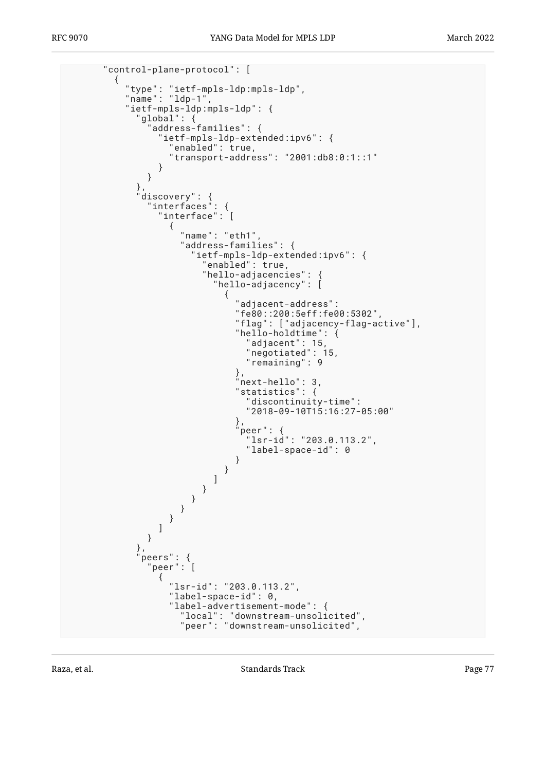```
 "control-plane-protocol": [
\{ "type": "ietf-mpls-ldp:mpls-ldp",
 "name": "ldp-1",
       "ietf-mpls-ldp:mpls-ldp": {
         "global": {
          "address-families": {
           "ietf-mpls-ldp-extended:ipv6": {
             "enabled": true,
             "transport-address": "2001:db8:0:1::1"
 }
 }
 },
 "discovery": {
 "interfaces": {
 "interface": [
\{ "name": "eth1",
              "address-families": {
 "ietf-mpls-ldp-extended:ipv6": {
 "enabled": true,
                 "hello-adjacencies": {
                  "hello-adjacency": [
\{ "adjacent-address":
                     "fe80::200:5eff:fe00:5302",
                     "flag": ["adjacency-flag-active"],
                     "hello-holdtime": {
 "adjacent": 15,
 "negotiated": 15,
                      "remaining": 9
\},
                     "next-hello": 3,
                     "statistics": {
                      "discontinuity-time":
                      "2018-09-10T15:16:27-05:00"
\},
                     "peer": {
                      "lsr-id": "203.0.113.2",
                     "label-space-id": 0
 }
 }
) and the contract of the contract \mathbb{I} }
 }
 }
 }
 ]
 }
 },
 "peers": {
 "peer": [
\{ "lsr-id": "203.0.113.2",
             "label-space-id": 0,
             "label-advertisement-mode": {
 "local": "downstream-unsolicited",
 "peer": "downstream-unsolicited",
```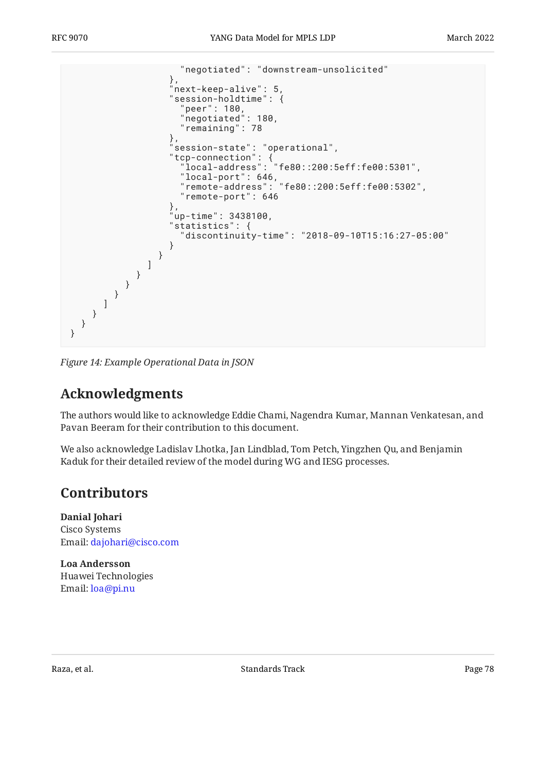

<span id="page-77-0"></span>*[Figure 14:](#page-75-0) [Example Operational Data in JSON](#page-74-0)* 

## **[Acknowledgments](#page-77-0)**

The authors would like to acknowledge Eddie Chami, Nagendra Kumar, Mannan Venkatesan, and Pavan Beeram for their contribution to this document.

<span id="page-77-1"></span>We also acknowledge Ladislav Lhotka, Jan Lindblad, Tom Petch, Yingzhen Qu, and Benjamin Kaduk for their detailed review of the model during WG and IESG processes.

## **[Contributors](#page-77-1)**

**Danial Johari** Cisco Systems Email: [dajohari@cisco.com](mailto:dajohari@cisco.com)

**Loa Andersson** Huawei Technologies Email: loa@pi.nu